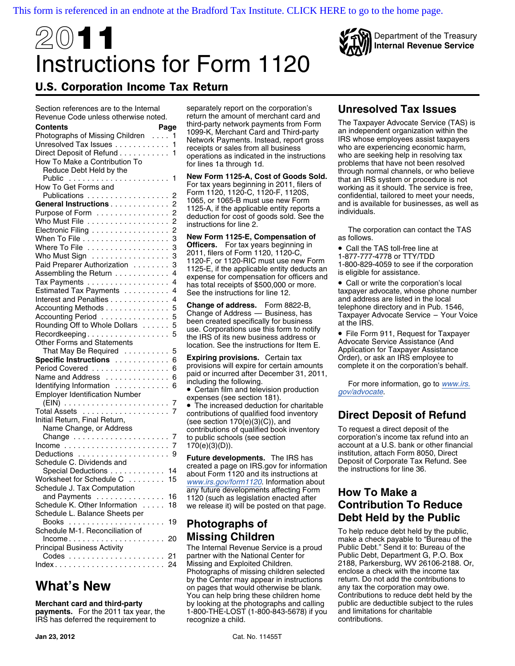



### U.S. Corporation Income Tax Return

| Section references are to the Internal<br>Revenue Code unless otherwise noted.                                                                                                                                                      | separately report on the corporation's<br>return the amount of merchant card and                                                                                                                                                                                                                                                                           | <b>Unresolved Tax Issues</b>                                                                                                                                                                                                                                                                |
|-------------------------------------------------------------------------------------------------------------------------------------------------------------------------------------------------------------------------------------|------------------------------------------------------------------------------------------------------------------------------------------------------------------------------------------------------------------------------------------------------------------------------------------------------------------------------------------------------------|---------------------------------------------------------------------------------------------------------------------------------------------------------------------------------------------------------------------------------------------------------------------------------------------|
| <b>Contents</b><br>Page<br>Photographs of Missing Children 1<br>Unresolved Tax Issues 1<br>Direct Deposit of Refund 1<br>How To Make a Contribution To<br>Reduce Debt Held by the                                                   | third-party network payments from Form<br>1099-K, Merchant Card and Third-party<br>Network Payments. Instead, report gross<br>receipts or sales from all business<br>operations as indicated in the instructions<br>for lines 1a through 1d.                                                                                                               | The Taxpayer Advocate Service (TAS) is<br>an independent organization within the<br>IRS whose employees assist taxpayers<br>who are experiencing economic harm,<br>who are seeking help in resolving tax<br>problems that have not been resolved<br>through normal channels, or who believe |
| How To Get Forms and<br>Publications 2<br>General Instructions 2<br>Purpose of Form 2<br>Who Must File 2                                                                                                                            | New Form 1125-A, Cost of Goods Sold.<br>For tax years beginning in 2011, filers of<br>Form 1120, 1120-C, 1120-F, 1120S,<br>1065, or 1065-B must use new Form<br>1125-A, if the applicable entity reports a<br>deduction for cost of goods sold. See the<br>instructions for line 2.                                                                        | that an IRS system or procedure is not<br>working as it should. The service is free,<br>confidential, tailored to meet your needs,<br>and is available for businesses, as well as<br>individuals.                                                                                           |
| Electronic Filing 2<br>Where To File 3<br>Who Must Sign 3<br>Paid Preparer Authorization 3<br>Assembling the Return 4<br>Tax Payments 4<br>Estimated Tax Payments 4                                                                 | New Form 1125-E, Compensation of<br><b>Officers.</b> For tax years beginning in<br>2011, filers of Form 1120, 1120-C,<br>1120-F, or 1120-RIC must use new Form<br>1125-E, if the applicable entity deducts an<br>expense for compensation for officers and<br>has total receipts of \$500,000 or more.<br>See the instructions for line 12.                | The corporation can contact the TAS<br>as follows.<br>• Call the TAS toll-free line at<br>1-877-777-4778 or TTY/TDD<br>1-800-829-4059 to see if the corporation<br>is eligible for assistance.<br>• Call or write the corporation's local<br>taxpayer advocate, whose phone number          |
| Interest and Penalties 4<br>Accounting Methods 5<br>Accounting Period 5<br>Rounding Off to Whole Dollars 5<br>Recordkeeping 5<br><b>Other Forms and Statements</b>                                                                  | Change of address. Form 8822-B,<br>Change of Address - Business, has<br>been created specifically for business<br>use. Corporations use this form to notify<br>the IRS of its new business address or<br>location. See the instructions for Item E.                                                                                                        | and address are listed in the local<br>telephone directory and in Pub. 1546,<br>Taxpayer Advocate Service - Your Voice<br>at the IRS.<br>• File Form 911, Request for Taxpayer<br>Advocate Service Assistance (And                                                                          |
| That May Be Required 5<br>Specific Instructions 6<br>Period Covered 6<br>Name and Address  6<br>Identifying Information 6<br><b>Employer Identification Number</b>                                                                  | <b>Expiring provisions.</b> Certain tax<br>provisions will expire for certain amounts<br>paid or incurred after December 31, 2011,<br>including the following.<br>• Certain film and television production<br>expenses (see section 181).<br>• The increased deduction for charitable                                                                      | Application for Taxpayer Assistance<br>Order), or ask an IRS employee to<br>complete it on the corporation's behalf.<br>For more information, go to www.irs.<br>gov/advocate.                                                                                                               |
| Total Assets 7<br>Initial Return, Final Return,<br>Name Change, or Address<br>Income $\ldots \ldots \ldots \ldots \ldots \ldots \ldots$<br>Schedule C. Dividends and<br>Special Deductions 14<br>Worksheet for Schedule C .......15 | contributions of qualified food inventory<br>(see section $170(e)(3)(C)$ ), and<br>contributions of qualified book inventory<br>to public schools (see section<br>$170(e)(3)(D)$ ).<br>Future developments. The IRS has<br>created a page on IRS.gov for information<br>about Form 1120 and its instructions at<br>www.irs.gov/form1120. Information about | <b>Direct Deposit of Refund</b><br>To request a direct deposit of the<br>corporation's income tax refund into an<br>account at a U.S. bank or other financial<br>institution, attach Form 8050, Direct<br>Deposit of Corporate Tax Refund. See<br>the instructions for line 36.             |
| Schedule J. Tax Computation<br>and Payments 16<br>Schedule K. Other Information  18<br>Schedule L. Balance Sheets per                                                                                                               | any future developments affecting Form<br>1120 (such as legislation enacted after<br>we release it) will be posted on that page.                                                                                                                                                                                                                           | <b>How To Make a</b><br><b>Contribution To Reduce</b><br>Debt Held by the Public                                                                                                                                                                                                            |
| Schedule M-1. Reconciliation of<br>$Income \ldots \ldots \ldots \ldots \ldots \ldots \ldots 20$<br><b>Principal Business Activity</b>                                                                                               | <b>Photographs of</b><br><b>Missing Children</b><br>The Internal Revenue Service is a proud<br>partner with the National Center for<br>Missing and Exploited Children.<br>Photographe of missing children selected                                                                                                                                         | To help reduce debt held by the public,<br>make a check payable to "Bureau of the<br>Public Debt." Send it to: Bureau of the<br>Public Debt, Department G, P.O. Box<br>2188, Parkersburg, WV 26106-2188. Or,<br>enclose a check with the income tax                                         |

IRS has deferred the requirement to

# Schedule L. Balance Sheets per **Debt Held by the Public** Books .................. . . . <sup>19</sup> **Photographs of** Schedule M-1. Reconciliation of To help reduce debt held by the public,

The Internal Revenue Service is a proud<br>partner with the National Center for partner with the National Center for Fublic Debt, Department G, P.O. Box<br>Missing and Exploited Children. 2188, Parkersburg, WV 26106-2188. Photographs of missing children selected enclose a check with the income tax<br>by the Center may appear in instructions return. Do not add the contributions to **What's New**<br>
on pages that would otherwise be blank. any tax the corporation may owe.<br>
You can help bring these children home Contributions to reduce debt held by the You can help bring these children home Contributions to reduce debt held by the<br>by looking at the photographs and calling public are deductible subject to the rules **Merchant card and third-party** by looking at the photographs and calling public are deductible subject **payments.** For the 2011 tax year, the 1-800-THE-LOST (1-800-843-5678) if you and limitations for charitable **payment 1-800-THE-LOST (1-800-843-5678) if you and limitation recognize a child.** 

- Call the TAS toll-free line at
- 
- 

make a check payable to "Bureau of the<br>Public Debt." Send it to: Bureau of the 2188, Parkersburg, WV 26106-2188. Or, <br>enclose a check with the income tax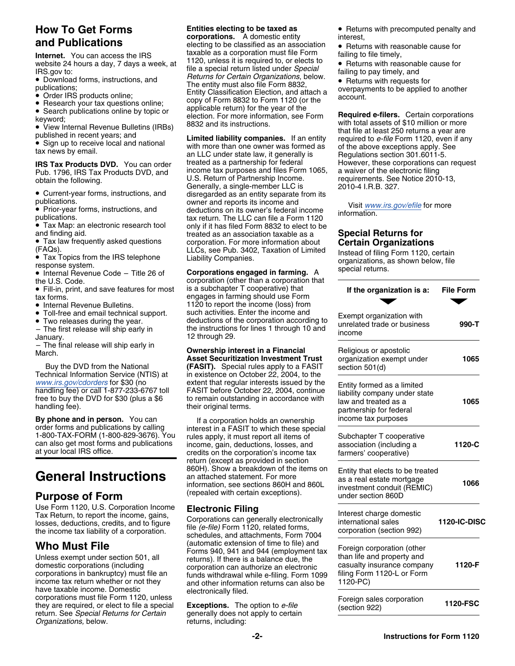• Current-year forms, instructions, and

• Tax Map: an electronic research tool

• Tax law frequently asked questions

- Internal Revenue Bulletins.
- 

income tax return whether or not they and other information returns can also be have taxable income. Domestic electronically filed.<br>corporations must file Form 1120, unless electronically filed. Foreign sales corporation and Foreign sales corporation<br>they are required, or elect to file a special **Exce** *Organizations, below.* returns, including:

**and Publications**<br>electing to be classified as an association Internet. You can access the IRS taxable as a corporation must file Form failing to file timely,<br>website 24 hours a day, 7 days a week, at 1120, unless it is required to, or elects to Returns with reasonable cause for<br>IRS. Download forms, instructions, and *Returns for Certain Organizations*, below. <br>
• Returns with requests for<br>
publications: publications;<br>• Order IRS products online; Form 1992, publication and account altach a • overpayments to be applied to another entity Classification Election, and attach a • order in Taggala • Order that account. copy of Form 8832 to Form 1120 (or the applicable return) for the year of the Research your tax questions online;<br>
Search publications online by topic or applicable return) for the year of the<br>
Pection. For more information, see Form

 Sign up to receive local and national with more than one owner was formed as of the above exceptions apply. See tax news by email. an LLC under state law, it generally is Regulations section 301.6011-5. **IRS Tax Products DVD.** You can order treated as a partnership for federal However, these corporations can request Pub. 1796, IRS Tax Products DVD, and income tax purposes and files Form 1065, a waiver of the electronic filing<br>obtain the following. U.S. Return of Partnership Income. requirements. See Notice 2010 Generally, a single-member LLC is • Current-year forms, instructions, and disregarded as an entity separate from its publications. publications.<br>• Prior-year forms, instructions, and deductions on its owner's federal income information.<br>• Prior-year forms, instructions, and deductions on its owner's federal income information. publications. The U.C can file a Form 1120 • Tax Map: an electronic research tool only if it has filed Form 8832 to elect to be and finding aid. treated as an association taxable as a **Special Returns for** corporation. For more information about **Certain Organizatio** Tax law frequently asked questions corporation. For more information about **Certain Organizations**<br>(FAQs). LLCs, see Pub. 3402, Taxation of Limited Instead of filing Form 1120, certain<br>• Tax Topics from the IRS telephone L

• Internal Revenue Code – Title 26 of **Corporations engaged in farming.** A

the U.S. Code.<br>• Fill-in, print, and save features for most is a subchapter T cooperative) that • Fill-in, print, and save features for most is a subchapter T cooperative) that **If the organization is a: File Form** 1120 to report the income (loss) from • Toll-free and email technical support. such activities. Enter the income and exempt organization with • Two releases during the vear

### **Ownership interest in a Financial March. Ownership interest in a Financial Asset Securitization Investment Trust**

- **How To Get Forms** *Entities electing to be taxed as* **Returns with precomputed penalty and <b>interest**,
	- Returns with reasonable cause for
	-
	-

Search publications online by topic or election. For more information, see Form **Required e-filers.** Certain corporations keyword;<br>• View Internal Revenue Bulletins (IRBs) 8832 and its instructions. with total assets of \$1 published in recent years; and<br>● Sign up to receive local and national with more than one owner was formed as of the above exceptions apply. See<br>to required to *e-file* Form 1120, even if any<br>to required to *e-file* Form requirements. See Notice 2010-13,<br>2010-4 I.R.B. 327.

Tax Topics from the IRS telephone Liability Companies. The companizations, as shown below, file<br>response system. special returns. A special returns. A special returns.

| • Fill-in, print, and save features for most<br>tax forms.<br>• Internal Revenue Bulletins.<br>• Toll-free and email technical support.<br>• Two releases during the year.<br>- The first release will ship early in<br>January. | is a subchapter T cooperative) that<br>engages in farming should use Form<br>1120 to report the income (loss) from<br>such activities. Enter the income and<br>deductions of the corporation according to<br>the instructions for lines 1 through 10 and<br>12 through 29. | If the organization is a:<br>Exempt organization with<br>unrelated trade or business<br>income                                   | <b>File Form</b><br>990-T                |  |
|----------------------------------------------------------------------------------------------------------------------------------------------------------------------------------------------------------------------------------|----------------------------------------------------------------------------------------------------------------------------------------------------------------------------------------------------------------------------------------------------------------------------|----------------------------------------------------------------------------------------------------------------------------------|------------------------------------------|--|
| - The final release will ship early in<br>March.<br>Buy the DVD from the National                                                                                                                                                | <b>Ownership interest in a Financial</b><br><b>Asset Securitization Investment Trust</b><br><b>(FASIT).</b> Special rules apply to a FASIT                                                                                                                                 | Religious or apostolic<br>organization exempt under<br>section 501(d)                                                            | 1065                                     |  |
| Technical Information Service (NTIS) at<br>www.irs.gov/cdorders for \$30 (no<br>handling fee) or call 1-877-233-6767 toll<br>free to buy the DVD for \$30 (plus a \$6<br>handling fee).                                          | in existence on October 22, 2004, to the<br>extent that regular interests issued by the<br>FASIT before October 22, 2004, continue<br>to remain outstanding in accordance with<br>their original terms.                                                                    | Entity formed as a limited<br>liability company under state<br>law and treated as a<br>partnership for federal                   | 1065                                     |  |
| By phone and in person. You can<br>order forms and publications by calling<br>1-800-TAX-FORM (1-800-829-3676). You<br>can also get most forms and publications<br>at your local IRS office.                                      | If a corporation holds an ownership<br>interest in a FASIT to which these special<br>rules apply, it must report all items of<br>income, gain, deductions, losses, and<br>credits on the corporation's income tax                                                          | income tax purposes<br>Subchapter T cooperative<br>association (including a<br>farmers' cooperative)                             | 1120-C                                   |  |
| <b>General Instructions</b><br><b>Purpose of Form</b>                                                                                                                                                                            | return (except as provided in section<br>860H). Show a breakdown of the items on<br>an attached statement. For more<br>information, see sections 860H and 860L<br>(repealed with certain exceptions).                                                                      |                                                                                                                                  | Entity that elects to be treated<br>1066 |  |
| Use Form 1120, U.S. Corporation Income<br>Tax Return, to report the income, gains,<br>losses, deductions, credits, and to figure<br>the income tax liability of a corporation.                                                   | <b>Electronic Filing</b><br>Corporations can generally electronically<br>file (e-file) Form 1120, related forms,<br>schedules, and attachments, Form 7004                                                                                                                  | Interest charge domestic<br>international sales<br>corporation (section 992)                                                     | <b>1120-IC-DISC</b>                      |  |
| Who Must File<br>Unless exempt under section 501, all<br>domestic corporations (including<br>corporations in bankruptcy) must file an<br>income tax return whether or not they<br>have taxable income. Domestic                  | (automatic extension of time to file) and<br>Forms 940, 941 and 944 (employment tax<br>returns). If there is a balance due, the<br>corporation can authorize an electronic<br>funds withdrawal while e-filing. Form 1099<br>and other information returns can also be      | Foreign corporation (other<br>than life and property and<br>casualty insurance company<br>filing Form 1120-L or Form<br>1120-PC) | 1120-F                                   |  |
| corporations must file Form 1120, unless<br>thev are required, or elect to file a special                                                                                                                                        | electronically filed.<br><b>Exceptions.</b> The option to e-file                                                                                                                                                                                                           | Foreign sales corporation<br>$(constant$ $0.00)$                                                                                 | 1120-FSC                                 |  |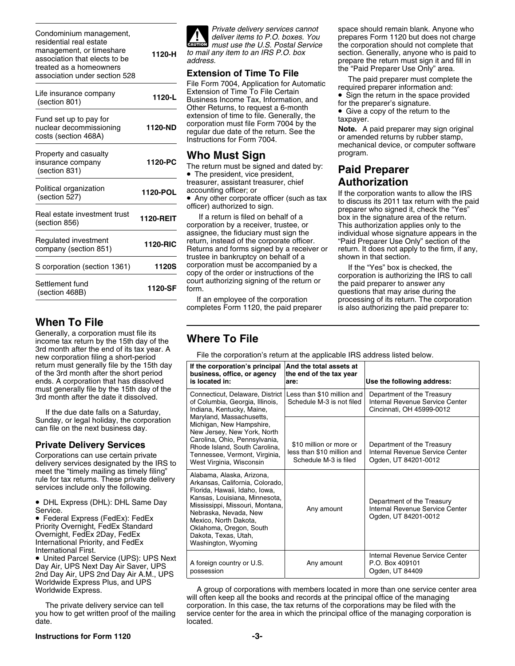| Condominium management,<br>residential real estate<br>management, or timeshare<br>association that elects to be<br>treated as a homeowners<br>association under section 528 | 1120-H           | Private delivery services cannot<br>deliver items to P.O. boxes. You<br>must use the U.S. Postal Service<br><b>CAUTION</b><br>to mail any item to an IRS P.O. box<br>address.<br><b>Extension of Time To File</b>                                                                    | space should remain blank. Anyone who<br>prepares Form 1120 but does not charge<br>the corporation should not complete that<br>section. Generally, anyone who is paid to<br>prepare the return must sign it and fill in<br>the "Paid Preparer Use Only" area.<br>The paid preparer must complete the |  |  |
|-----------------------------------------------------------------------------------------------------------------------------------------------------------------------------|------------------|--------------------------------------------------------------------------------------------------------------------------------------------------------------------------------------------------------------------------------------------------------------------------------------|------------------------------------------------------------------------------------------------------------------------------------------------------------------------------------------------------------------------------------------------------------------------------------------------------|--|--|
| Life insurance company<br>(section 801)                                                                                                                                     | 1120-L           | File Form 7004, Application for Automatic<br>Extension of Time To File Certain<br>Business Income Tax, Information, and<br>Other Returns, to request a 6-month                                                                                                                       | required preparer information and:<br>• Sign the return in the space provided<br>for the preparer's signature.                                                                                                                                                                                       |  |  |
| Fund set up to pay for<br>nuclear decommissioning<br>costs (section 468A)                                                                                                   | 1120-ND          | extension of time to file. Generally, the<br>corporation must file Form 7004 by the<br>regular due date of the return. See the<br>Instructions for Form 7004.                                                                                                                        | • Give a copy of the return to the<br>taxpayer.<br><b>Note.</b> A paid preparer may sign original<br>or amended returns by rubber stamp.<br>mechanical device, or computer software                                                                                                                  |  |  |
| Property and casualty<br>insurance company<br>(section 831)                                                                                                                 | 1120-PC          | <b>Who Must Sign</b><br>The return must be signed and dated by:<br>• The president, vice president,                                                                                                                                                                                  | program.<br><b>Paid Preparer</b>                                                                                                                                                                                                                                                                     |  |  |
| Political organization<br>(section 527)                                                                                                                                     | 1120-POL         | treasurer, assistant treasurer, chief<br>accounting officer; or<br>• Any other corporate officer (such as tax<br>officer) authorized to sign.                                                                                                                                        | <b>Authorization</b><br>If the corporation wants to allow the IRS<br>to discuss its 2011 tax return with the paid                                                                                                                                                                                    |  |  |
| Real estate investment trust<br>(section 856)                                                                                                                               | <b>1120-REIT</b> | If a return is filed on behalf of a<br>corporation by a receiver, trustee, or                                                                                                                                                                                                        | preparer who signed it, check the "Yes"<br>box in the signature area of the return.<br>This authorization applies only to the                                                                                                                                                                        |  |  |
| Regulated investment<br>company (section 851)                                                                                                                               | 1120-RIC         | assignee, the fiduciary must sign the<br>return, instead of the corporate officer.<br>Returns and forms signed by a receiver or<br>trustee in bankruptcy on behalf of a                                                                                                              | individual whose signature appears in the<br>"Paid Preparer Use Only" section of the<br>return. It does not apply to the firm, if any,<br>shown in that section.                                                                                                                                     |  |  |
| S corporation (section 1361)                                                                                                                                                | <b>1120S</b>     | corporation must be accompanied by a<br>copy of the order or instructions of the                                                                                                                                                                                                     | If the "Yes" box is checked, the                                                                                                                                                                                                                                                                     |  |  |
| Settlement fund<br>(section 468B)                                                                                                                                           | 1120-SF          | court authorizing signing of the return or<br>form.<br>the contracted contracted to the contract of the contracted of the contracted of the contracted of the contracted of the contracted of the contracted of the contracted of the contracted of the contracted of the contracted | corporation is authorizing the IRS to call<br>the paid preparer to answer any<br>questions that may arise during the<br>a contra de la final de medicinal. The conce                                                                                                                                 |  |  |

### **When To File**

Generally, a corporation must file its income tax return by the 15th day of the **Where To File** return must generally file by the 15th day of the 3rd month after the short period ends. A corporation that has dissolved<br>must generally file by the 15th day of the 3rd month after the date it dissolved.

• United Parcel Service (UPS): UPS Next Day Air, UPS Next Day Air Saver, UPS<br>2nd Day Air, UPS 2nd Day Air A.M., UPS Worldwide Express Plus, and UPS<br>Worldwide Express.

date. **located.** 

### Who Must Sign **program**.

completes Form 1120, the paid preparer is also authorizing the paid preparer to:

If an employee of the corporation processing of its return. The corporation

3rd month after the end of its tax year. A File the corporation's return at the applicable IRS address listed below.<br>new corporation filing a short-period File the corporation's return at the applicable IRS address listed

| o oo.po.ao g a oo pooa                                                                                                                                                                                               |                                                                                                                                                                                              |                                                                                |                                                                                            |
|----------------------------------------------------------------------------------------------------------------------------------------------------------------------------------------------------------------------|----------------------------------------------------------------------------------------------------------------------------------------------------------------------------------------------|--------------------------------------------------------------------------------|--------------------------------------------------------------------------------------------|
| return must generally file by the 15th day<br>of the 3rd month after the short period<br>ends. A corporation that has dissolved                                                                                      | If the corporation's principal  And the total assets at<br>business, office, or agency<br>is located in:                                                                                     | the end of the tax year<br>lare:                                               | Use the following address:                                                                 |
| must generally file by the 15th day of the<br>3rd month after the date it dissolved.                                                                                                                                 | Connecticut, Delaware, District Less than \$10 million and<br>of Columbia, Georgia, Illinois,<br>Indiana, Kentucky, Maine,                                                                   | Schedule M-3 is not filed                                                      | Department of the Treasury<br>Internal Revenue Service Center<br>Cincinnati, OH 45999-0012 |
| If the due date falls on a Saturday,<br>Sunday, or legal holiday, the corporation<br>can file on the next business day.                                                                                              | Maryland, Massachusetts,<br>Michigan, New Hampshire,<br>New Jersey, New York, North                                                                                                          |                                                                                |                                                                                            |
| <b>Private Delivery Services</b><br>Corporations can use certain private<br>delivery services designated by the IRS to                                                                                               | Carolina, Ohio, Pennsylvania,<br>Rhode Island, South Carolina,<br>Tennessee, Vermont, Virginia,<br>West Virginia, Wisconsin                                                                  | \$10 million or more or<br>less than \$10 million and<br>Schedule M-3 is filed | Department of the Treasury<br>Internal Revenue Service Center<br>Ogden, UT 84201-0012      |
| meet the "timely mailing as timely filing"<br>rule for tax returns. These private delivery<br>services include only the following.                                                                                   | Alabama, Alaska, Arizona,<br>Arkansas, California, Colorado,<br>Florida, Hawaii, Idaho, Iowa,                                                                                                |                                                                                |                                                                                            |
| • DHL Express (DHL): DHL Same Day<br>Service.<br>● Federal Express (FedEx): FedEx<br>Priority Overnight, FedEx Standard<br>Overnight, FedEx 2Day, FedEx<br>International Priority, and FedEx<br>International First. | Kansas, Louisiana, Minnesota,<br>Mississippi, Missouri, Montana,<br>Nebraska, Nevada, New<br>Mexico, North Dakota,<br>Oklahoma, Oregon, South<br>Dakota, Texas, Utah,<br>Washington, Wyoming | Any amount                                                                     | Department of the Treasury<br>Internal Revenue Service Center<br>Ogden, UT 84201-0012      |
| • United Parcel Service (UPS): UPS Next<br>Day Air, UPS Next Day Air Saver, UPS<br>2nd Day Air, UPS 2nd Day Air A.M., UPS                                                                                            | A foreign country or U.S.<br>possession                                                                                                                                                      | Any amount                                                                     | Internal Revenue Service Center<br>P.O. Box 409101<br>Ogden, UT 84409                      |
|                                                                                                                                                                                                                      |                                                                                                                                                                                              |                                                                                |                                                                                            |

A group of corporations with members located in more than one service center area will often keep all the books and records at the principal office of the managing The private delivery service can tell corporation. In this case, the tax returns of the corporations may be filed with the you how to get written proof of the mailing service center for the area in which the principal office of the managing corporation is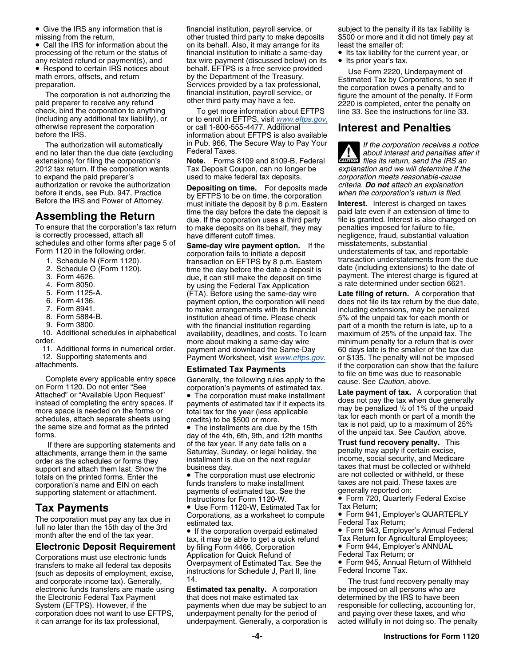• Give the IRS any information that is

• Call the IRS for information about the • Respond to certain IRS notices about

The corporation is not authorizing the<br>paid preparer to receive any refund<br>cher third party may have a fee.<br>To get more information about EFTPS line 33. See the instructions for line 33.

to expand the paid preparer's used to make federal tax deposits. *corporation meets reasonable-cause*<br>authorization or revoke the authorization **nenositing on time** For deposits made *criteria*. **Do not** attach an explanat

To ensure that the corporation's tax return to make deposits on its behalf, they may is correctly processed, attach all is correctly processed, attach all have different cutoff times.<br>
schedules and other forms after page 5 of Same-day wire nayment ontion If the misstatements, substantial

- 
- 
- 
- 
- 
- 
- 
- 
- 

10. Additional schedules in alphabetical availability, deadlines, and costs. To learn maximum of 25% of the unpaid tax. The

attachments.<br>
Complete every applicable entry space<br>
on Form 1120. Do not enter "See comporation's payments of estimated tax<br>
on Form 1120. Do not enter "See comporation's payments of estimated tax.<br>
Attached" or "Availabl instead of completing the entry spaces. If all payments of estimated tax if it expects its<br>more space is needed on the forms or the year (less applicable tax for each month or part of a month the<br>schedules, attach separate

If there are supporting statements and of the tax year. If any date falls on a<br>attachments, arrange them in the same Saturday, Sunday, or legal holiday, the penalty may apply if certain excise,<br>order as the schedules or fo

The corporation must pay any tax due in estimated tax.<br>
Federal Tax Return; Federal Tax Return; Federal Tax Return; Federal Tax Return; full no later than the 15th day of the 3rd • If the corporation overpaid estimated  $\$ 

(such as deposits of employment, excise, instructions for Schedule J, Part II, line Federal filtonie Tax.<br>and corporate income tax). Generally,  $14.$  The trust fund recovery penalty may electronic funds transfers are made using **Estimated tax penalty.** A corporation be imposed on all persons who are the Electronic Federal Tax Payment System (EFTPS). However, if the payments when due may be subject to an responsible for collecting, accounting for, corporation does not want to use EFTPS, underpayment penalty for the period of and paying over these taxes, and who<br>it can arrange for its tax professional, underpayment. Generally, a corporation is acted willfully in not

financial institution, payroll service, or subject to the penalty if its tax liability is missing from the return, other trusted third party to make deposits \$500 or more and it did not timely pay at<br>• Call the IRS for information about the on its behalf. Also, it may arrange for its least the smaller of: on its behalf. Also, it may arrange for its processing of the return or the status of financial institution to initiate a same-day • Its tax liability for the current year, or any related refund or payment(s), and tax wire payment (discussed below) on its • Its prior year's tax.<br>• Respond to certain IRS notices about behalf. EFTPS is a free service provided in the Ferm 2220 L • Hespond to certain IHS notices about behalf. LETTS IS a free service provided<br>math errors, offsets, and return by the Department of the Treasury.<br>
The corporation is not authorizing the financial institution, payroll ser

check, bind the corporation to anything To get more information about EFTPS line 33. See the instructions for line 33.<br>(including any additional tax liability), or or to enroll in EFTPS, visit www.eftps.gov, (including any additional tax liability), or or to enroll in EFTPS, visit *[www.eftps.gov,](http://www.eftps.gov)* otherwise represent the corporation or call 1-800-555-4477. Additional otherwise represent the corporation or call 1-800-555-4477. Additional **Interest and Penalties**<br>before the IRS. **Interest and Penalties** information about EFTPS is also available information about EFTPS is also available The authorization will automatically in Pub. 966, The Secure Way to Pay Your *If the corporation receives a notice*<br>If no later than the due date (excluding Federal Taxes.

extensions) for filing the corporation's **Note.** Forms 8109 and 8109-B, Federal 2012 tax return. If the corporation wants Tax Deposit Coupon, can no longer be *explanation and we will determine if the*

authorization or revoke the authorization<br>before it ends, see Pub. 947, Practice<br>Before the IRS and Power of Attorney.<br>There is charged on taxes<br>time the day before the date the deposit is and late even if an extension of **Assembling the Return**<br>due. If the corporation uses a third party file is granted. Interest is also charged on<br>To ensure that the corporation's tax return to make deposits on its behalf, they may penalties imposed for fai

scriedules and other forms after page 5.01 Same-day wire payment option. If the misstatements, substantial<br>Form 1120 in the following order. corporation fails to initiate a deposit understatements of tax, and reportable<br>1. 1. Schedule N (Form 1120). transaction on EFTPS by 8 p.m. Eastern transaction understatements from the due<br>2. Schedule O (Form 1120). time the day before the date a deposit is date (including extensions) to the date of 2. Schedule O (Form 1120). date the day before the date a deposit is date (including extensions) to the date of<br>3. Form 4626. The interest charge is figured at the studies it can still make the deposit on time payment. The 3. Form 4626. **payment. The interest charge is figured** at due, it can still make the deposit on time payment. The interest charge is figured at due, it can still make the deposit on time payment. The interest charge is fi 4. Form 8050. <br>5. Form 1125-A. **a rate determined under section 12** of FTA). Before using the same-day wi 5. Form 1125-A. (FTA). Before using the same-day wire **Late filing of return.** A corporation that 6. Form 4136. **payment option, the corporation will need** does not file its tax return by the due date, form the make arrangements with its financial including extensions may be penalized 7. Form 8941. to make arrangements with its financial including extensions, may be penalized<br>8. Form 5884-B. Subsett and the institution ahead of time. Please check 5% of the unpaid tax for each month or 8. Form 5884-B. institution ahead of time. Please check 5. Form 3800. 9. Form 3800. with the financial institution regarding part of a month the return is late, up to a<br>10. Additional schedules in alphabetical availability, deadlines, and costs, To learn maximum of 25% of the unpaid tax. The order.<br>11. Additional forms in numerical order. about making a same-day wire minimum penalty for a return that is over<br>11. Additional forms in numerical order. above a payment and download the Same-Day 11. Additional forms in numerical order. payment and download the Same-Day 60 days late is the smaller of the tax due 12. Supporting statements and Payment Worksheet, visit *[www.eftps.gov.](http://www.eftps.gov)* or \$135. The penalty will not be imposed

the same size and format as the printed tax is not paid, up to a maximum of 25%<br>forms.<br>If there are supporting statements and of the tax year. If any date falls on a<br>**Example 15th** day of the 4th, 6th, 9th, and 12th months

• The corporation must use electronic totals on the printed forms. Enter the totals on the printed forms. Enter the totals on the printed forms. Enter the tore or The corporation must use electronic are not collected or withheld, or these corporation's name an

**Tax Payments** • Use Form 1120-W, Estimated Tax for Tax Return;<br>The corporation must nay any tax due in Corporations, as a worksheet to compute • Form 941, Employer's QUARTERLY

tax, it may be able to get a quick refund Tax Return for Agricultural Employees;<br>by filing Form 4466, Corporation **Cay be able to the to get a** Form 944, Employer's ANNUAL **Electronic Deposit Requirement** by filing Form 4466, Corporation • Form 944, Employer<br>Corporations must use electronic funds Application for Quick Refund of Federal Tax Return; or Corporations must use electronic funds Application for Quick Refund of Integral Tax Return; or<br>transfers to make all federal tax deposits Overpayment of Estimated Tax. See the I Form 945, Annual Return of Withheld<br>(s

underpayment. Generally, a corporation is

end no later than the due date (excluding Federal Taxes. **about interest and penalties after it** end no later it **c**<br>*caution files its return, send the IRS an* 

- 
- 
- 
-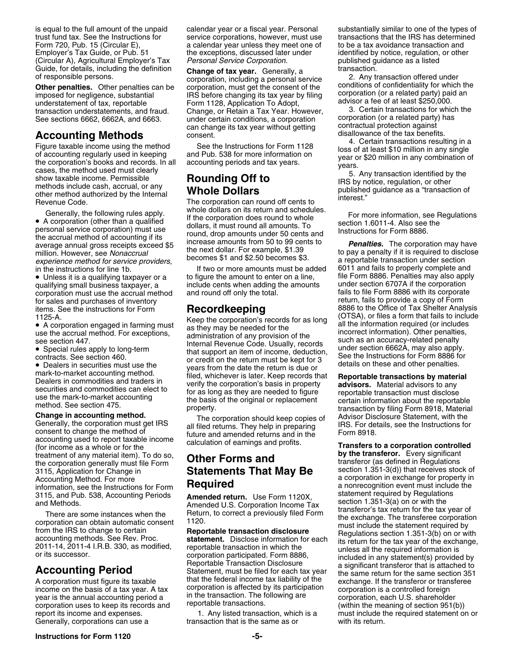trust fund tax. See the Instructions for service corporations, however, must use transactions that the IRS has determined<br>Form 720, Pub. 15 (Circular E), seculared a calendar year unless they meet one of to be a tax avoida Employer's Tax Guide, or Pub. 51 the exceptions, discussed later under identified by notice, regulation, or other (Circular A), Agricultural Employer's Tax *Personal Service Corporation.* published guidance as a listed Guide, for details, including the definition **Change of tax year.** Generally, a transaction.<br>
corporation including a personal service 2. Any transaction offered under

transaction understatements, and fraud. Change, or Retain a Tax Year. However, **3. Certain transactions for which**<br>See sections 6662, 6662A, and 6663. The under certain conditions, a corporation corporation (or a related p

Figure taxable income using the method<br>
the corporation's books and records. In all<br>
of accounting periods and tax years.<br>
the corporation's books and records. In all<br>
cases, the method used must clearly<br>
show taxable inco

personal service corporation) must use<br>the accrual method of accounting if its<br>average annual gross receipts exceed \$5 increase amounts from 50 to 99 cents to **Penalties.** The corporation may have average annual gross receipts exceed \$5 increase amounts from 50 to 99 cents to *Penalties.* The next dollar. For example, \$1.39 *experience method for service providers,* in the instructions for line 1b. If two or more amounts must be added 6011 and fails to properly complete and

• Unless it is a qualifying taxpayer or a corporation must use the accrual method and round off only the total.<br>for sales and purchases of inventory<br>Form for sales and purchases of inventory<br>items. See the instructions for Form **Recordkeeping** 

accounting used to report taxable income<br>
(for income as a whole or for the calculation of earnings and profits.<br> **Transfers to a corporation controlled**<br> **Calculation of earnings and profits.**<br> **Depending to the calculati** treatment of any material item). To do so, **Other Forms and by the transferor.** Every significant<br>transferor (as defined in Regulations transferor (as defined in Regulations the corporation generally must file Form **Stat** 3115, Application for Change in **Statements That May Be Accounting Method.** For more **Statements That May Be** information, see the Instructions for Form **Required** a nonrecognition event must include the information, see the Instructions for Form **Required a** nonrecognition event must include the 3115, and Pub. 538. Accounting P

corporation uses to keep its records and reportable transactions. The following meaning of section 951(b)) report its income and expenses. 1. Any listed transaction, which is a must include the required statement on or<br>Generally, corporations can use a stransaction that is the same as or with its return. Generally, corporations can use a

a calendar year unless they meet one of

corporation, including a personal service and the corporation offered under corporation, including a personal service and conditions of confidentiality for which the Other penalties. Other penalties can be corporation, must get the consent of the conditions of contidentiality for which the<br>imposed for negligence, substantial IRS before changing its tax year by filing corporation (or a under certain conditions, a corporation corporation (or a related party<br>can change its tax year without getting contractual protection against can change its tax year without getting contractual protection against<br>disallowance of the tax benefits.<br>4. Certain transactions resulting in a<br>4. Certain transactions resulting in a

Generally, the following rules apply. Whole dollars on its return and schedules.<br>
• A corporation (other than a qualified if the corporation does round to whole see The section 1.6011-4. Also see the norcorporation must us

to figure the amount to enter on a line, file Form 8886. Penalties may also apply<br>include cents when adding the amounts under section 6707A if the corporation qualifying small business taxpayer, a include cents when adding the amounts under section 6707A if the corporation<br>corporation must use the accrual method and round off only the total. [alls to file Form 8886 with its corp

1125-A.<br>■ Keep the corporation's records for as long • all the information engaged in farming must • as they may be needed for the • information required (or includes) of the interval of the engaged in farming must • as t • A corporation engaged in farming must<br>
use the accrual method. For exceptions,<br>
see section 447.<br>
Shecial rules annly to long-term<br>
all the information required (or includes<br>
all the information required (or includes<br>
in Special rules apply to long-term under section 447.<br>
• Special rules apply to long-term under section 460.<br>
• Dealers in securities must use the section the return must be kept for 3<br>
• Dealers in securities must use the s • Dealers in securities must use the vears from the date the return is due or<br>
mark-to-market accounting method.<br>
Dealers in commodities and traders in<br>
securities and commodities can elect to<br>
securities and commodities c

Change in accounting method.<br>Generally, the corporation must get IRS all filed returns. They help in preparing IRS. For details, see the Instructions for consent to change the method of the future and amended returns and i

ACCOUTITITY FUTION STATEMENT, must be filed for each tax year the same return for the same section 351<br>A corporation must figure its taxable that the federal income tax liability of the exchange. If the transferor or trans income on the basis of a tax year. A tax corporation is affected by its participation corporation is a controlled foreign<br>year is the annual accounting period a limit inte transaction. The following are corporation, each U

is equal to the full amount of the unpaid calendar year or a fiscal year. Personal substantially similar to one of the types of

million. However, see *Nonaccrual* the next dollar. For example, \$1.39 to pay a penalty if it is required to disclose<br>experience method for service providers. becomes \$1 and \$2.50 becomes \$3. a reportable transaction under items. See the instructions for Form **Record keeping** 8886 to the Office of Tax Shelter Analysis<br>1125-A. Keep the experience is coeste for as long (OTSA), or files a form that fails to include

Exatements That  $\overline{M}$  be a corporation in exchange for property in<br>a nonrecognition event must include the 3115, and Pub. 538, Accounting Periods<br>
There are some instances when the<br>
There are some instances when the<br>
There are some instances when the<br>
There are some instances when the<br>
Electric incorrect a previously filed Form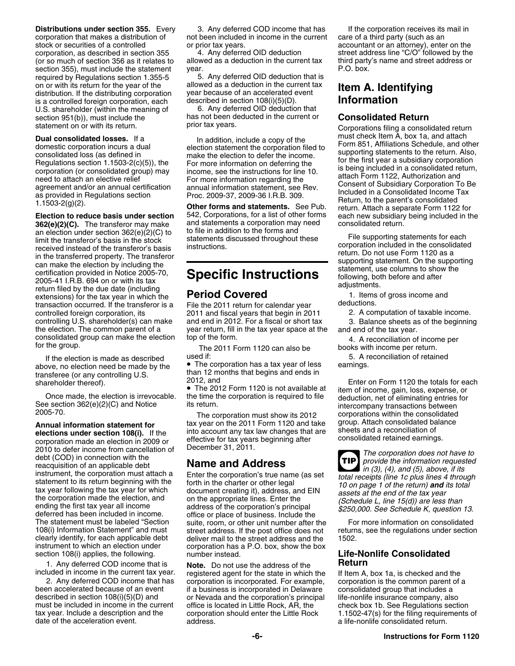**Distributions under section 355.** Every 3. Any deferred COD income that has If the corporation receives its mail in corporation that makes a distribution of not been included in income in the current care of a third party (such as an stock or securities of a controlled or prior tax years. stock or securities of a controlled or prior tax years. An accountant or an attorney), enter on the corporation, as described in section 355 4. Any deferred OID deduction street address line "C/O" followed by the (or so much of section 356 as it relates to allowed as a deduction in the current tax third party's name and street address or section 355), must include the statement year. section 355), must include the statement year.<br>
required by Requiations section 1.355-5 5. Any deferred OID deduction that is required by Regulations section 1.355-5 5. Any deferred OID deduction that is<br>on or with its return for the vear of the allowed as a deduction in the current tax on or with its return for the year of the allowed as a deduction in the current tax **Item A. Identifying**<br>distribution. If the distributing corporation year because of an accelerated event<br>is a controlled foreign corporati is a controlled foreign corporation, each described in section 108(i)(5)(D).<br>U.S. shareholder (within the meaning of **6.** Any deferred OID deduction that U.S. shareholder (within the meaning of section 951(b)), must include the has not been deducted in the current or **Consolidated Return**<br>statement on or with its return. prior tax years.

**362(e)(2)(C).** The transferor may make and statements a corporation may<br>an election under section 362(e)(2)(C) to to file in addition to the forms and an election under section  $362(e)(2)(C)$  to limit the transferor's basis in the stock Freceived instead of the transferor's basis instructions.<br>
in the transferred property. The transferor's basis instructions.<br>
in the transferred property. The transferor can make the election by including the<br>
certificatio return filed by the due date (including<br>extensions) for the tax year in which the **Period Covered** 1. Items of gross income and<br>transaction oppured if the transform is a File the 2011 return for colordar veer deductions. transaction occurred. If the transferor is a File the 2011 return for calendar year deductions.<br>
controlled foreign corporation, its 2011 and fiscal years that begin in 2011 2. A computation of taxable income. controlling U.S. shareholder(s) can make and end in 2012. For a fiscal or short tax 3. Balance sheets as of the beginning the election. The common parent of a year return, fill in the tax year space at the and end of the t consolidated group can make the election top of the form.<br>
The 2011 Form 1120 can also be books with income per return.<br>
Dooks with income per return.

If the election is made as described used if:<br>We an election need be made by the Corporation has a tax year of less earnings. transferee (or any controlling U.S. Than 12 m<br>shareholder thereof). 2012, and

corporation made an election in 2009 or effective for tax years<br>2010 to defer income from cancellation of December 31, 2011. 2010 to defer income from cancellation of December 31, 2011.<br>
debt (COD) in connection with the **Name and Address** TIP The corporation does not have to<br>
reacquisition of an applicable debt **Name and Address** in (3), (4), instrument to which an election under corporation has a P.O. box, show the box

1. Any deferred COD income that is **Note.** Do not use the address of the **Return** included in income in the current tax year. registered agent for the state in which the **Return** 

been accelerated because of an event if a business is incorporated in Delaware consolidated group that includes a<br>described in section 108(i)(5)(D) and cor Nevada and the corporation's principal life-nonlife insurance comp must be included in income in the current office is located in Little Rock, AR, the check box 1b. See Regulations section<br>tax year. Include a description and the corporation should enter the Little Rock 1.1502-47(s) for th tax year. Include a description and the corporation should enter the Little Rock 1.1502-47(s) for the filing requirements of date of the acceleration event.

statements discussed throughout these File supporting statements for each<br>instructions.<br>Init of the corporation included in the consolidated

2011 and fiscal years that begin in 2011 year return, fill in the tax year space at the and end of the tax year.<br>top of the form.  $\frac{1}{4}$  a reconciliation of

above, no election need be made by the • The corporation has a tax year of less earnings.<br>transferee (or any controlling LLS than 12 months that begins and ends in

**Annual information statement for** tax year on the 2011 Form 1120 and take group. Attach consolidated balance<br> **elections under section 108(i).** If the into account any tax law changes that are sheets and a reconciliation

instrument, the corporation must attach a<br>statement to its return beginning with the<br>tax year following the tax year for which<br>the corporation made the election, and<br>the corporation made the election, and<br>ending the first The statement must be labeled "Section suite, room, or other unit number after the For more information on consolidated 108(i) Information Statement" and must street address. If the post office does not returns, see the regulations under section clearly identify, for each applicable debt deliver mail to the street address and the 1502. deliver mail to the street address and the section 108(i) applies, the following. **number instead. Life-Nonlife Consolidated** 

luded in income in the current tax year. registered agent for the state in which the If Item A, box 1a, is checked and the<br>2. Any deferred COD income that has corporation is incorporated. For example, corporation is the co 2. Any deferred COD income that has corporation is incorporated. For example, corporation is the common parent of a<br>been accelerated because of an event if a business is incorporated in Delaware consolidated group that inc or Nevada and the corporation's principal address. **and acceleration event of the acceleration** event. a life-nonlife consolidated return.

statement on or with its return.<br> **Dual consolidated return** bases if a statement on or with the state of the must check item A, box 1a, and attach **Dual consolidated losses.** If a<br>
domestic corporation incurs a dual<br>
consolidated loss (as defined in<br>
Regulations section 1.1503-2(c)(5)), the<br>
make the election to defer the income.<br>
Regulations section 1.1503-2(c)(5)) **Election to reduce basis under section Election to reduce basis under section** 542, Corporations, for a list of other forms each new subsidiary being included in the **Election to reduce basis under section** 542, Corpora

2012, and<br>● The 2012 Form 1120 is not available at item of income, gain, loss, expense, or Once made, the election is irrevocable.<br>
The 2012 Form 1120 is not available at item of income, gain, loss, expense, or<br>
See section 362(e)(2)(C) and Notice its return.<br>
The corporation must show its 2012 corporations with

**TIP**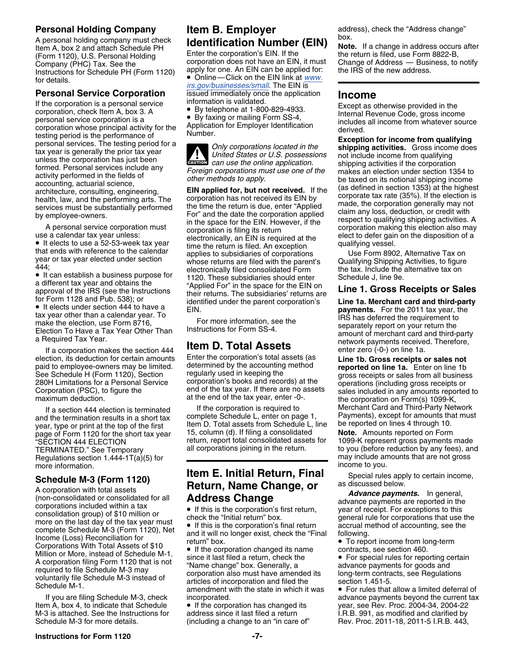**Personal Holding Company Item B. Employer** address), check the "Address change"<br>A personal holding company must check **Identification Number (EIN)** box.<br>Item A, box 2 and attach Schedule PH Enter the corporation's EIN. (Form 1120), U.S. Personal Holding Enter the corporation's EIN. If the the return is filed, use Form 8822-B,<br>
Company (PHC) Tax. See the corporation does not have an EIN, it must<br>
Instructions for Schedule PH (Form 1120)

**Personal Service Corporation** issued immediately once the application **Income**<br>If the corporation is a personal service information is validated. Except as otherwise provided in the •<br>corporation, check Item A, box 3. A • By telephone at 1-800-829-4933.<br>
By telephone at 1-800-829-49334. Internal Revenue Code, gross income personal service corporation is a **Internal Revenue Code, gross income** *includes* all income from whatever source personal service corporation is a<br>corporation whose principal activity for the<br>testing period is the performance of<br>personal services. The testing period for a<br>personal services. The testing period for a<br>personal services. Foreign corporations must use one of the<br>activity performed in the fields of<br>accounting, actuarial science,<br>architecture, consulting, engineering,<br>actuarial science,<br>health, law, and the performing arts. The<br>be taxed on it

election, its deduction for certain amounts Enter the corporation's total assets (as **Line 1b. Gross receipts or sales not** paid to employee-owners may be limited. determined by the accounting method **reported on line 1a.** Enter on line 1b<br>See Schedule H (Form 1120), Section regularly used in keeping the same pross receipts or sales from all bu 280H Limitations for a Personal Service corporation's books and records) at the operations (including gross receipts or<br>Corporation (PSC), to figure the exting the dax year. If there are no assets sales included in any amo

Regulations section 1.444-1T(a)(5) for **noting that all are not group include an** may include an more information.

A corporation with total assets **Address Change**<br>(non-consolidated or consolidated for all **Address Change** advance payments are reported in the corporations included within a tax • If this is the corporation's first retur corporations included within a tax<br>
consolidation group) of \$10 million or<br>
more on the last day of the tax year must<br>
consolidation group) of \$10 million or<br>
more on the last day of the tax year must<br>
complete Schedule M-Complete Schedule M-3 (Form TT20), Net<br>
Income (Loss) Reconciliation for<br>
Corporations With Total Assets of \$10<br>
Million or More, instead of Schedule M-1.<br>
Million or More, instead of Schedule M-1.<br>
Since it lest filed a r

Item A, box 4, to indicate that Schedule • If the corporation has changed its year, see Rev. Proc. 2004-34, 2004-22<br>M-3 is attached. See the Instructions for address since it last filed a return I.R.B. 991, as modified and M-3 is attached. See the Instructions for address since it last filed a return in E.R.B. 991, as modified and clarified by<br>Schedule M-3 for more details. (including a change to an "in care of" Rev. Proc. 2011-18, 2011-5 I.

on details.<br>**Personal Service Corporation** issued immediately once the application

 $\frac{1}{2}$ 

For" and the date the corporation applied<br>in the space for the EIN. However, if the respect to qualifying shipping activities. A<br>corporation is filing its return corporation making this election also may A personal service corporation must<br>use a calendar tax year unless:<br>a the dectronically, an EIN is required at the<br>the electronically, and EIN is required at the<br>dectronical the disposition of a<br>time the return is filed. A ■ It elects to use a 52-53-week tax year time the return is filed. An exception qualifying vessel.<br>
that ends with reference to the calendar applies to subsidiaries of corporations whose returns are filed with the parent' ■ It can establish a business purpose for the 120. These subsidiaries should enter a different tax year and obtains the "Applied For" in the space for the EIN on<br>approval of the IRS (see the Instructions their returns. Th

regularly used in keeping the end of gross receipts or sales from all business<br>corporation's books and records) at the energripps (including gross receipts or

and the termination results in a short tax complete Schedule L, enter on page 1, Payments), except for amounts the<br>year, type or print at the top of the first ltem D. Total assets from Schedule L, line be reported on lines page of Form 1120 for the short tax year 15, column (d). If filing a consolidated **Note.** Amounts reported on Form<br>"SECTION 444 ELECTION external return, report total consolidated assets for 1099-K represent gross payments return, report total consolidated assets for<br>all corporations joining in the return.

## more information.<br>
a inclusion of the process of the set of the set of the set of the set of the set of the set of the set of th **ITEM E. INITEM RETURN, FINAL Special rules apply to certain income,**<br> **ITEM E. INITEM RETURN, FINAL Special rules apply to certain income,**<br> **Return, Name Change, or** as discussed below.<br> **Address Advance payments.** In ge

Componentions with Fold Assets of the Corporation changed its name<br>
Million or More, instead of Schedule M-1.<br>
A corporation filing Form 1120 that is not<br>
required to file Schedule M-3 may<br>
voluntarily file Schedule M-3 in

• It elects under section 444 to have a<br>tax year other than a calendar year. To<br>Election To Have a Tax Year Other Than<br>a Required Tax Year.<br>It a corporation makes the section 444<br>Item D. Total Assets<br>It a corporation makes

Corporation (PSC), to figure the end of the tax year. If there are no assets sales included in any amounts reported to maximum deduction.<br>
maximum deduction. example at the end of the tax year, enter -0-. 
the corporation the corporation on  $Form(s)$  1099-K, If a section 444 election is terminated If the corporation is required to The Merchant Card and Third-Party Network<br>If the termination results in a short tax complete Schedule L, enter on page 1, Payments), except for amou

TERMINATED." See Temporary all corporations joining in the return. to you (before reduction by any fees), and<br>Requiations section 1.444-1T(a)(5) for example and provide amounts that are not gross

If you are filing Schedule M-3, check incorporated. And it is advance payments beyond the current tax Rev. Proc. 2011-18, 2011-5 I.R.B. 443,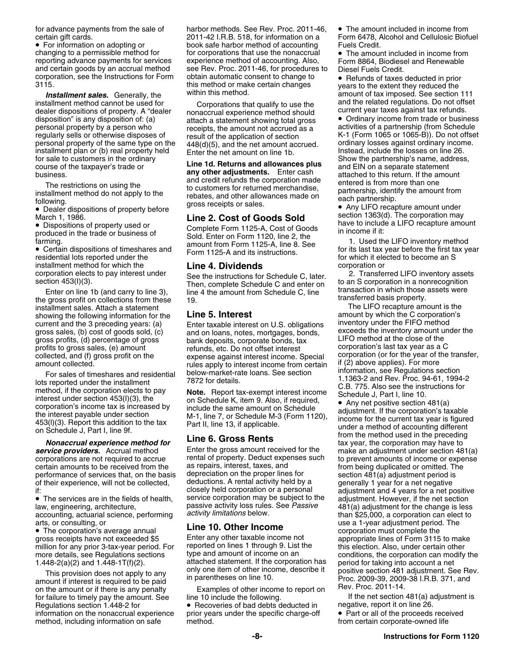• For information on adopting or

installment method cannot be used for corporations that qualify to use the and the related regulations. Do not offset caller dispositions of property. A "dealer nonaccrual experience method should current year taxes agains dealer dispositions of property. A "dealer connectrual experience method should<br>disposition" is any disposition of: (a) attach a statement showing total gross <br>personal property by a person who receipts, the amount not acc regularly sells or otherwise disposes of result of the application of section<br>personal property of the same type on the  $448(d)(5)$ , and the net amount accrued. The ordinary losses against ordinary income.<br>installment plan o installment plan or (b) real property held

• Dealer dispositions of property before

installment method for which the **Line 4. Dividends** corporation or<br>
corporation elects to pay interest under see the instructions for Schedule C. Later 2. Transferred LIFO inventory assets

Enter on line 1b (and carry to line 3), line 4 the amount from Schedule C, line the gross profit on collections from these 19.<br>transferred basis property.<br>installment sales. Attach a statement<br>installment sales. Attach a s installment sales. Attach a statement<br>showing the following information for the **Line 5. Interest** showing the following information for the **Line 5. Interest** and the mount by which the C corporation's current and the 3 preceding vears; (a) Forter taxable interest on U.S. obligations inventory under the FIFO method

1.1363-2 and Rev. Proc. 94-61, 1994-2<br>Iots reported under the installment<br>method, if the corporation elects to pay<br>interest under section 453(I)(3), the on Schedule K, item 9. Also, if required,<br>interest under section 453

*Service providers.* Accrual method for<br> **Service providers.** Accrual method Enter the gross amount received for the make an adjustment under section 481(a)<br>
Enter the gross amount received for the make an adjustment under performance of services that, on the basis depreciation on the proper lines for of their experience, will not be collected. deductions. A rental activity held by a

law, engineering, architecture, passive activity loss rules. See *Passive* 481(a) adjustment for the change is less<br>accounting, actuarial science, performing activity limitations below. Than \$25,000, a corporation can elec accounting, actuarial science, performing

• The corporation's average annual corporation must connect the corporation's average annual corporation must convert<br>complete the must complete the complete the complete the complete the complete the complete the complete gross receipts have not exceeded \$5 Enter any other taxable income not appropriate lines of Form 3115 to make<br>The million for any prior 3-tax-vear period. For reported on lines 1 through 9. List the this election. Also, un million for any prior 3-tax-year period. For reported on lines 1 through 9. List the this election. Also, under certain other<br>more details, see Requiations sections type and amount of income on an conditions, the corporati

for failure to timely pay the amount. See line 10 include the following. If the net section 481(a) adjustment is<br>Regulations section 1.448-2 for **•** Recoveries of bad debts deducted in negative, report it on line 26. Regulations section 1.448-2 for • **•** Recoveries of bad debts deducted in begative, report it on line 26.<br>information on the nonaccrual experience prior years under the specific charge-off • Part or all of the proceeds rec information on the nonaccrual experience prior years under the specific charge-off  $\bullet$  Part or all of the proceeds rece<br>method, including information on safe method. If example the specific charge-off from certain corpora method, including information on safe method.

for advance payments from the sale of harbor methods. See Rev. Proc. 2011-46,  $\bullet$  The amount included in income from certain gift cards. 2011-42 I.R.B. 518, for information on a Form 6478, Alcohol and Cellulosic Biofuel<br>● For information on adopting or book safe harbor method of accounting Fuels Credit. book safe harbor method of accounting changing to a permissible method for for corporations that use the nonaccrual • The amount included in income from reporting advance payments for services experience method of accounting. Also, Form 8864, Biodiesel and Renewable<br>and certain goods by an accrual method see Rev. Proc. 2011-46, for procedures to Diesel Fuels Credit. and certain goods by an accrual method see Rev. Proc. 2011-46, for procedures to Diesel Fuels Credit. corporation, see the Instructions for Form obtain automatic consent to change to • Refunds of taxes deducted in prior<br>3115. this method or make certain changes years to the extent they reduced the<br>2115. Installment sales.

for sale to customers in the ordinary<br>
course of the taxpayer's trade or<br>
business.<br>
The restrictions on using the<br>
installment method do not apply to the<br>
installment method do not apply to the<br>
installment method do not following.<br>• Goss receipts or sales.<br>• Any LIFO recapture amount under • Dealer dispositions of property before • gross receipts or sales.

• Dispositions of property used or Complete Form 1125-A, Cost of Goods<br>produced in the trade or business of Sold. Enter on Form 1120, line 2, the amount from Form 1125-A, Cost of Goods<br>extrain dispositions of timeshares an

current and the 3 preceding years: (a) Enter taxable interest on U.S. obligations inventory under the FIFO method<br>gross sales, (b) cost of goods sold, (c) and on loans, notes, mortgages, bonds, exceeds the inventory amount gross sales, (b) cost of goods sold, (c) and on loans, notes, mortgages, bonds, exceeds the inventory amount un<br>gross profits, (d) percentage of gross bank deposits, corporate bonds, tax LIFO method at the close of the<br>pro profits to gross sales, (e) amount refunds, etc. Do not offset interest corporation's last tax year as a C<br>collected, and (f) gross profit on the expense against interest income. Special corporation (or for the year of the collected, and (f) gross profit on the expense against interest income. Special corporation (or for the year of t<br>collected. The transfer of transfer and the same transfer, experience income from certain if (2) above appli ount collected.<br>For sales of timeshares and residential below-market-rate loans. See section information, see Regulations section<br>For sales of timeshares and residential below-market-rate loans. See section 1.1363-2 and Re

corporations are not required to accrue rental of property. Deduct expenses such to prevent amounts of income or expense<br>certain amounts to be received from the as repairs, interest, taxes, and from being duplicated or omi as repairs, interest, taxes, and from being duplicated or omitted. The depreciation on the proper lines for section 481(a) adjustment period is of their experience, will not be collected, deductions. A rental activity held by a generally 1 year for a net negative<br>if: closely held corporation or a personal if: adjustment and 4 years for a net positive<br>The services • The services are in the fields of health, service corporation may be subject to the adjustment. However, if the net section

**Installment sales.** Generally, the within this method. and amount of tax imposed. See section 111

personal property by a person who receipts, the amount not accrued as a activities of a partnership (from Schedule<br>regularly sells or otherwise disposes of result of the application of section and K-1 (Form 1065 or 1065-B)

March 1, 1986. **Section 1363(d). The corporation may Line 2. Cost of Goods Sold** section 1363(d). The corporation may have to include a LIFO recapture amount • Dispositions of property used or complete Form 1125-A, Cost

Tarming.<br>• Certain dispositions of timeshares and form 1125-A and its instructions.<br>Form 1125-A and its instructions. residential lots reported under the reported under the first tax year for which it elected to become an

corporation elects to pay interest under 2. Transferred LIFO inventory assets Section 453(I)(3).<br>Then, complete Schedule C and enter on to an S corporation in a nonrecognition<br>Enter on line 1b (and carry to line 3), line 4

corporation's income tax is increased by include the same amount on Schedule M, item is Also, in required,<br>the interest payable under section and the interest payable under section<br>453(l)(3). Report this addition to the ta arts, or consulting, or use a 1-year adjustment period. The **Line 10. Other Income** use a 1-year adjustment period. The **•** The corporation's average annual **Line 10. Other Income •** corporation must complete the more details, see Regulations sections type and amount of income on an conditions, the corporation can modify the<br>1.448-2(a)(2) and 1.448-1T(f)(2). and the corporation has period for taking into account a net 1.448-2(a)(2) and 1.448-1T(f)(2). attached statement. If the corporation has period for taking into account a net<br>This provision does not apply to any only one item of other income, describe it positive section 481 adjustm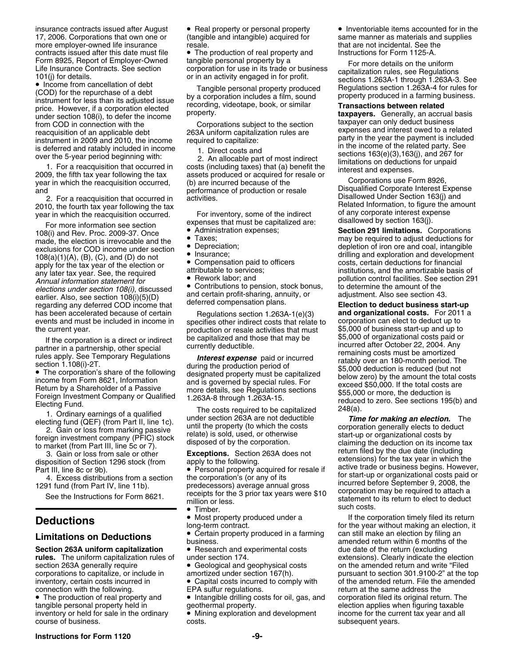17, 2006. Corporations that own one or (tangible and intangible) acquired for same manner as materials and supplies more employer-owned life insurance resale. more employer-owned life insurance contracts issued after this date must file • The production of real property and Instructions for Form 1125-A.

• Income from cancellation of debt<br>
(COD) for the repurchase of a debt composition includes a film, sound<br>
instrument for less than its adjusted issue<br>
instrument for less than its adjusted issue<br>
inform COD in connection

2. For a reacquisition that occurred in activities.<br>2010, the fourth tax year following the tax activities expense<br>2010, the fourth tax year following the tax Related Information, to figure the amount vear in which the rea

Administration expenses;<br> **Section 291 limitations.** Corporations 108(i) and Rev. Proc. 2009-37. Once **Concerned Administration expenses;**<br>
Taxes;<br> **Section 291 limitations.** Corporations for made, the election is irrevocable and the • Taxes;<br>
may be required to adjust deductions for<br>
exclusions for COD income under section<br>
• Depreciation;<br>
• Depreciation;<br>
• Depreciation; Precisions for COD income under section <br> **Depreciation;** exclusions for COD income under section <br> **Depreciation;** exclusion of iron ore and coal, intangible last and income under section **b** Insurance; drilling and explo  $108(a)(1)(A), (B), (C), and (D) do not apply for the tax year of the election or$ Compensation paid to officers costs, certain deductions for financial apply for the tax year of the election or<br>any later tax year. See, the required attributable to services; institutions, and the amortizable basis of<br>Ann elections under section 108(i), discussed<br>earlier. Also, see section 108(i)(5)(D) and certain profit-sharing, annuity, or adjustment. Also see section 43.<br>regarding any deferred COD income that deferred compensation plans. has been accelerated because of certain Regulations section 1.263A-1(e)(3) **and organizational costs.** For 2011 and **and State Leganizations** events and must be included in income in specifies other indirect costs that rel events and must be included in income in specifies other indirect costs that relate to corporation can elect to deduct up to<br>the current year. when the current year.

### **Section 263A uniform capitalization** • Research and experimental costs due date of the return (excluding

section 263A generally require • Geological and geophysical costs on the amended return and write "Filed<br>corporations to capitalize, or include in amortized under section 167(h). pursuant to section 301.9100-2" at the

• The production of real property and tangible personal property held in example of the geothermal property.<br>19 inventory or held for sale in the ordinary **Common Propential System and development** income for the current tax year and all inventory or held for sale in the ordinary • Mining exploration and development course of business.

year in which the reacquisition occurred, (b) are incurred because of the Corporations use Form 8926,<br>performance of production or resale Disqualified Corporate Interest Expense<br>2 For a reacquisition that occurred in activ

year in which the reacquisition occurred. For inventory, some of the indirect of any corporate interest expenses that must be capitalized are: disallowed by section 163(j). For more information see section  $\epsilon$  alministration supercontinuous section • Administration expenses;

- 
- •
- •
- 
- 
- 

• Contributions to pension, stock bonus,

the current year.<br>production or resale activities that must \$5,000 of business start-up and up to<br>If the corporation is a direct or indirect be capitalized and those that may be \$5,000 of organizational costs paid or

such costs. •

- Timber.
- Most property produced under a
- Certain property produced in a farming can still make an election by filing an **Limitations on Deductions** business. amended return within 6 months of the
	-
	-
	-
	-
	- Intangible drilling costs for oil, gas, and
	- costs. costs. **costs.** subsequent years.

insurance contracts issued after August • Real property or personal property • Inventoriable items accounted for in the

Form 8925, Report of Employer-Owned<br>
Life Insurance Contracts. See section corporation for use in its trade or business<br>
101(j) for details. ee Regulations<br>
101(j) for details.<br>
• Income from cancellation of debt<br>
• Income

pollution control facilities. See section 291<br>to determine the amount of the

If the corporation is a direct or indirect be capitalized and those that may be  $\frac{$5,000}{0}$  of organizational costs paid or<br>partner in a partnership, other special currently deductible.<br>rules apply. See Temporary Regulat

• The corporation's share of the following designated property must be capitalized<br>
income from Form 8621, Information<br>
Electing players are more details, see Regulations sections<br>
Electing fund (DEF) (from Part II, line 1

**Deductions 19. If the corporation imely filed its return Deductions 19. If the corporation timely filed its return** long-term contract. **If is return** for the year without making an election, it **rules.** The uniform capitalization rules of under section 174. extensions). Clearly indicate the election amortized under section 167(h). pursuant to section 301.9100-2" at the top inventory, certain costs incurred in • Capital costs incurred to comply with of the amended return. File the amended connection with the following. EPA sulfur regulations. return at the same address the<br>• The production of real property and • Intangible drilling costs for oil, gas, and corporation filed its original return. The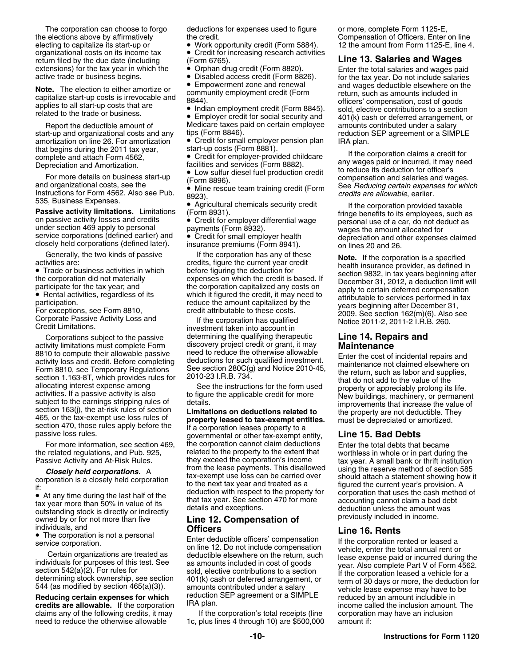the elections above by affirmatively the credit.<br>
electing to capitalize its start-up or • Work opportunity credit (Form 5884). 12 the amount from Form 1125-E, line 4 return filed by the due date (including (Form 6765).<br>
extensions) for the tax year in which the **•** Orphan drug credit (Form 8820). Enter the total salaries and wages paid extensions) for the tax year in which the • Orphan drug credit (Form 8820).<br>active trade or business begins. • Disabled access credit (Form 8826).

start-up and organizational costs and any tips (Form 8846).<br>amortization on line 26. For amortization • Credit for small employer pension plan amortization on line 26. For amortization • Credit for small employer pension plan IRA plan.<br>that begins during the 2011 tax year. start-up costs (Form 8881).

Mine rescue team training credit (Form Instructions for Form 4562. Also see Pub. *credits are allowable*, earlier. 8923). 535, Business Expenses. •

activity limitations must complete Form discovery project credit or grant, it may **Maintenance** 8810 to compute their allowable passive<br>activity loss and credit. Before completing deductions for such qualified investment.<br>Form 8810, see Fermont See See Section 280C(g) and Notice 2010-45,<br>section 1.163-8T, which provi

the related regulations, and Pub. 925, related to the property to the extent that worthless in whole or in part during the

• At any time during the last half of the deduction will respect to the property for corporation intat uses the cash ment<br>tax year more than 50% in value of its that tax year. See section 470 for more<br>outstanding stock is

The corporation is not a personal

**credits are allowable.** If the corporation IRA plan.<br>
If the corporation's total receipts (line corporation may have an inclusion claims any of the following credits, it may If the corporation's total receipts (line corpo claims any of the following credits, it may If the corporation's total receipts (line corporation may have an inclusion need to reduce the otherwise allowable 1c, plus lines 4 through 10) are \$500,000 amount if:

The corporation can choose to forgo deductions for expenses used to figure or more, complete Form 1125-E,

organizational costs on its income tax • Credit for increasing research activities

• Empowerment zone and renewal

Generally, the two kinds of passive If the corporation has any of these activities are:<br>
Trade or business activities in which before figuring the deduction is a specified health insurance provider, as defined in •<br>
Trade

Corporations subject to the passive determining the qualifying therapeutic **Line 14. Repairs and**<br>ivity limitations must complete Form discovery project credit or grant, it may **Maintenance** 

For more information, see section 469, the corporation cannot claim deductions Enter the total debts that became<br>Final perceptions and Pub. 925, related to the property to the extent that worthless in whole or in part duri Passive Activity and At-Risk Rules. they exceed the corporation's income tax year. A small bank or thrift institution<br>from the lease payments. This disallowed using the reserve method of section 585 Closely held corporations. A<br>corporation is a closely held corporation and trom the lease payments. This disallowed using the reserve method of section 585<br>corporation is a closely held corporation to the next tax year an

on the distribution of the component of the component of a salary<br>**Reducing certain expenses for which** reduction SEP agreement or a SIMPLE reduced by an amount includible in<br>**Credits are allowable** if the comporation IRA

1c, plus lines 4 through 10) are  $$500,000$  amount if:

12 the amount from Form 1125-E, line 4.

for the tax year. Do not include salaries **Note.** The election to either amortize or<br>
capitalize start-up costs is irrevocable and<br>
applies to all start-up costs that are and a base and applies to all start-up costs that are and a base indian employment credit (Fo applies to all start-up costs that are<br>  $\bullet$  Indian employment credit (Form 8845). Sold, elective contributions to a section<br>  $\bullet$  Employer credit for social security and 401(k) cash or deferred arrangement. 401(k) cash or deferred arrangement, or Report the deductible amount of Medicare taxes paid on certain employee amounts contributed under a salary<br>The paid organizational costs and any tips (Form 8846).

that begins during the 2011 tax year,<br>
complete and attach Form 4562,<br>
Depreciation and Amortization. facilities and services (Form 8882). any wages paid or incurred, it may need<br> **Depreciation and Amortization. a** low s Low sulfur diesel fuel production credit to reduce its deduction for officer's<br>
For more details on business start-up<br>
and organizational costs, see the Mine rescue team training credit (Form See *Reducing certain expenses* 

**Passive activity limitations.** Limitations (Form 8931).<br> **Passive activity limitations.** Limitations (Form 8931).<br>
on passive activity losses and credits on passive activity losses and credits on passive activity losses a

• Trade or business activities in which before figuring the deduction for<br>the corporation did not materially expenses on which the credit is based. If<br>participate for the tax year; and the corporation capitalized any costs • Rental activities, regardless of its which it figured the credit, it may need to account apitalized by the amount capitalized by the amount capitalized by the exceptions, see Form 8810, credit attributable to these costs

Enter deductible officers' compensation<br>
Service corporation.<br>
Certain organizations are treated as<br>
individuals for purposes of this test. See<br>
section 542(a)(2). For rules for<br>
determining stock ownership, see section<br>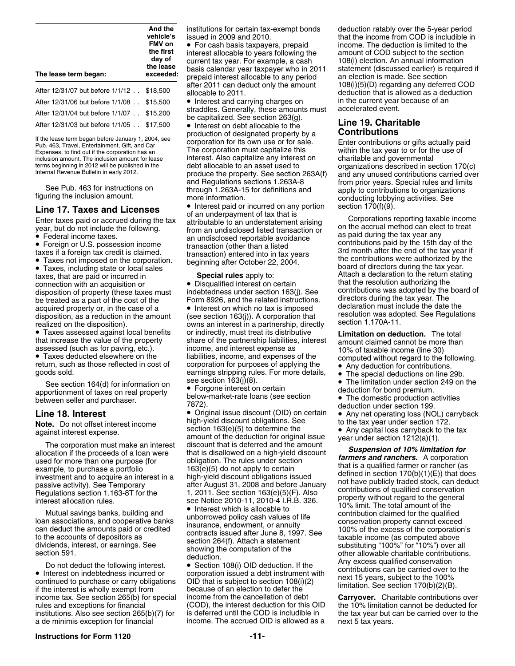| vehicle's<br><b>FMV</b> on<br>the first<br>day of<br>the lease<br>The lease term began:<br>exceeded: |          | "Notitations for contain tax oxonipt bondo<br>issued in 2009 and 2010.<br>• For cash basis taxpayers, prepaid<br>interest allocable to years following the<br>current tax year. For example, a cash<br>basis calendar year taxpayer who in 2011<br>prepaid interest allocable to any period | that the income from CO<br>income. The deduction is<br>amount of COD subject<br>108(i) election. An annua<br>statement (discussed ea<br>an election is made. See |
|------------------------------------------------------------------------------------------------------|----------|---------------------------------------------------------------------------------------------------------------------------------------------------------------------------------------------------------------------------------------------------------------------------------------------|------------------------------------------------------------------------------------------------------------------------------------------------------------------|
| After 12/31/07 but before 1/1/12.                                                                    | \$18,500 | after 2011 can deduct only the amount<br>allocable to 2011.                                                                                                                                                                                                                                 | 108(i)(5)(D) regarding ar<br>deduction that is allowed                                                                                                           |
| After 12/31/06 but before 1/1/08.                                                                    | \$15,500 | • Interest and carrying charges on                                                                                                                                                                                                                                                          | in the current year becau                                                                                                                                        |
| After 12/31/04 but before 1/1/07                                                                     | \$15,200 | straddles. Generally, these amounts must<br>be capitalized. See section $263(q)$ .                                                                                                                                                                                                          | accelerated event.                                                                                                                                               |
| After 12/31/03 but before 1/1/05                                                                     | \$17.500 | • Interest on debt allocable to the<br>production of decianated property by a                                                                                                                                                                                                               | Line 19. Charitable<br>Contributions                                                                                                                             |

• Federal income taxes.

- 
- Foreign or U.S. possession income
- 

• Taxes, including state or local sales board of directors during the tax year.<br>
poard of directors during the tax year. taxes, that are paid or incurred in **Special rules** apply to: Attach a declaration to the return stating<br>
connection with an acquisition or **Connection in the return stating**<br> **Connection with an acquisition or Connectio** connection with an acquisition or  $\bullet$ 

• Taxes deducted elsewhere on the

See section 164(d) for information on see section 163(j)(8).<br>  $\bullet$  The limitation under section 249 on the • Forgone interest on certain deduction for bond premium.

• Interest on indebtedness incurred or<br>
• Interest on indebtedness incurred or<br>
contribution issued a debt instrument with<br>
contributions can be carried over to the<br>
contributions can be carried over to the<br>
contributions income tax. See section 265(b) for special rules and exceptions for financial (COD), the interest deduction for this OID the 10% limitation cannot be deducted for<br>institutions. Also see section 265(b)(7) for is deferred until the COD is includible in the tax vear b institutions. Also see section 265(b)(7) for is deferred until the COD is includible in the tax year but can be carried over to the a de minimis exception for financial income. The accrued OID is allowed as a next 5 tax ye

**And the** institutions for certain tax-exempt bonds deduction ratably over the 5-year period

• For cash basis taxpayers, prepaid the first interest allocable to years following the amount of COD subject to the section<br>day of the lease term began:<br>The lease term began: exceeded: prepaid interest allocable to any period an election is made. See sectio after 2011 can deduct only the amount  $108(i)(5)(D)$  regarding any deferred COD allocable to 2011.

 $\bullet$  Interest and carrying charges on in the current year because of an straddles. Generally, these amounts must accelerated event. straddles. Generally, these amounts must accelerated event.<br>be capitalized. See section 263(g).<br>• Interest on debt allocable to the **Line 19. Charitable** 

production of designated property by a **Contributions** If the lease term began before January 1, 2004, see corporation for its own use or for sale.<br>
Pub. 463, Travel, Enter contributions or gifts actually paid  $\frac{1}{2}$  and Care corporation for its own use or for sale. Inter Expenses, to find out if the corporation has an The corporation must capitalize this within the tax year to or for the use of inclusion amount. The inclusion amount for lease interest. Also capitalize any interest on chari inclusion amount. The inclusion amount for lease interest. Also capitalize any interest on charitable and governmental<br>terms beginning in 2012 will be published in the debt allocable to an asset used to organizations descr

• Interest paid or incurred on any portion **Line 17. Taxes and Licenses** <br>
Enter taxes paid or accrued during the tax attributable to an understatement arising<br>
year, but do not include the following. <br>
year, but do not include the following. <br>
from an undisclosed from an undisclosed listed transaction or<br>an undisclosed reportable avoidance as paid during the tax year any • Foreign or U.S. possession income<br>taxes if a foreign tax credit is claimed.<br>• Taxes not imposed on the corporation, the corporation of the corporation of the corporation of the corporation<br>• Taxes not imposed on the corp • Taxes not imposed on the corporation. the beginning after October 22, 2004. The contributions were authorized by the beginning after October 22, 2004.

Form 8926, and the related instructions. directors during the tax year. The  $\bullet$  loterest on which no tax is imposed declaration must include the date the acquired property or, in the case of a **•** Interest on which no tax is imposed declaration must include the date the<br>disposition, as a reduction in the amount (see section 163(i)). A corporation that resolution was adopted disposition, as a reduction in the amount (see section 163(j)). A corporation that resolution was adopted. The<br>The realized on the disposition). realized on the disposition of the answers owns an interest in a partnership, • Taxes assessed against local benefits or indirectly, must treat its distributive **Limitation on deduction.** The total • Taxes assessed against local benefits or indirectly, must treat its distributive **Limitation on deduction.** The total that increase the value of the property share of the partnership liabilities, interest amount claimed assessed (such as for paving, etc.). income, and interest expense as for taxable income (line 30)<br>• Taxes deducted elsewhere on the liabilities, income, and expenses of the computed without regard to the Taxes deducted elsewhere on the liabilities, income, and expenses of the computed without regard to the following.<br>The return, such as those reflected in cost of corporation for purposes of applying the • Any deduction for goods sold. earnings stripping rules. For more details,  $\bullet$ 

apportionment of taxes on real property<br>below-market-rate loans (see section and purchaser.<br>7872). The domestic production activities<br>deduction under section 199.

**Line 18. Interest** • Original issue discount (OID) on certain • Any net operating loss (NOL) carryback<br>Note Do not offset interest income high-yield discount obligations. See to the tax year under section 172. Note. Do not offset interest income high-yield discount obligations. See to the tax year under section 172.<br>against interest expense. https://www.com/model/discount of the deduction for original issue of Any capital loss c The corporation must make an interest<br>
allocation if the proceeds of a loan were<br>
used for more than one purpose (for<br>
example, to purchase a portfolio<br>
investment and to acquire an interest in a<br>
messive activity). See Te

income. The accrued OID is allowed as a next 5 tax years.

**vehicle's** issued in 2009 and 2010. that the income from COD is includible in income. The deduction is limited to the

Internal Revenue Bulletin in early 2012. produce the property. See section 263A(f) and any unused contributions carried over<br>and Regulations sections 1.263A-8 from prior vears. Special rules and limits See Pub. 463 for instructions on and Regulations sections 1.263A-8 from prior years. Special rules and limits<br>
figuring the inclusion amount.<br> **Example inclusion amount.**<br> **Example inclusion amount.**<br> **Example increased by** 

disposition of property (these taxes must indebtedness under section 163(j). See contributions was adopted by the board of be treated as a part of the cost of the Form 8926, and the related instructions. directors during t

- 
- The special deductions on line 29b.
- 

- 
- 

Mutual savings banks, building and<br>
loan associations, and cooperative banks<br>
can deduct the amounts paid or credited<br>
to the accounts of depositors as<br>
can deduct the amounts paid or credited<br>
to the accounts of depositor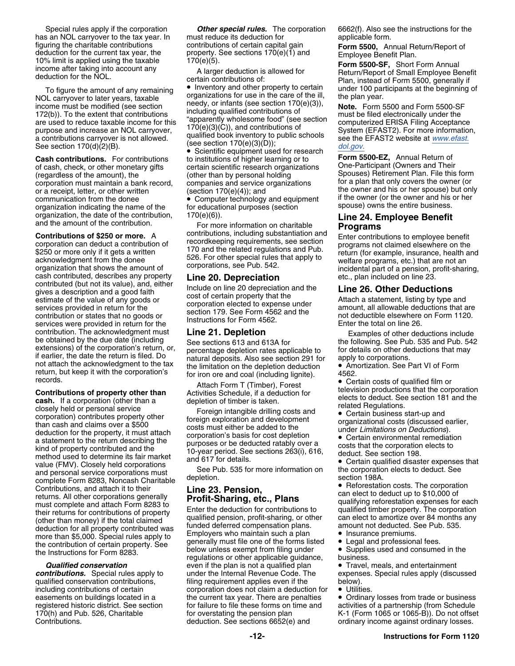Special rules apply if the corporation *Other special rules.* The corporation 6662(f). Also see the instructions for the has an NOL carryover to the tax year. In must reduce its deduction for applicable form.<br>
figuring the charitable contributions contributions of certain capital gain **Form 5500.** Ar Figuring the charitable contributions contributions contributions of certain capital gain deduction for the current tax year, the property. See sections 170(e)(1) and 10% limit is applied using the taxable  $170(e)(5)$ .<br>
The

To figure the amount of any remaining<br>
NOL carryover to later years, taxable<br>
income must be modified (see section<br>
172(b)). To the extent that contributions<br>
are used to reduce taxable income for this<br>
purpose and increa

of cash, check, or other monetary gifts certain scientific research organizations (regardless of the amount), the (other than by personal holding corporation must maintain a bank record, companies and service organizations or a receipt, letter, or other written  $(section 170(e)(4))$ ; and communication from the donee • Computer technology and equipment if the owner (or the owner and his or and his<br>Computer technology and equipment if the owner (or the owner and his organization indicating the name of the s organization indicating the name of the spouse for educational purposes (section organization, the date of the contribution,  $170(e)(6)$ ).

**Contributions of \$250 or more.** A<br>contributions, including substantiation and<br>sexence the method of the contribution of<br>\$250 or more only if it gets a written<br>\$250 or more only if it gets a written<br>acknowledgment from the contributed (but not its value), and, either **Include on line 20 depreciation and the Line 26. Other Deductions**<br>
estimate of the value of any goods or cost of certain property that the **Line 26. Other Deductions**<br>
Attac given a discussion and good contribution or states the value of any goods or cost of certain property that the<br>services provided in return for the section 179. See Form 4562 and the contribution or states that no goods or<br> contribution. The acknowledgment must<br>be obtained by the due date (including<br>extensions) of the corporation's return, or,<br>if earlier, the date the return is filed. Do<br>not attach the acknowledgment to the tax<br>not attach the return, but keep it with the corporation's for iron ore and coal (including lignite). 4562. records. •

Comporation) contributes property other<br>
than cash and claims over a \$500<br>
deduction for the property, it must attach<br>
deduction for the property, it must attach<br>
deduction for the property, it must attach<br>
deduction for t a statement to the return describing the corporation s basis for cost depletion<br>kind of property contributed and the proposes or be deducted ratably over a costs that the corporation elects to<br>method used to determine its value (FMV). Closely held corporations<br>and personal service corporations must<br>complete Form 8283, Noncash Charitable<br>complete Form 8283, Noncash Charitable<br>complete Form 8283, Noncash Charitable<br>complete Form 8283, Noncash Examplete Form 8283, Noncash Charitable depiction.<br>
Contributions, and attach it to their **Line 23. Pension, Contribution costs. The corporation**<br>
reforms. All other corporations generally **Profit-Sharing, etc., Plans** c must complete and attach Form 8283 to **Profit-Sharing, etc., Plans** qualifying reforestation expenses for each their returns for contributions of property and their returns for contributions of property  $\frac{E$  and a strate their returns for contributions of property<br>(other than money) if the total claimed<br>deterred compensation plans. amount not deducted. See Pub. 535.<br>deduction for all property contributed was<br>deduction for all property cont deduction for all property contributed was<br>more than \$5,000. Special rules apply to Employers who maintain such a plan • Insurance premiums.<br>the contribution of certain property. See generally must file one of the forms li

**•** Scientific equipment used for research **Cash contributions.** For contributions **Form 5500-EZ, Annual Return of** to institutions of higher learning or to **Form 5500-EZ**, Annual Return of their contributions centric research organizations One-Participant (Owners (other than by personal holding Spouses) Retirement Plan. File this form<br>companies and service organizations for a plan that only covers the owner (or

organization, the date of the contribution, 170(e)(6)).<br>
and the amount of the contribution. For more information on charitable **Programs**<br> **Contributions of \$250 or more.** A contributions, including substantiation and Fot

TO-year period. See sections 263(i), 616, deduct. See section 198.<br>and 617 for details. • Certain qualified disaster expenses that

the contribution of certain property. See generally must file one of the forms listed Clear and professional rees.<br>the Instructions for Form 8283.<br>regulations or other applicable guidance, business. **Gualified conservation** even if the plan is not a qualified plan • Travel, meals, and entertainment **contributions.** Special rules apply to under the Internal Revenue Code. The expenses. Special rules apply (discu *conterstianglians. Special ruler the under the Inder the Internal Revenue Code. The expenses under the Internal Revenue Code. The expenses. Special rules apply (discussed* qualified conservation contributions, filing requirement applies even if the below). including contributions of certain excorporation does not claim a deduction for • Utilities.<br>easements on buildings located in a excorp the current tax year. There are penalties • Ordinary losses from trade or business the current tax year. There are penalties registered historic district. See section for failure to file these forms on time and activities of a partnership (from Schedule<br>170(h) and Pub. 526, Charitable for overstating the pension plan K-1 (Form 1065 or 1065-B)). 170(h) and Pub. 526, Charitable for overstating the pension plan K-1 (Form 1065 or 1065-B)). Do not offset 1065-<br>Contributions. deduction. See sections 6652(e) and ordinary income against ordinary losses.

the owner and his or her spouse) but only<br>if the owner (or the owner and his or her

Fecords.<br>
Contributions of property other than<br>
Contributions of property other than<br>
Cash. If a corporation (other than a depletion of timber is taken.<br>
Contributions of property other than a depletion of timber is taken.

- 
- 

ordinary income against ordinary losses.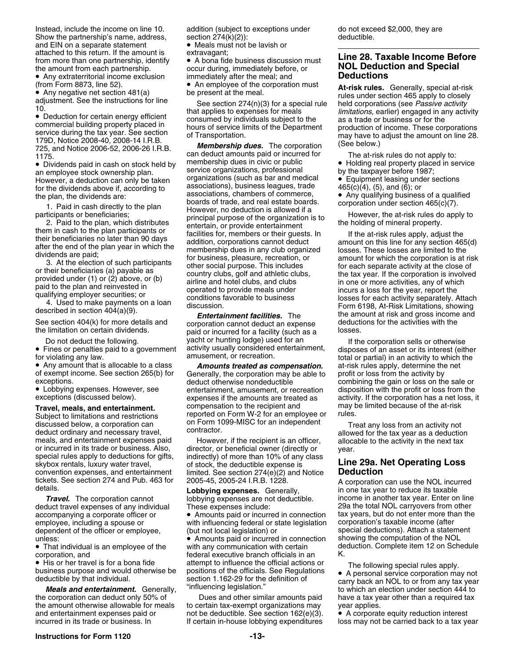Instead, include the income on line 10. Addition (subject to exceptions under do not exceed \$2,000, they are Show the partnership's name, address, section  $274(k)(2)$ : dexistion of Dietal deductible.<br>Show the partnership's name, address,  $\bullet$  Meals must not be lavish or and EIN on a separate statement attached to this return. If the amount is extravagant;<br>
from more than one partnership, identify <br>
the amount from each partnership.<br>
the amount from each partnership.<br>
the amount from each partnership.<br>
the amount from e

• Deduction for certain energy efficient<br>
consumed by individuals subject to the<br>
service during the tax year. See section<br>
service during the tax year. See section<br>
179D, Notice 2008-40, 2008-14 I.R.B.<br>
179D, Notice 2008-

However, a deduction can only be taken organizations (such as bar and medical  $\bullet$  Equipment leasing under sections associations), business leagues, trade 465(c)(4), (5), and (6); or associations, chambers of commerce,  $\bullet$ 

• Lobbying expenses. However, see

discussed below, a corporation can a comprom 1099-MISC for an independent<br>deduct ordinary and necessary travel, contractor.<br>meals, and entertainment expenses paid However, if the recipient is an officer, allocable to the a special rules apply to deductions for gifts, indirectly) of more than 10% of any class<br>skybox rentals, luxury water travel, of stock, the deductible expense is **Line 29a. Net Operating Loss**<br>convention expenses, and entert convention expenses, and entertainment limited. See section 274(e)(2) and Notice tickets. See section 274 and Pub. 463 for 2005-45, 2005-24 I.R.B. 1228.

dependent of the officer or employee, (but not local legislation) or special deductions). Attach a statement unless:<br>Amounts paid or incurred in connection showing the computation of the NOL

• That individual is an employee of the corporation, and **federal executive branch officials in an** federal executive branch officials in an

• His or her travel is for a bona fide • His or her travel is for a bona fide attempt to influence the official actions or<br>business purpose and would otherwise be positions of the officials. See Regulations • A personal service corporation may not

*Meals and entertainment.* Generally, "influencing legislation. The to which an election under section 444 to<br>the corporation can deduct only 50% of Dues and other similar amounts paid have a tax year other than a required the amount otherwise allowable for meals to certain tax-exempt organizations may year applies. and entertainment expenses paid or and the deductible. See section 162(e)(3). • A corporate equity reduction interest<br>incurred in its trade or business. In freertain in-house lobbying expenditures boss may not be carried b

• Any extraterritorial income exclusion immediately after the meal; and **Deductions** 

1175. and Notice 2006-52, 2006-26 I.R.B. The corporation (Sec Below.)<br>1175. can deduct amounts paid or incurred for The at-risk rules do not apply to:<br>• Dividends paid in cash on stock held by membership dues in civic or • Dividends paid in cash on stock held by membership dues in civic or public • Holding real property placed in service • Dividends paid in cash on stock held by membership dues in civic or public exact of Holding real property placed in service an employee stock ownership plan.<br>
However, a deduction can only be taken organizations (such as the plan, the dividends are:<br>
the plan, the dividends are:<br>
the plan, the dividends are:<br>
the plan, the dividends are:<br>
are:<br>
participants of benchical participants of the plan<br>
participants of the plan, which distributes<br>

See section 404(k) for more details and corporation cannot deduct an expense deductions for the activities with the the limitation on certain dividends. paid or incurred for a facility (such as a Do not deduct the following. yacht or hunting lodge) used for an If the corporation sells or otherwise<br>Fines or penalties paid to a government activity usually considered entertainment, disposes of an asset or its interest

• Any amount that is allocable to a class *Amounts treated as compensation.* at-risk rules apply, determine the net of exempt income. See section 265(b) for Generally, the corporation may be able to profit or loss from the activity by exceptions. deduct otherwise nondeductible combining the gain or loss on the sale or • Lobbying expenses. However, see entertainment, amusement, or recreation disposition with the profit or loss from the exceptions (discussed below). expenses if the amounts are treated as a activity. If the corporation has **Travel, meals, and entertainment.** Compensation to the recipient and may be limited be at a reported on Form W-2 for an employee or the subset of the Subjections and rectrictions Subject to limitations and restrictions reported on Form W-2 for an employee or discussed below, a corporation can on Form 1099-MISC for an independent

accompanying a corporate officer or • Amounts paid or incurred in connection tax years, but do not enter more than employee, including a spouse or • • • with influencing federal or state legislation corporation's taxable i employee, including a spouse or with influencing federal or state legislation corporation's taxable income (after<br>dependent of the officer or employee, (but not local legislation) or special deductions). Attach a statement

unless: • • Computation showing the Computation showing the Computation showing the Computation of the NOLL of the NOLL of the NOLL of the NOLL of the NOLL of the NOLL of the NOLL of the NOLL of the NOLL of the NOLL of the

(from Form 8873, line 52). • An employee of the corporation must **At-risk rules.** Generally, special at-risk •• Any negative net section 481(a) be present at the meal. The meanus of the metric of the section of the section of the section 274(n)(3) for a special rule indicator of the section of the section of the metric of the pres

• Fines or penalties paid to a government activity usually considered entertainment, disposes of an asset or its interest (either amusement, or recreation. for violating any law. total or partial) in an activity to which the expenses if the amounts are treated as activity. If the corporation has a net loss, it compensation to the recipient and may be limited because of the at-risk

tickets. See section 274 and Pub. 463 for 2005-45, 2005-24 I.R.B. 1228.<br> **Lobbying expenses.** Generally, a mone tax year to reduce its taxable<br> **Travel.** The corporation cannot bobbying expenses are not deductible. Income *Iobbying expenses are not deductible.* income in another tax year. Enter on line<br>These expenses include: **income the search cannotate** 29a the total NOL carryovers from other deduct travel expenses of any individual These expenses include: 29a the total NOL carryovers from other accompanying a corporate officer or  $\bullet$  Amounts paid or incurred in connection tax years, but do not enter more than with any communication with certain deduction. Complete item 12 on Schedule<br>federal executive branch officials in an dK

deductible by that individual. section 1.162-29 for the definition of carry back an NOL to or from any tax year<br>Meals and entertainment. Generally "influencing legislation." to which an election under section 444 to have a tax year other than a required tax

loss may not be carried back to a tax year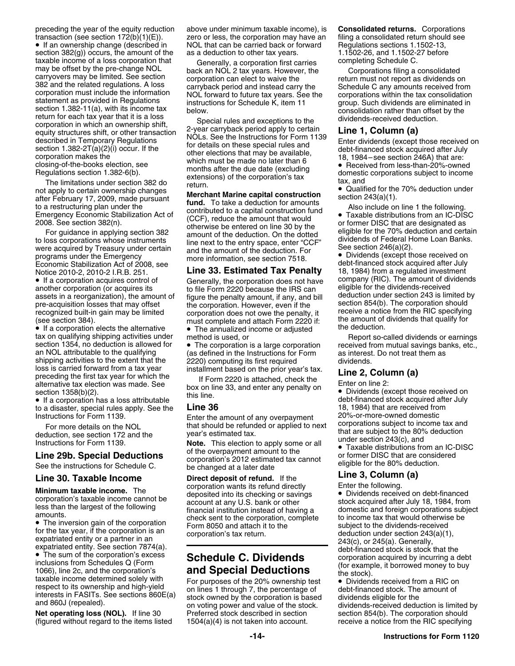taxable income of a loss corporation that Generally, a corporation first carries completing Schedule C.<br>may be offset by the pre-change NOL back an NOL 2 tax years. However, the Corporations filing a may be offset by the pre-change NOL back an NOL 2 tax years. However, the<br>carryovers may be limited. See section<br>382 and the related regulations. A loss carryback period and instead carry the<br>corporation must include the i corporation in which an ownership shift,

The limitations under section 382 do<br>
not apply to certain ownership changes<br>
after February 17, 2009, made pursuant<br> **Example 2014** and **Example 2014** and a section 243(a)(1).

were acquired by Treasury under certain and the amount of the deduction. For programs under the Emergency more information, see section 7518.<br>
Economic Stabilization Act of 2008, see **Line 33. Estimated Tax Penalty** 18, 19

• If a corporation acquires control of Generally, the corporation does not have company (RIC). The amount of dividends • If a corporation acquires control of Generally, the corporation does not have company (HIC). The amount of dividends another corporation (or acquires its to file Form 2220 because the IRS can eligible for the dividends-r assets in a reorganization), the amount of figure the penalty amount, if any, and bill deduction under section 243 is limited by<br>pre-acquisition losses that may offset the corporation. However, even if the section 854(b). recognized built-in gain may be limited corporation does not owe the penalty, it<br>(see section 384). example: example and attach Form 2220 if:

• If a corporation elects the alternative  $\qquad \bullet$  The annualized income or adjusted  $\qquad \qquad$  the deduction. shipping activities to the extent that the  $\frac{2220}{ }$  computing its first required dividends.<br>loss is carried forward from a tax year installment based on the prior year's tax. loss is carried forward from a tax year installment based on the prior year's tax.<br>
preceding the first tax year for which the latternative tax election was made. See box on line 33, and enter any penalty on Enter on line

• If a corporation has a loss attributable debt-financed stock acquired after July to a disaster, special rules apply. See the **Line 36** 18, 1984) that are received from<br>Instructions for Form 1139. **Enter the amount of any overnayment** 20%-or-more-owned domestic

For more details on the NOL that should be refunded or applied to next corporations subject to income tax and<br>deduction, see section 172 and the year's estimated tax.<br>Instructions for Form 1139. **Note.** This election to ap

• The inversion gain of the corporation Form 8050 and attach it to the subject to the dividends-received<br>for the tax year, if the corporation is an expatriated entity or a partner in an expatriated entity. See section 7874 • The sum of the corporation's excess • The sum of the corporation's excess inclusions from Schedules Q (Form<br>
1066), line 2c, and the corporation's<br>
taxable income determined solely with<br>
respect to its ownership and high-yield<br>
interests in FASITs. See secti

**Net operating loss (NOL).** If line 30 Preferred stock described in section section 854(b). The corporation should (figured without regard to the items listed 1504(a)(4) is not taken into account. receive a notice from the (figured without regard to the items listed

preceding the year of the equity reduction above under minimum taxable income), is **Consolidated returns.** Corporations transaction (see section 172(b)(1)(E)). zero or less, the corporation may have an filing a consolidated return should see<br>• If an ownership change (described in NOL that can be carried back or forward Regulations sections • If an ownership change (described in NOL that can be carried back or forward Regulations sections 1.1502-13, section 382(g)) occurs, the amount of the as a deduction to other tax years. 1.1502-26, and 1.1502-27 before

Equity structures shift, or other transaction<br>
described in Temporary Regulations<br>
action 1.382-2T(a)(2)(i) occur. If the<br>
corporation makes the<br>
corporation makes the<br>
closing-of-the-books election, see<br>
Regulations secti

Factor February 17, 2009, made pursuant<br>time capital construction<br>to a restructuring plan under the<br>Emergency Economic Stabilization Act of<br>2008. See section 382(n).<br>For guidance in applying section 382<br>to loss corporation

Instructions for Form 1139.<br>For more details on the NOL that should be refunded or applied to next corporations subject to income tax and

**Example of the Security of the overpayment amount to the**<br>
See the instructions for Schedule C.<br>
See the instructions for Schedule C.<br>
See the instructions for Schedule C.<br>
See the instructions for Schedule C.<br>
See the in

**Line 30. Taxable Income Direct deposit of refund.** If the **Line 3, Column (a) Line 3, Column (a) Inter the following. Minimum taxable income.** The corporation wants its refund directly Enter the following.<br>
corporation's taxable income cannot be deposited into its checking or savings • Dividends received on debt-financed<br>
corporation's t

Notice 2010-2, 2010-2 I.R.B. 251. **Line 33. Estimated Tax Penalty** 18, 1984) from a regulated investment<br>● If a corporation acquires control of Generally, the corporation does not have company (RIC). The amount of dividen the amount of dividends that qualify for  $\frac{m}{s}$ . The amount of dividends that qualify for  $\bullet$ . The annualized income or adjusted the deduction.

tax on qualifying shipping activities under method is used, or **Report School School** Report so-called dividends or earnings<br>section 1354, no deduction is allowed for  $\bullet$  The corporation is a large corporation received fr section 1354, no deduction is allowed for  $\bullet$  The corporation is a large corporation received from mutual savings banks, etc., an NOL attributable to the qualifying (as defined in the Instructions for Form as interest. Do

corporation's taxable income cannot be<br>
less than the largest of the following<br>
amounts.<br>
The inversion gain of the corporation<br>
the corporation<br>
to income tax that would otherwise be<br>
The inversion gain of the corporation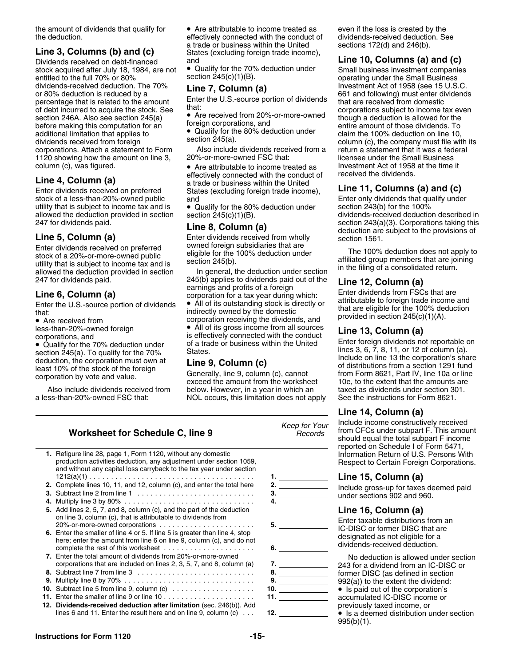Dividends received on debt-financed and **Line 10, Columns (a) and (c)**<br>stock acquired after July 18, 1984, are not <br>example for the 70% deduction under Small business investment companies stock acquired after July 18, 1984, are not • Qualify for the 70% deduction under Small business investment companies<br>entitled to the full 70% or 80% section 245(c)(1)(B). perating under the Small Business dividends-received deduction. The 70% Line 7, Column (a) linestment Act of 1958 (see 15 U.S.C.<br>or 80% deduction is reduced by a<br>percentage that is related to the amount Line T, Column (a) linestment Act of 1958 (see 15 U.S of debt incurred to acquire the stock. See that is allowed from 20%-or-more-owned section 246A. Also see section 245(a) <br>before making this computation for an to foreign corporations, and before making this computation for additional limitation that applies to **a** Quality for the 80% deduction under dividends received from foreign section 245(a).<br>dividends received from section 245(a). dividends received from a column (c), the company must f corporations. Attach a statement to Form Also include dividends received from a return a statement that it was a federal<br>1120 showing how the amount on line 3, 20%-or-more-owned FSC that: licensee under the Small Business 1120 showing how the amount on line 3, column (c), was figured.

stock of a less-than-20%-owned public and<br>utility that is subject to income tax and is  $\bullet$  Qualify for the 80% deduction under section 243(b) for the 100% utility that is subject to income tax and is  $\bullet$  Qualify for the 80% deduction under allowed the deduction provided in section section 245(c)(1)(B).

Enter dividends received on preferred on the owned foreign subsidiaries that are<br>stock of a 20%-or-more-owned public eligible for the 100% deduction under Effer dividends received on preferred<br>stock of a 20%-or-more-owned public<br>utility that is subject to income tax and is<br>allowed the deduction provided in section lin general, the deduction under section in the filling of a

• Are received from **corporation receiving the dividends**, and

the amount of dividends that qualify for • Are attributable to income treated as even if the loss is created by the the deduction.<br>
effectively connected with the conduct of dividends-received deduction. See<br>
a trade or business within the United sections 172(d) and 246(b). **Line 3, Columns (b) and (c)** States (excluding foreign trade income),

effectively connected with the conduct of received the dividends. **Line 4, Column (a)** a trade or business within the United Enter dividends received on preferred States (excluding foreign trade income), **Line 11, Columns (a) and (c)**

less-than-20%-owned foreign • All of its gross income from all sources **Line 13, Column (a)**<br>
• Qualify for the 70% deduction under of a trade or business within the United Finance Coreign dividends not reportable on of a trade or business within the United Enter foreign dividends not reportable of<br>States. 6, 7, 8, 11, or 12 of column (a).

Also include dividends received from below. However, in a year in which an taxed as dividends under section 301.<br>A less-than-20%-owned FSC that: NOL occurs, this limitation does not apply See the instructions for Form 8621 NOL occurs, this limitation does not apply

|                                                                                                                                                                                                             |                                | <b>ICDOITED OF BUILDING</b> TULL UITED T                               |
|-------------------------------------------------------------------------------------------------------------------------------------------------------------------------------------------------------------|--------------------------------|------------------------------------------------------------------------|
| 1. Refigure line 28, page 1, Form 1120, without any domestic<br>production activities deduction, any adjustment under section 1059,<br>and without any capital loss carryback to the tax year under section |                                | Information Return of U.S. Person<br>Respect to Certain Foreign Corpor |
|                                                                                                                                                                                                             | 1. $\sim$ $\sim$ $\sim$ $\sim$ | Line 15, Column (a)                                                    |
| 2. Complete lines 10, 11, and 12, column (c), and enter the total here                                                                                                                                      | 2. $\qquad \qquad$             | Include gross-up for taxes deemed                                      |
|                                                                                                                                                                                                             | 3.                             | under sections 902 and 960.                                            |
|                                                                                                                                                                                                             |                                |                                                                        |
| 5. Add lines 2, 5, 7, and 8, column (c), and the part of the deduction                                                                                                                                      |                                | Line 16, Column (a)                                                    |
| on line 3, column (c), that is attributable to dividends from                                                                                                                                               |                                | Enter taxable distributions from an                                    |
|                                                                                                                                                                                                             |                                | IC-DISC or former DISC that are                                        |
| 6. Enter the smaller of line 4 or 5. If line 5 is greater than line 4, stop                                                                                                                                 |                                | designated as not eligible for a                                       |
| here; enter the amount from line 6 on line 9, column (c), and do not                                                                                                                                        |                                | dividends-received deduction.                                          |
| 7. Enter the total amount of dividends from 20%-or-more-owned                                                                                                                                               |                                |                                                                        |
| corporations that are included on lines 2, 3, 5, 7, and 8, column (a)                                                                                                                                       |                                | No deduction is allowed under<br>243 for a dividend from an IC-DIS     |
|                                                                                                                                                                                                             | 8.                             | former DISC (as defined in section                                     |
|                                                                                                                                                                                                             | 9. $\qquad \qquad$             | 992(a)) to the extent the dividend:                                    |
|                                                                                                                                                                                                             | 10. $\qquad \qquad$            | • Is paid out of the corporation's                                     |
|                                                                                                                                                                                                             | $11.$ $\blacksquare$           | accumulated IC-DISC income or                                          |
| 12. Dividends-received deduction after limitation (sec. 246(b)). Add                                                                                                                                        |                                | previously taxed income, or                                            |
| lines 6 and 11. Enter the result here and on line 9, column (c) $\ldots$                                                                                                                                    |                                | • Is a deemed distribution under s                                     |
|                                                                                                                                                                                                             |                                | $\bigcap \bigcap_{i=1}^{n}$                                            |

operating under the Small Business • Are attributable to income treated as Investment Act of 1958 at the time it

allowed the deduction provided in section section 245(c)(1)(B). dividends-received deduction described in<br>247 for dividends paid. **dividends** in the **8** Column (c) section 243(a)(3). Corporations taking this **Line 8, Column (a) Line 8, Column (a) Line 5, Column (a)** Enter dividends received from wholly deduction are subject to the provisions of **Line 5, Column (a)** Enter dividends received on preferred wind owned foreign s

245(b) applies to dividends paid out of the<br> **Line 12, Column (a)**<br> **Line 6, Column (a)**<br>
Enter the U.S.-source portion of dividends<br>
that:<br> **Example 100%** applies to dividends paid out of the<br>
example to dividends from F

• Qualify for the 70% deduction under<br>section 245(a). To qualify for the 70% deduction under<br>deduction, the corporation must own at<br>least 10% of the stock of the foreign  $\sum_{\text{class}}$  and  $\sum_{\text{class}}$  and  $\sum_{\text{class}}$  and  $\sum_{\text$ 

### **Line 14, Column (a)**

Include income constructively received *Keep for Your* **Worksheet for Schedule C, line 9** *Frecords* should equal the total subpart F. This amour should equal the total subpart F income reported on Schedule I of Form 5471, **Information Return of U.S. Persons With** Respect to Certain Foreign Corporations.

### 1212(a)(1) ..................................... . **1. Line 15, Column (a)**

2. \_\_\_\_\_\_\_\_\_\_\_\_\_\_\_ Include gross-up for taxes deemed paid<br>3. \_\_\_\_\_\_\_\_\_\_\_\_\_\_ under sections 902 and 960.

**7. Enter the total amount of deduction is allowed under section**<br>**7. Enter the S243** for a dividend from an IC-DISC or 243 for a dividend from an IC-DISC or **8.** Subtract Line 7 **former DISC** (as defined in section<br>**9. Subtract 1 992(a)**) to the extent the dividend: **9.** Multiply 1992(a)) to the extent the dividend:<br>**9.** Is paid out of the corporation's **10.** Subtract line 5 from line 9, column (c) .................. . **10.** • Is paid out of the corporation's accumulated IC-DISC income or **12. 12. previously taxed income, or**<br>**2. •** Is a deemed distribution • Is a deemed distribution under section 995(b)(1).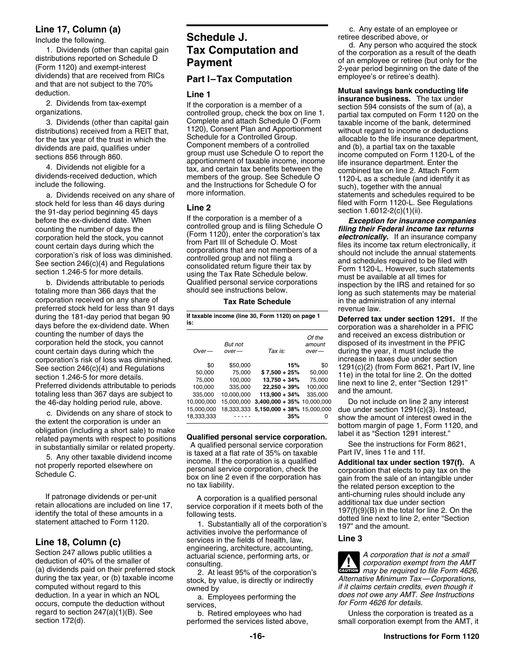stock held for less than 46 days during **Line 2** filed with Form 1120-L. See Regulations<br>the 91-day period beginning 45 days **Line 2** for the corporation is a member of a<br>before the ex-dividend date. When for the corporati

b. Dividends attributable to periods<br>totaling more than 366 days that the should see instructions below.<br>corporation received on any share of **Tax Rate Schedule** by the administration of any internal<br>corporation received o preferred stock held for less than 91 days<br> **Example 20 Form 1120)** or page 1.1 revenue law. during the 181-day period that began 90 **or if taxable income (line 30, Form 1120) on page 1 Deferred tax under section 1291.** If the days before the ex-dividend date. When **is: Community** corporation was a shareholde corporation's risk of loss was diminished.

computed without regard to this *if it claims certain credits, even though it* deduction. In a year in which an NOL **a** Francipuses performing the *does not owe any AMT. See Instructions* deduction. In a year in which an NOL a. Employees performing the *does not owe any AMT. Securs, compute the deduction without for Form 4626 for details. for Form 4626 for details. for Form 4626 for details.*  $\frac{1}{2}$ regard to section 247(a)(1)(B). See b. Retired employees who had Unless the corporation is treated as a<br>section 172(d). performed the services listed above, small corporation exempt from the AMT,

distributions) received from a Reinford from a Reinford from a Reductions<br>Schedule for a Controlled Group.<br>allocable to the life insurance department dividends are paid, qualifies under Component members of a controlled and (b), a partial tax on the taxable<br>sections 856 through 860 ections 856 through 860.<br>
4. Dividends not eligible for a<br>
dividends not eligible for a<br>
dividends encome computed on Form 1120-L of the<br>
4. Dividends not eligible for a<br>
dividends-received deduction, which<br>
include the sc

| during the 181-day period that began 90<br>days before the ex-dividend date. When                                                                              | II taxable income (line so, Form Tizo) on page 1<br>is: |                                  |                                                                                       |                              | Deferred tax under section 1291. If the<br>corporation was a shareholder in a PFIC                                                                              |
|----------------------------------------------------------------------------------------------------------------------------------------------------------------|---------------------------------------------------------|----------------------------------|---------------------------------------------------------------------------------------|------------------------------|-----------------------------------------------------------------------------------------------------------------------------------------------------------------|
| counting the number of days the<br>corporation held the stock, you cannot<br>count certain days during which the<br>corporation's risk of loss was diminished. | $Over-$                                                 | But not<br>$over-$               | Tax is:                                                                               | Of the<br>amount<br>$over-$  | and received an excess distribution or<br>disposed of its investment in the PFIC<br>during the year, it must include the<br>increase in taxes due under section |
| See section 246(c)(4) and Regulations<br>section 1.246-5 for more details.                                                                                     | \$0<br>50.000                                           | \$50,000<br>75.000               | 15%<br>$$7.500 + 25%$                                                                 | \$0<br>50,000                | 1291(c)(2) (from Form 8621, Part IV, line<br>11e) in the total for line 2. On the dotted                                                                        |
| Preferred dividends attributable to periods<br>totaling less than 367 days are subject to                                                                      | 75.000<br>100.000<br>335.000                            | 100.000<br>335.000<br>10.000.000 | $13.750 + 34\%$<br>$22.250 + 39%$<br>$113.900 + 34\%$                                 | 75,000<br>100.000<br>335.000 | line next to line 2, enter "Section 1291"<br>and the amount.                                                                                                    |
| the 46-day holding period rule, above.<br>c. Dividends on any share of stock to                                                                                | 10.000.000<br>15.000.000<br>18.333.333                  |                                  | 15.000.000 3.400.000 + 35% 10.000.000<br>18,333,333 5,150,000 + 38% 15,000,000<br>35% |                              | Do not include on line 2 any interest<br>due under section 1291(c)(3). Instead,                                                                                 |
| the extent the cornoration is under an                                                                                                                         |                                                         |                                  |                                                                                       |                              | show the amount of interest owed in the                                                                                                                         |

c. Dividends on any share of stock to<br>the extent the corporation is under an<br>the extent the corporation is under an<br>obligation (including a short sale) to make<br>elated payments with respect to positions<br>in sustantially sim

activities involve the performance of **Line 18, Column (c)**<br>
Section 247 allows public utilities a<br>
deduction of 40% of the smaller of<br>
(a) dividends paid on their preferred stock<br>
(a) dividends paid on their preferred stock<br>
(a) dividends paid on their prefer

**Line 17, Column (a)**<br> **Column (a) Column (a) Column (a) Column (a) C Column Column Column Column Column Column Column Column Column Column Column Column Column Column Column Column Column Column Column Column Co** 

Include the following.<br>
1. Dividends (other than capital gain<br>
distributions reported on Schedule D<br>
(Form 1120) and exempt-interest<br>
distributions reported on Schedule D<br> **Payment**<br> **Payment**<br> **Payment**<br> **Payment**<br> **Payme** 

deduction.<br>
2. Dividends from tax-exempt **Line 1**<br>
2. Dividends from tax-exempt if the corporation is a member of a<br>
1. organizations.<br>
2. Controlled group, check the box on line 1. partial tax computed on Form 1120 on the organizations.<br>3. Dividends (other than capital gain complete and attach Schedule O (Form taxable income of the bank, determined<br>4. distributions) received from a REIT that. 1120), Consent Plan and Apportionment without re for the tax year of the trust in which the Schedule for a Controlled Group.<br>
dividends are paid qualifies under<br>
Gomponent members of a controlled and (b), a partial tax on the taxable a. Dividends received on any share of more information.<br>
ck held for less than 46 days during the C statements and schedules required to be statements and schedules required to be

counting the number of days the controlled group and is filing Schedule O<br>counting the number of days the corporation held the stock, you cannot<br>corporation held the stock, you cannot<br>corporation's risk of loss was diminis

If patronage dividends or per-unit<br>retain allocations are included on line 17,<br>identify the total of these amounts in a<br>statement attached to Form 1120.<br>tatement attached to Form 1120.<br>1. Substantially all of the corporat

**CAUTION** *COPPORATION COPPORATION*<br> *CAUTION may be required to file Form 4626,* 2. At least 95% of the corporation's during the tax year, or (b) taxable income stock, by value, is directly or indirectly *Alternative Minimum Tax—Corporations*, computed without regard to this owned by *alternative Minim* 

small corporation exempt from the AMT, it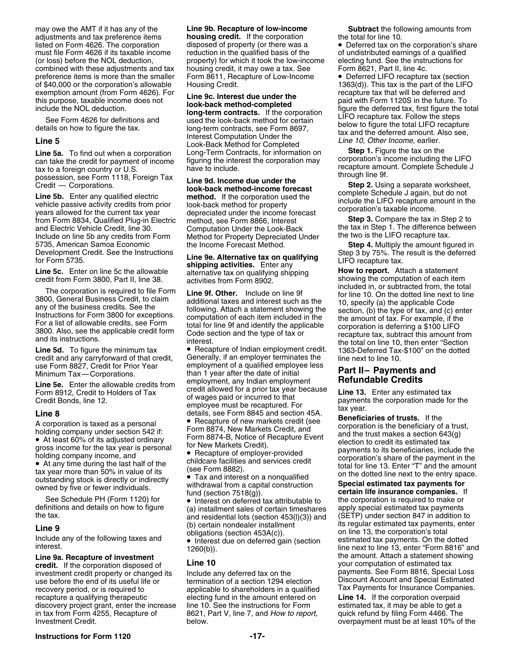may owe the AMT if it has any of the **Line 9b. Recapture of low-income Subtract** the following amounts from adjustments and tax preference items **housing credit.** If the corporation the total for line 10. adjustments and tax preference items **housing credit.** If the corporation the total for line 10.<br>Iisted on Form 4626. The corporation disposed of property (or there was a **.** Deferred tax on t must file Form 4626 if its taxable income reduction in the qualified basis of the of undistributed earnings of a qualified (or loss) before the NOL deduction, property) for which it took the low-income electing fund. See t combined with these adjustments and tax. preference items is more than the smaller Form 8611, Recapture of Low-Income • Deferred LIFO recapture tax (section of \$40,000 or the corporation's allowable Housing Credit. 1363(d)). This tax is the part of the LIFC of \$40,000 or the corporation's allowable Housing Credit. 1363(d)). This tax is the part of the LIFO<br>exemption amount (from Form 4626). For the part of the part of the part of the text of the LIFO

can take the credit for payment of income figuring the interest the corporation may corporation's income including the LIFO<br>tax to a foreign country or U.S. have to include.

years allowed for the current tax year depreciated under the income forecast<br>from Form 8834, Qualified Plug-in Electric method, see Form 8866, Interest **Step 3.** Compare the tax in Step 2 to<br>and Electric Vehicle Credit, li Include on line 5b any credits from Form Method for Property Depreciated Under<br>5735, American Samoa Economic but he Income Forecast Method. 5735, American Samoa Economic the Income Forecast Method. **Step 4.** Multiply the amount figured in<br>Development Credit. See the Instructions the angle alternative tax an avalifying Step 3 by 75%. The result is the deferred

• At any time during the last half of the total for line 13. Enter "T" and the amount tax year more than 50% in value of its (see Form 8882).<br>
outstanding stock is directly or indirectly exact and interest on a nonqualifie

**credit.** If the corporation disposed of **LINE ID**<br>investment credit property or changed its linclude any deferred tax on the payments. See Form 8816, Special Loss investment credit property or changed its use before the end of its useful life or termination of a section 1294 election Discount Account and Special Estimated Tax Payments for Insurance Companies.<br>
For a qualified Tax Payments for Insurance Companies.<br>
For a qualified Tax Payments for Insurance Companies.<br>
For a qualified Tax Payments for Insurance Companies. discovery project grant, enter the increase line 10. See the instructions for Form estimated tax, it may be able to get a<br>in tax from Form 4255, Recapture of 8621, Part V, line 7, and How to report, quick refund by filing in tax from Form 4255, Recapture of 8621, Part V, line 7, and *How to report,*  $P$  below.

property) for which it took the low-income electing fund. See the instructions for housing credit, it may owe a tax. See Form 8621, Part II, line 4c.

Line 5a. To find out when a corporation Long-Term Contracts, for information on **Step 1.** Figure the tax on the can take the credit for payment of income figuring the interest the corporation may corporation's income inclu

tax to a foreign country or U.S. have to include.<br>
possession, see Form 1118, Foreign Tax<br>
Credit — Corporations.<br>
Line 9d. Income due under the<br>
Credit — Corporations.<br>
Line 5b. Enter any qualified electric method. If the Computation Under the Look-Back and the tax in Step 1. The difference the Look-Back the tax in Step 1. The difference the the two is the LIFO recapture tax.

Development Credit. See the Instructions<br>for Form 5735. The result is the deferred<br>Lifform 5735. The result is the allowable<br>Line 5c. Enter on line 5c the allowable alternative tax on qualifying shipping<br>credit from Form 3

credit and any carryforward of that credit, Generally, if an employer terminates the line next to line 10.<br>use Form 8827, Credit for Prior Year employment of a qualified employee less employment of a qualified employee less Minimum Tax—Corporations. than 1 year after the date of initial **Part II– Payments and**<br>**Part II– Payments and** than 1 year after the date of initial **Payments and** Form 8912, Credit to Holders of Tax<br>
Credit allowed for a prior tax year because<br>
Credit Bonds, line 12.<br>
Line 8<br>
Line 8<br>
Line 8<br>
Line 8<br>
Line 8<br>
Line 8<br>
Line 8<br>
Line 8<br>
Line 8<br>
Line 8<br>
Line 8<br>
Line 8<br>
Line 8<br>
Line 8<br>
Line

A corporation is taxed as a personal Character of new markets credit (see<br>holding company under section 542 if:<br>■ At least 60% of its adjusted ordinary Form 8874-B, Notice of Recapture Event and the trust makes a section

definitions and details on how to figure (a) installment sales of certain timeshares apply special estimated tax payments<br>and residential lots (section 453(l)(3)) and (SETP) under section 847 in addition to and residential lots (section 453(l)(3)) and (SETP) under section 847 in addition to<br>(b) certain nondealer installment in its regular estimated tax payments, enter

electing fund in the amount entered on

• Deferred tax on the corporation's share

exemption amount (from Form 4626). For<br>this purpose, taxable income does not<br>include the NOL deduction.<br>See Form 4626 for definitions and<br>details on how to figure the tax.<br>details on how to figure the tax.<br>Line 5<br>Line 5<br>Li

The corporation is required to file Form Line 9f. Other. Include on line 9f<br>3800, General Business Credit, to claim additional taxes and interest such as the<br>any of the business credits. See the following. Attach a stateme Interest.<br>
Line 5d. To figure the minimum tax **•** Recapture of Indian employment credit. 1363-Deferred Tax-\$100" on the dotted credit and any carryforward of that credit. Generally, if an employer terminates the line next

Form 8874-B, Notice of Recapture Event<br>
• At least 60% of its adjusted ordinary<br>
gross income for the tax year is personal<br>
• Recapture of employer-provided<br>
• Recapture of employer-provided<br>
• Recapture of employer-provi nolding company income, and the childcare facilities and services credit corporation's share of the payment in the childcare facilities and services credit • corporation's share of the payment in the childcare facilities a

outstanding stock is directly or indirectly<br>owned by five or fewer individuals.<br>See Schedule PH (Form 1120) for<br>See Schedule PH (Form 1120) for<br>outstanding stock is directly or indirectly<br> $\begin{array}{ccc}\n & \text{Tax and interest on a nonqualified} \\
 & \text{withdrawal from$ fund (section 7518(g)). **Certain life insurance companies.**  $\blacksquare$ <br>• Interest on deferred tax attributable to the corporation is required to make or **Line 9** (b) certain nondealer installment its regular estimated tax payments, enter (b) certain nondealer installment conduction interest obligations (section 453A(c)).<br>
Include any of the following taxes and ● Interest 1260(b)). Interest to line 13, enter "Form 8816" and **Line 9a. Recapture of investment**<br> **Line 10**<br> **Credit** If the corporation disposed of **Line 10**<br> **Line 10**<br> **Credit** If the corporation disposed of **Line 10 Investment Credit Credit Credit Credit Credit Credit Credit Credit Credit Credit Credit Credit Credit Credit C** 

### **Instructions for Form 1120 -17-**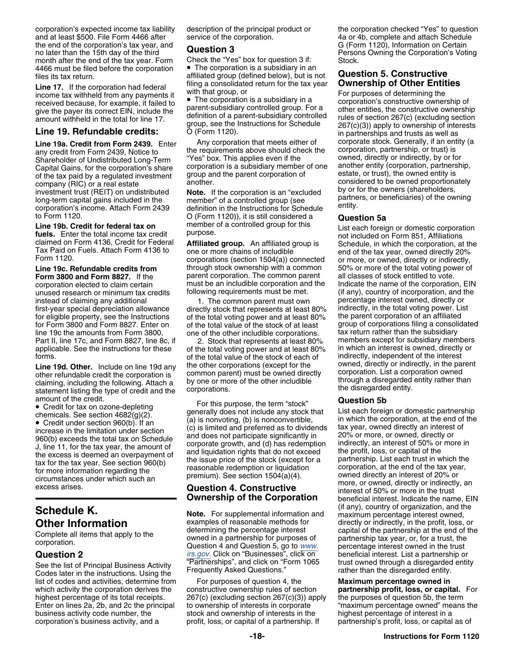corporation's expected income tax liability description of the principal product or the corporation checked "Yes" to question and at least \$500. File Form 4466 after service of the corporation. 4a or 4b, complete and attach Schedule<br>the end of the corporation's tax year, and  $\bigcap_{x \in \mathcal{X}} \mathcal{A}$  and  $\bigcap_{x \in \mathcal{X}} \mathcal{A}$  (Form 1120), Information the end of the corporation's tax year, and<br>
no later than the 15th day of the third<br>
month after the end of the tax year. Form Check the "Yes" box for question 3 if:<br>
Stock.<br>
Stock. 4466 must be filed before the corporation

income tax withheld from any payments it<br>received because, for example, it failed to  $\bullet$  The corporation is a subsidiary in a

any credit from Form 2439, Notice to<br>
Shareholder of Undistributed Long-Term "Yes" box. This applies even if the<br>
Capital Gains, for the corporation's share<br>
Capital Gains, for the corporation's share<br>
of the tax paid by a

Form 3800 and Form 8827. If the parent corporation. The common parent all classes of stock entitled to vote. corporation elected to claim certain must be an includible corporation and the Indicate the name of the corporation, EIN<br>unused research or minimum tax credits following requirements must be met. (if any), country of incor instead of claiming any additional 1. The common parent must own percentage interest owned, directly or<br>first-year special depreciation allowance directly stock that represents at least 80% indirectly, in the total voting for Form 3800 and Form 8827. Enter on of the total value of the stock of at least line 19c the amounts from Form 3800, one of the other includible corporations. tax return rather than the subsidiary<br>Part II, line 17c, and Form 8827, line 8c, if 2. Stock that represents at least 80% members except for su Part II, line 17c, and Form 8827, line 8c, if 2. Stock that represents at least 80% members except for subsidiary members applicable. See the instructions for these of the total voting power and at least 80% in which an in

other refundable credit the corporation is common parent) must be owned directly corporation. List a corporation owned<br>claiming, including the following. Attach a by one or more of the other includible through a disregarde

See the list of Principal Business Activity "Partnerships", and click on "Form 1065 trust owned through a disregarded entity<br>Codes later in the instructions. Using the Frequently Asked Questions." The rather than the disre list of codes and activities, determine from which activity the corporation derives the constructive ownership rules of section **partnership profit, loss, or capital.** For highest percentage of its total receipts. 267(c) (excluding section 267(c)(3)) apply the purpos Enter on lines 2a, 2b, and 2c the principal to ownership of interests in corporate "maximum percentage owned" means the business activity code number, the stock and ownership of interests in the highest percentage of interest in a<br>corporation's business activity, and a profit, loss, or capital of a partnership. If partnership's profit, loss

month after the end of the tax year. Form Check the "Yes" box for question 3 if: Stock.<br>4466 must be filed before the corporation  $\bullet$  The corporation is a subsidiary in an First tax return. The corporation of the corporation at the corporation of the district of the defined below), but is not **Question 5. Constructive**<br>I in the section of the corporation bed folorel filling a consolidated re filing a consolidated return for the tax year **Ownership of Other Entities Line 17.** If the corporation had federal

• The corporation is a subsidiary in a corporation's constructive ownership of parent-subsidiary controlled group. For a corporations, the constructive ownership give the payer its correct EIN, include the parent-subsidiary controlled group. For a other entities, the constructive ownership<br>amount withheld in the total for line 17. definition of a parent-subsidiary controlled rules

Any corporation that meets either of corporate stock. Generally, if an entity (a **Line 19a. Credit from Form 2439.** Enter

to Form 1120. O (Form 1120)), it is still considered a **Question 5a**

**Line 19c. Refundable credits from** through stock ownership with a common 50% or more of the total voting power of

first-year special depreciation allowance directly stock that represents at least 80% indirectly, in the total voting power. Li<br>for eligible property, see the Instructions of the total voting power and at least 80% the par of the total voting power and at least 80% the parent corporation of an affiliated<br>of the total value of the stock of at least group of corporations filing a consolidated

of the total voting power and at least 80% Line 19d. Other. Include on line 19d any the other corporations (except for the owned, directly or indirectly, in the parent other refundable credit the corporation is common parent) must be owned directly corporation. Lis

amount of the credit.<br>
• Credit for tax on ozone-depleting **For this purpose, the term "stock" Question 5b**<br> **and the continue of the Credit of the Credit of the Credit of the Credit of the Credit of the Credit of the Cr** Channel State Section 4682(g)(2). generally does not include any stock that List each foreign or domestic partnership<br>
Channel State Section 960(b). If an (a) is nonvoting, (b) is nonconvertible, in which the corporation,

Complete all items that apply to the<br>
owned in a partnership for purposes of partnership tax year, or, for a trust, the<br>
Ouestion 2 *irs.gov.* Click on "Businesses", click on beneficial interest. List a partnership or<br>
own **Question 2** *[irs.gov.](www.irs.gov)* Click on "Businesses", click on beneficial interest. List a partnership or

> $267(c)$  (excluding section  $267(c)(3)$ ) apply profit, loss, or capital of a partnership. If

group, see the Instructions for Schedule Tules of section 267(c) (excluding section<br>amount withheld in the total for line 17. The group, see the Instructions for Schedule 267(c)(3)) apply to ownership of interests<br>**Line 19** 

**Line 19b. Credit for federal tax on** member of a controlled group for this **List each foreign or domestic corporation**<br> **fuels.** Enter the total income tax credit purpose.<br>
claimed on Form 4136, Credit for Federal **Affili** (if any), country of incorporation, and the forms.<br>**I ine 19d Other** lockude on line 19d any the other corporations (except for the owned, directly or indirectly, in the parent

• Credit under section 960(b). If an<br>
increase in the limitation under section<br>
960(b) exceeds the total tax on Schedule<br>
960(b) exceeds the total tax on Schedule<br>
3. Line 11, for the tax year, the amount of<br>
3. Line 11, **Question 4. Constructive**<br>**Ownership of the Corporation** beneficial interest. Indicate the name, EIN (if any), country of organization, and the **Schedule K.**<br>**Note.** For supplemental information and maximum percentage interest owned,<br>**Other Information** examples of reasonable methods for directly or indirectly. in the pro **Other Information** examples of reasonable methods for directly or indirectly, in the profit, loss, or determining the percentage interest capital of the partnership at the end of the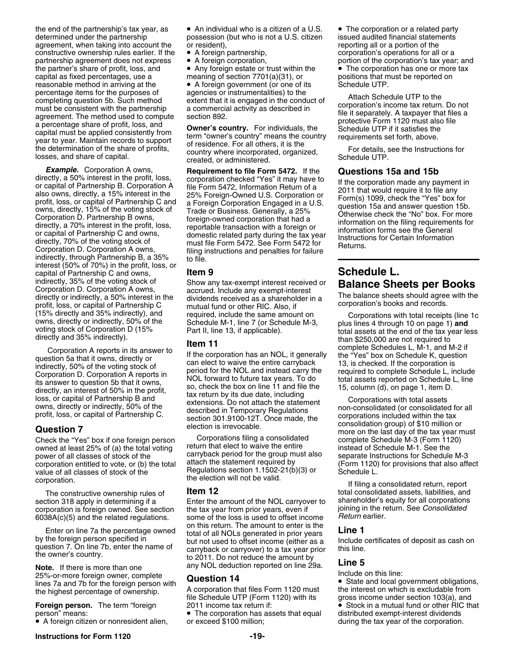the end of the partnership's tax year, as  $\bullet$  An individual who is a citizen of a U.S.  $\bullet$  The corporation or a related party determined under the partnership possession (but who is not a U.S. citizen issued audited financial statements<br>agreement, when taking into account the or resident), example and the reporting all or a portion of the agreement, when taking into account the constructive ownership rules earlier. If the  $\bullet$  A foreign partnership, corporation's operations for all or a partnership agreement does not express • A foreign corporation, expression portion of the corporation's tax year; and<br>the partner's share of profit, loss, and • Any foreign estate or trust within the • The corporation has capital as fixed percentages, use a meaning of section 7701(a)(31), or positions that must be reported on reasonable method in arriving at the • A foreign government (or one of its Schedule UTP.<br>percentage items for the purposes of agencies or instrumentalities) to the percentage items for the purposes of agencies or instrumentalities) to the<br>completing question 5b. Such method<br>must be consistent with the partnership<br>a commercial activity as described in<br>a gereement. The method used to c

**Example.** Corporation A owns,<br>
directly, a 50% interest in the profit, loss,<br>
or capital of Partnership B. Corporation A if the Form 5472. If the<br>
or capital of Partnership B. Corporation A if the Form 5472, Information interest (50% of 70%) in the profit, loss, or capital of Partnership C and owns,<br>indirectly, 35% of the voting stock of Show any tax-exempt interest received or **Ralance Show**<br>**Indirectly, 35% of the voting stock of** Show any tax-exempt interest received or indirectly, 35% of the voting stock of<br>
Corporation D. Corporation A owns,<br>
directly or indirectly, a 50% interest in the<br>
dividends received as a shareholder in a<br>
profit loss or capital of Partnership C<br>
mutual fund or o profit, loss, or capital of Partnership C mutual fund or other RIC. Also, if (15% directly and 35% indirectly), and required. include the same amou

owned at least 25% of (a) the total voting return that elect to waive the entire<br>nower of all classes of stock of the carryback period for the group must also value of all classes of stock of the Regulations section 1.1502-21(b)(3) or Schedule L.<br>
Schedule L.<br>
Schedule L.

section 318 apply in determining if a Enter the amount of the NOL carryover to shareholder's equity for all corporations<br>corporation is foreign owned. See section the tax year from prior years, even if in ing in the return corporation is foreign owned. See section the tax year from prior years, even if foreing in the recturn earlier.<br>6038A(c)(5) and the related regulations. Some of the loss is used to offset income featurn earlier.

**Note.** If there is more than one any NOL deduction reported on line 29a. **Line 5**<br>25%-or-more foreign owner complete Include on this line: 25%-or-more foreign owner, complete **Question 14** •State and 7b for the foreign person with  $\frac{Q}{T}$  and  $\frac{Q}{T}$  for the foreign person with  $\frac{Q}{T}$  are and local government obligation

- 
- 

voting stock of Corporation D (15% Part II, line 13, if applicable). total assets at the end of the tax year less<br>directly and 35% indirectly.<br>Corporation A reports in its answer to the corporation has an NOL, it generally

some of the loss is used to offset income<br>on this return. The amount to enter is the Enter on line 7a the percentage owned<br>by the foreign person specified in<br>question 7. On line 7b, enter the name of the name of carryback or carryover) to a tax year prior this line.<br>question 7. On line 7b, enter the name o question 7. On line 7b, enter the name of carryback or carryover) to a tax year prior<br>to 2011. Do not reduce the amount by

the highest percentage of ownership. A corporation that files Form 1120 must the highest percentage of ownership **Foreign person.** The term "foreign 2011 income tax return if: • Stock in a mutual fund or other RIC that

person" means: • • The corporation has assets that equal distributed exempt-interest dividends<br>• A foreign citizen or nonresident alien, • or exceed \$100 million; • • • • • • • during the tax year of the corporation. • A foreign citizen or nonresident alien, or exceed \$100 million; during the tax year of the corporation.

• The corporation has one or more tax

(15% directly and 35% indirectly), and required, include the same amount on Corporations with total receipts (line 1c owns, directly or indirectly, 50% of the Schedule M-1, line 7 (or Schedule M-3, plus lines 4 through 10

Guestion r<br>Check the "Yes" box if one foreign person Corporations filing a consolidated complete Schedule M-3 (Form 1120)<br>The complete Schedule M-3 (Form 1120) complete Schedule M-1. See the complete Schedule M-1. See the power of all classes of stock of the carryback period for the group must also separate Instructions for Schedule M-3<br>corporation entitled to vote, or (b) the total attach the statement required by (Form 1120) for provision

the election will not be valid. corporation. If filing a consolidated return, report The constructive ownership rules of **Item 12 Item 12** total consolidated assets, liabilities, and<br>tion 318 apply in determining if a **Enter the amount of the NOL carryover to** shareholder's equity for all corporations

- 
- 
- gross income under section 103(a), and
-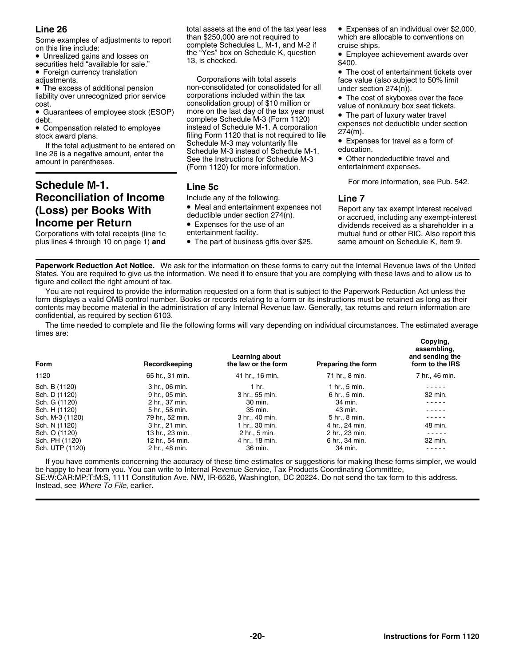- Unrealized gains and losses on
- securities held "available for sale." • Foreign currency translation
- 

• The excess of additional pension

## For more information, see Pub. 542. **Schedule M-1. Line 5c Reconciliation of Income** Include any of the following. **Line 7**

plus lines 4 through 10 on page 1) **and** • The part of business gifts over \$25. same amount on Schedule K, item 9.

**Line 26** total assets at the end of the tax year less • Expenses of an individual over \$2,000, Some examples of adjustments to report than \$250,000 are not required to which are allocable to conventions on complete Schedules L, M-1, and M-2 if cruise ships.<br>
In cruise ships. the "Yes" box on Schedule K, question **a** 

non-consolidated (or consolidated for all under section  $274(n)$ ).<br>corporations included within the tax **e** The cost of skyboxe liability over unrecognized prior service corporations included within the tax  $\bullet$  The cost of skyboxes over the face<br>consolidation group) of \$10 million or solution the tax ost tickets The consolidation group) of \$10 million or value of nonluxury box seat tickets.<br>• Guarantees of employee stock (ESOP) more on the last diay of the tax year must • The part of luxury water travel Guarantees of employee stock (ESOP) more on the last day of the tax year must debt.<br>
complete Schedule M-3 (Form 1120) Gold complete Schedule M-3 (Form 1120)<br>Compensation related to employee instead of Schedule M-3 (Form 1120) expenses not deductible under section<br>filing Early 1100 that is not required to file 274(m). stock award plans.<br>If the total adjustment to be entered on Schedule M-3 may voluntarily file **FORE** Expenses for travel as a form of From 1120) for the total adjustment to be entered on<br>line 26 is a negative amount, enter the<br>amount in parentheses.<br>amount in parentheses.<br>(Form 1120) for more information.<br>The total adjustment to be enterted on<br>Schedule M

- Meal and entertainment expenses not
- 
- 
- 

- Unrealized gains and losses on the "Yes" box on Schedule K, question Employee achievement awards over
- Foreign currency translation **•** The cost of entertainment tickets over adjustments.<br>
adjustments. Corporations with total assets face value (also subject to 50% limit face value (also subject to 50% limit
	-
	-
	-

(Loss) per Books With  $\bullet$  Meal and entertainment expenses not expert any tax exempt interest received<br>Income per Return  $\bullet$  Expenses for the use of an experiment or accrued, including any exempt-interest<br>Income per Retu Corporations with total receipts (line 1c entertainment facility. mutual fund or other RIC. Also report this

**Paperwork Reduction Act Notice.** We ask for the information on these forms to carry out the Internal Revenue laws of the United States. You are required to give us the information. We need it to ensure that you are complying with these laws and to allow us to figure and collect the right amount of tax.

You are not required to provide the information requested on a form that is subject to the Paperwork Reduction Act unless the form displays a valid OMB control number. Books or records relating to a form or its instructions must be retained as long as their contents may become material in the administration of any Internal Revenue law. Generally, tax returns and return information are confidential, as required by section 6103.

The time needed to complete and file the following forms will vary depending on individual circumstances. The estimated average times are: **Copying,** 

| <b>Form</b>     | Recordkeeping   | Learning about<br>the law or the form | Preparing the form | CUPYING,<br>assembling.<br>and sending the<br>form to the IRS |
|-----------------|-----------------|---------------------------------------|--------------------|---------------------------------------------------------------|
| 1120            | 65 hr., 31 min. | 41 hr., 16 min.                       | 71 hr., 8 min.     | 7 hr., 46 min.                                                |
| Sch. B (1120)   | 3 hr., 06 min.  | 1 hr.                                 | 1 hr., 5 min.      |                                                               |
| Sch. D (1120)   | 9 hr., 05 min.  | 3 hr., 55 min.                        | 6 hr., 5 min.      | 32 min.                                                       |
| Sch. G (1120)   | 2 hr., 37 min.  | 30 min.                               | 34 min.            | -----                                                         |
| Sch. H (1120)   | 5 hr., 58 min.  | 35 min.                               | 43 min.            | -----                                                         |
| Sch. M-3 (1120) | 79 hr., 52 min. | 3 hr., 40 min.                        | 5 hr., 8 min.      | .                                                             |
| Sch. N (1120)   | 3 hr., 21 min.  | 1 hr 30 min.                          | 4 hr., 24 min.     | 48 min.                                                       |
| Sch. O (1120)   | 13 hr., 23 min. | 2 hr., 5 min.                         | 2 hr., 23 min.     | .                                                             |
| Sch. PH (1120)  | 12 hr., 54 min. | 4 hr., 18 min.                        | 6 hr., 34 min.     | 32 min.                                                       |
| Sch. UTP (1120) | 2 hr., 48 min.  | 36 min.                               | 34 min.            | -----                                                         |

If you have comments concerning the accuracy of these time estimates or suggestions for making these forms simpler, we would be happy to hear from you. You can write to Internal Revenue Service, Tax Products Coordinating Committee, SE:W:CAR:MP:T:M:S, 1111 Constitution Ave. NW, IR-6526, Washington, DC 20224. Do not send the tax form to this address. Instead, see *Where To File*, earlier.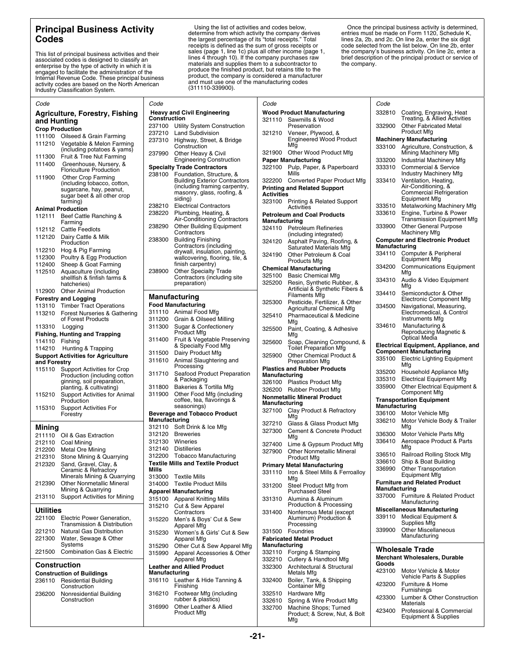**Principal Business Activity**<br> **Codes**<br> **Codes**<br> **Codes**<br> **Codes**<br> **Codes**<br> **Codes**<br> **Codes**<br> **Codes**<br> **Codes**<br> **Codes**<br> **Codes**<br> **Codes**<br> **Codes**<br> **Codes**<br> **Codes**<br> **Codes**<br> **Codes**<br> **Codes**<br> **Codes**<br> **Codes**<br> **Codes**<br> **C** 

| Code                   |                                                                                                   |  |
|------------------------|---------------------------------------------------------------------------------------------------|--|
| and Hunting            | <b>Agriculture, Forestry, Fishing</b>                                                             |  |
| <b>Crop Production</b> |                                                                                                   |  |
| 111100                 | Oilseed & Grain Farming                                                                           |  |
| 111210                 | Vegetable & Melon Farming<br>(including potatoes & yams)                                          |  |
| 111300                 | Fruit & Tree Nut Farming                                                                          |  |
|                        |                                                                                                   |  |
| 111400                 | Greenhouse, Nursery, &                                                                            |  |
|                        | <b>Floriculture Production</b>                                                                    |  |
| 111900                 | <b>Other Crop Farming</b>                                                                         |  |
|                        | (including tobacco, cotton,<br>sugarcane, hay, peanut,<br>sugar beet & all other crop<br>farming) |  |
|                        | <b>Animal Production</b>                                                                          |  |
| 112111                 | Beef Cattle Ranching &                                                                            |  |
|                        | Farming                                                                                           |  |
| 112112                 | <b>Cattle Feedlots</b>                                                                            |  |
|                        |                                                                                                   |  |
| 112120                 | Dairy Cattle & Milk                                                                               |  |
|                        | Production                                                                                        |  |
| 112210                 | Hog & Pig Farming                                                                                 |  |
| 112300                 | Poultry & Egg Production                                                                          |  |
| 112400                 | Sheep & Goat Farming                                                                              |  |
| 112510                 | Aquaculture (including                                                                            |  |
|                        | shellfish & finfish farms &                                                                       |  |
|                        | hatcheries)                                                                                       |  |
| 112900                 | <b>Other Animal Production</b>                                                                    |  |
|                        |                                                                                                   |  |
|                        | <b>Forestry and Logging</b>                                                                       |  |
| 113110                 | <b>Timber Tract Operations</b>                                                                    |  |
| 113210                 | Forest Nurseries & Gathering                                                                      |  |
|                        | of Forest Products                                                                                |  |
| 113310                 | Logging                                                                                           |  |
|                        |                                                                                                   |  |
|                        | <b>Fishing, Hunting and Trapping</b>                                                              |  |
| 114110                 | Fishing                                                                                           |  |
| 114210                 | Hunting & Trapping                                                                                |  |
|                        | <b>Support Activities for Agriculture</b>                                                         |  |
| and Forestry           |                                                                                                   |  |
| 115110                 |                                                                                                   |  |
|                        | Support Activities for Crop                                                                       |  |
|                        | Production (including cotton                                                                      |  |
|                        | ginning, soil preparation,                                                                        |  |
|                        | planting, & cultivating)                                                                          |  |
| 115210                 | <b>Support Activities for Animal</b>                                                              |  |
|                        | Production                                                                                        |  |
| 115310                 | <b>Support Activities For</b>                                                                     |  |
|                        | Forestry                                                                                          |  |
|                        |                                                                                                   |  |
| Mining                 |                                                                                                   |  |
| 211110                 | Oil & Gas Extraction                                                                              |  |
| 212110                 | Coal Mining                                                                                       |  |
| 212200                 | Metal Ore Mining                                                                                  |  |
| 212310                 | Stone Mining & Quarrying                                                                          |  |
|                        |                                                                                                   |  |
| 212320                 | Sand, Gravel, Clay, &                                                                             |  |
|                        | Ceramic & Refractory                                                                              |  |
|                        | Minerals Mining & Quarrying                                                                       |  |
| 212390                 | <b>Other Nonmetallic Mineral</b>                                                                  |  |
|                        | Mining & Quarrying                                                                                |  |
| 213110                 | Support Activities for Mining                                                                     |  |
|                        |                                                                                                   |  |
| Utilities              |                                                                                                   |  |
| 221100                 | Electric Power Generation,                                                                        |  |
|                        | <b>Transmission &amp; Distribution</b>                                                            |  |
| 221210                 | Natural Gas Distribution                                                                          |  |
|                        |                                                                                                   |  |
| 221300                 | Water, Sewage & Other                                                                             |  |
|                        | Systems                                                                                           |  |
| 221500                 | <b>Combination Gas &amp; Electric</b>                                                             |  |
|                        |                                                                                                   |  |
| Construction           |                                                                                                   |  |
|                        | <b>Construction of Buildings</b>                                                                  |  |
| 236110                 |                                                                                                   |  |
|                        | <b>Residential Building</b><br>Construction                                                       |  |
|                        |                                                                                                   |  |
| 236200                 | Nonresidential Building                                                                           |  |
|                        | Construction                                                                                      |  |
|                        |                                                                                                   |  |
|                        |                                                                                                   |  |

| ture, Forestry, Fishing                            | Construction  | Heavy and Civil Engineering                                 | wood Product          |                        |
|----------------------------------------------------|---------------|-------------------------------------------------------------|-----------------------|------------------------|
| nting                                              | 237100        | Utility System Construction                                 | 321110                | Sawn<br>Prese          |
| duction                                            | 237210        | <b>Land Subdivision</b>                                     | 321210                | Vene                   |
| Oilseed & Grain Farming                            | 237310        | Highway, Street, & Bridge                                   |                       | Engin                  |
| Vegetable & Melon Farming                          |               | Construction                                                |                       | Mfg                    |
| (including potatoes & yams)                        | 237990        | Other Heavy & Civil                                         | 321900                | Other                  |
| Fruit & Tree Nut Farming                           |               | <b>Engineering Construction</b>                             | Paper Manufao         |                        |
| Greenhouse, Nursery, &<br>Floriculture Production  |               | <b>Specialty Trade Contractors</b>                          | 322100                | Pulp,                  |
| <b>Other Crop Farming</b>                          |               | 238100 Foundation, Structure, &                             |                       | Mills                  |
| (including tobacco, cotton,                        |               | <b>Building Exterior Contractors</b>                        | 322200                | Conv                   |
| sugarcane, hay, peanut,                            |               | (including framing carpentry,<br>masonry, glass, roofing, & | <b>Printing and R</b> |                        |
| sugar beet & all other crop                        |               | siding)                                                     | <b>Activities</b>     |                        |
| farming)                                           | 238210        | <b>Electrical Contractors</b>                               | 323100                | Printin<br>Activi      |
| roduction                                          | 238220        | Plumbing, Heating, &                                        | Petroleum and         |                        |
| Beef Cattle Ranching &<br>Farming                  |               | Air-Conditioning Contractors                                | Manufacturing         |                        |
| Cattle Feedlots                                    | 238290        | <b>Other Building Equipment</b>                             | 324110                | Petrol                 |
| Dairy Cattle & Milk                                |               | Contractors                                                 |                       | (inclu                 |
| Production                                         | 238300        | <b>Building Finishing</b>                                   | 324120                | Aspha                  |
| Hog & Pig Farming                                  |               | Contractors (including<br>drywall, insulation, painting,    |                       | Satur                  |
| Poultry & Egg Production                           |               | wallcovering, flooring, tile, &                             | 324190                | Other                  |
| Sheep & Goat Farming                               |               | finish carpentry)                                           |                       | Produ                  |
| Aquaculture (including                             | 238900        | <b>Other Specialty Trade</b>                                | <b>Chemical Man</b>   |                        |
| shellfish & finfish farms &                        |               | Contractors (including site                                 | 325100                | Basic                  |
| hatcheries)                                        |               | preparation)                                                | 325200                | Resin<br>Artific       |
| Other Animal Production                            |               | <b>Manufacturing</b>                                        |                       | Filam                  |
| and Logging                                        |               |                                                             | 325300                | Pestio                 |
| Timber Tract Operations                            | 311110        | <b>Food Manufacturing</b>                                   |                       | Agricu                 |
| Forest Nurseries & Gathering<br>of Forest Products | 311200        | Animal Food Mfg<br>Grain & Oilseed Milling                  | 325410                | Pharn                  |
| Logging                                            | 311300        | Sugar & Confectionery                                       |                       | Mfg                    |
| <b>Hunting and Trapping</b>                        |               | <b>Product Mfg</b>                                          | 325500                | Paint,                 |
| Fishing                                            | 311400        | Fruit & Vegetable Preserving                                |                       | Mfg                    |
| Hunting & Trapping                                 |               | & Specialty Food Mfg                                        | 325600                | Soap,<br>Toilet        |
| <b>Activities for Agriculture</b>                  | 311500        | Dairy Product Mfg                                           | 325900                | Other                  |
| stry                                               | 311610        | Animal Slaughtering and                                     |                       | Prepa                  |
| Support Activities for Crop                        |               | Processing                                                  | <b>Plastics and R</b> |                        |
| Production (including cotton                       | 311710        | Seafood Product Preparation                                 | Manufacturing         |                        |
| ginning, soil preparation,                         |               | & Packaging                                                 | 326100                | Plasti                 |
| planting, & cultivating)                           | 311800        | Bakeries & Tortilla Mfg                                     | 326200                | Rubb                   |
| Support Activities for Animal<br>Production        | 311900        | Other Food Mfg (including<br>coffee, tea, flavorings &      | Nonmetallic M         |                        |
| Support Activities For                             |               | seasonings)                                                 | Manufacturing         |                        |
| Forestry                                           |               | <b>Beverage and Tobacco Product</b>                         | 327100                | Clay I                 |
|                                                    | Manufacturing |                                                             |                       | Mfg                    |
|                                                    |               | 312110 Soft Drink & Ice Mfg                                 | 327210                | Glass                  |
| Oil & Gas Extraction                               | 312120        | Breweries                                                   | 327300                | Ceme<br>Mfg            |
| Coal Mining                                        | 312130        | Wineries                                                    | 327400                | Lime                   |
| Metal Ore Mining                                   | 312140        | <b>Distilleries</b>                                         | 327900                | Other                  |
| Stone Mining & Quarrying                           | 312200        | <b>Tobacco Manufacturing</b>                                |                       | Produ                  |
| Sand, Gravel, Clay, &                              |               | <b>Textile Mills and Textile Product</b>                    | <b>Primary Metal</b>  |                        |
| Ceramic & Refractory                               | Mills         |                                                             | 331110                | Iron 8                 |
| Minerals Mining & Quarrying                        | 313000        | <b>Textile Mills</b>                                        |                       | Mfg                    |
| Other Nonmetallic Mineral<br>Mining & Quarrying    |               | 314000 Textile Product Mills                                | 331200                | Steel                  |
| Support Activities for Mining                      |               | <b>Apparel Manufacturing</b>                                |                       | Purch                  |
|                                                    |               | 315100 Apparel Knitting Mills                               | 331310                | Alumi<br>Produ         |
|                                                    | 315210        | Cut & Sew Apparel<br>Contractors                            | 331400                | Nonfe                  |
| Electric Power Generation,                         | 315220        | Men's & Boys' Cut & Sew                                     |                       | Alumi                  |
| Transmission & Distribution                        |               | Apparel Mfg                                                 |                       | Proce                  |
| Natural Gas Distribution                           | 315230        | Women's & Girls' Cut & Sew                                  | 331500                | Found                  |
| Water, Sewage & Other                              |               | Apparel Mfg                                                 | <b>Fabricated Met</b> |                        |
| Systems                                            | 315290        | Other Cut & Sew Apparel Mfg                                 | Manufacturing         |                        |
| <b>Combination Gas &amp; Electric</b>              | 315990        | Apparel Accessories & Other                                 | 332110                | Forgir                 |
|                                                    |               | Apparel Mfg                                                 | 332210                | Cutler                 |
| ıction                                             |               | <b>Leather and Allied Product</b>                           | 332300                | Archit                 |
| tion of Buildings                                  | Manufacturing |                                                             |                       | Metal                  |
| <b>Residential Building</b>                        | 316110        | Leather & Hide Tanning &<br>Finishing                       | 332400                | <b>Boiler</b><br>Conta |
| Construction<br>Nonresidential Building            | 316210        | Footwear Mfg (including                                     | 332510                | Hardy                  |
| Construction                                       |               | rubber & plastics)                                          | 332610                | Spring                 |
|                                                    | 316990        | Other Leather & Allied                                      | 332700                | Mach                   |
|                                                    |               |                                                             |                       |                        |

| Code         |                                                           | Code             |                                                                   | Code              |                                                               | Code             |                                                              |
|--------------|-----------------------------------------------------------|------------------|-------------------------------------------------------------------|-------------------|---------------------------------------------------------------|------------------|--------------------------------------------------------------|
|              | Agriculture, Forestry, Fishing                            |                  | <b>Heavy and Civil Engineering</b>                                |                   | <b>Wood Product Manufacturing</b>                             | 332810           | Coating, Engraving, Heat                                     |
| and Hunting  |                                                           | Construction     |                                                                   |                   | 321110 Sawmills & Wood                                        |                  | Treating, & Allied Activities                                |
|              | <b>Crop Production</b>                                    |                  | 237100 Utility System Construction                                |                   | Preservation                                                  | 332900           | <b>Other Fabricated Metal</b>                                |
|              | 111100 Oilseed & Grain Farming                            | 237210           | <b>Land Subdivision</b>                                           | 321210            | Veneer, Plywood, &                                            |                  | Product Mfg                                                  |
|              | 111210 Vegetable & Melon Farming                          | 237310           | Highway, Street, & Bridge                                         |                   | <b>Engineered Wood Product</b><br>Mfg                         |                  | <b>Machinery Manufacturing</b>                               |
|              | (including potatoes & yams)                               |                  | Construction                                                      |                   | 321900 Other Wood Product Mfg                                 |                  | 333100 Agriculture, Construction, &<br>Mining Machinery Mfg  |
|              | 111300 Fruit & Tree Nut Farming                           | 237990           | Other Heavy & Civil<br><b>Engineering Construction</b>            |                   | <b>Paper Manufacturing</b>                                    | 333200           | Industrial Machinery Mfg                                     |
| 111400       | Greenhouse, Nursery, &                                    |                  | <b>Specialty Trade Contractors</b>                                | 322100            | Pulp, Paper, & Paperboard                                     | 333310           | <b>Commercial &amp; Service</b>                              |
|              | <b>Floriculture Production</b>                            |                  | 238100 Foundation, Structure, &                                   |                   | Mills                                                         |                  | Industry Machinery Mfg                                       |
| 111900       | <b>Other Crop Farming</b>                                 |                  | <b>Building Exterior Contractors</b>                              |                   | 322200 Converted Paper Product Mfg                            | 333410           | Ventilation, Heating,                                        |
|              | (including tobacco, cotton,<br>sugarcane, hay, peanut,    |                  | (including framing carpentry,                                     |                   | <b>Printing and Related Support</b>                           |                  | Air-Conditioning, &                                          |
|              | sugar beet & all other crop                               |                  | masonry, glass, roofing, &                                        | <b>Activities</b> |                                                               |                  | <b>Commercial Refrigeration</b>                              |
|              | farming)                                                  |                  | siding)                                                           |                   | 323100 Printing & Related Support                             |                  | Equipment Mfg                                                |
|              | Animal Production                                         | 238210<br>238220 | <b>Electrical Contractors</b><br>Plumbing, Heating, &             |                   | Activities                                                    | 333510<br>333610 | <b>Metalworking Machinery Mfg</b><br>Engine, Turbine & Power |
|              | 112111 Beef Cattle Ranching &                             |                  | Air-Conditioning Contractors                                      |                   | <b>Petroleum and Coal Products</b>                            |                  | <b>Transmission Equipment Mfg</b>                            |
|              | Farming                                                   | 238290           | Other Building Equipment                                          | Manufacturing     | 324110 Petroleum Refineries                                   | 333900           | Other General Purpose                                        |
|              | 112112 Cattle Feedlots                                    |                  | Contractors                                                       |                   | (including integrated)                                        |                  | <b>Machinery Mfg</b>                                         |
| 112120       | Dairy Cattle & Milk<br>Production                         | 238300           | <b>Building Finishing</b>                                         | 324120            | Asphalt Paving, Roofing, &                                    |                  | <b>Computer and Electronic Product</b>                       |
|              | 112210 Hog & Pig Farming                                  |                  | Contractors (including                                            |                   | Saturated Materials Mfg                                       | Manufacturing    |                                                              |
| 112300       | Poultry & Egg Production                                  |                  | drywall, insulation, painting,<br>wallcovering, flooring, tile, & | 324190            | Other Petroleum & Coal                                        |                  | 334110 Computer & Peripheral                                 |
| 112400       | Sheep & Goat Farming                                      |                  | finish carpentry)                                                 |                   | Products Mfg                                                  | 334200           | Equipment Mfg<br><b>Communications Equipment</b>             |
| 112510       | Aquaculture (including                                    | 238900           | <b>Other Specialty Trade</b>                                      |                   | <b>Chemical Manufacturing</b>                                 |                  | Mfg                                                          |
|              | shellfish & finfish farms &                               |                  | Contractors (including site                                       | 325100            | <b>Basic Chemical Mfg</b>                                     | 334310           | Audio & Video Equipment                                      |
|              | hatcheries)                                               |                  | preparation)                                                      | 325200            | Resin, Synthetic Rubber, &<br>Artificial & Synthetic Fibers & |                  | Mfg                                                          |
|              | 112900 Other Animal Production                            |                  | <b>Manufacturing</b>                                              |                   | Filaments Mfg                                                 | 334410           | Semiconductor & Other                                        |
|              | Forestry and Logging                                      |                  |                                                                   | 325300            | Pesticide, Fertilizer, & Other                                |                  | <b>Electronic Component Mfg</b>                              |
|              | 113110 Timber Tract Operations                            |                  | <b>Food Manufacturing</b><br>311110 Animal Food Mfg               |                   | Agricultural Chemical Mfg                                     | 334500           | Navigational, Measuring,                                     |
|              | 113210 Forest Nurseries & Gathering<br>of Forest Products |                  | 311200 Grain & Oilseed Milling                                    | 325410            | Pharmaceutical & Medicine                                     |                  | Electromedical, & Control<br><b>Instruments Mfg</b>          |
| 113310       | Logging                                                   | 311300           | Sugar & Confectionery                                             |                   | Mfg                                                           | 334610           | Manufacturing &                                              |
|              | Fishing, Hunting and Trapping                             |                  | <b>Product Mfg</b>                                                | 325500            | Paint, Coating, & Adhesive<br>Mfa                             |                  | Reproducing Magnetic &                                       |
| 114110       | Fishing                                                   | 311400           | Fruit & Vegetable Preserving                                      | 325600            | Soap, Cleaning Compound, &                                    |                  | Optical Media                                                |
| 114210       | Hunting & Trapping                                        |                  | & Specialty Food Mfg                                              |                   | <b>Toilet Preparation Mfg</b>                                 |                  | Electrical Equipment, Appliance, and                         |
|              | <b>Support Activities for Agriculture</b>                 | 311500           | Dairy Product Mfg                                                 | 325900            | Other Chemical Product &                                      |                  | <b>Component Manufacturing</b>                               |
| and Forestry |                                                           | 311610           | Animal Slaughtering and                                           |                   | <b>Preparation Mfg</b>                                        |                  | 335100 Electric Lighting Equipment<br>Mfg                    |
|              | 115110 Support Activities for Crop                        |                  | Processing<br>311710 Seafood Product Preparation                  |                   | <b>Plastics and Rubber Products</b>                           | 335200           | Household Appliance Mfg                                      |
|              | Production (including cotton                              |                  | & Packaging                                                       | Manufacturing     |                                                               | 335310           | <b>Electrical Equipment Mfg</b>                              |
|              | ginning, soil preparation,<br>planting, & cultivating)    | 311800           | Bakeries & Tortilla Mfg                                           |                   | 326100 Plastics Product Mfg                                   | 335900           | Other Electrical Equipment &                                 |
| 115210       | <b>Support Activities for Animal</b>                      | 311900           | Other Food Mfg (including                                         |                   | 326200 Rubber Product Mfg                                     |                  | <b>Component Mfg</b>                                         |
|              | Production                                                |                  | coffee, tea, flavorings &                                         | Manufacturing     | <b>Nonmetallic Mineral Product</b>                            |                  | <b>Transportation Equipment</b>                              |
| 115310       | <b>Support Activities For</b>                             |                  | seasonings)                                                       | 327100            | Clay Product & Refractory                                     | Manufacturing    |                                                              |
|              | Forestry                                                  | Manufacturing    | <b>Beverage and Tobacco Product</b>                               |                   | Mfg                                                           |                  | 336100 Motor Vehicle Mfg                                     |
|              |                                                           |                  | 312110 Soft Drink & Ice Mfg                                       | 327210            | Glass & Glass Product Mfg                                     | 336210           | Motor Vehicle Body & Trailer<br>Mfg                          |
| Mining       | 211110 Oil & Gas Extraction                               | 312120           | <b>Breweries</b>                                                  | 327300            | <b>Cement &amp; Concrete Product</b>                          | 336300           | Motor Vehicle Parts Mfg                                      |
| 212110       | Coal Mining                                               |                  | 312130 Wineries                                                   |                   | Mfg                                                           | 336410           | Aerospace Product & Parts                                    |
| 212200       | Metal Ore Mining                                          |                  | 312140 Distilleries                                               | 327400            | Lime & Gypsum Product Mfg                                     |                  | Mfg                                                          |
| 212310       | Stone Mining & Quarrying                                  |                  | 312200 Tobacco Manufacturing                                      | 327900            | <b>Other Nonmetallic Mineral</b><br><b>Product Mfg</b>        | 336510           | Railroad Rolling Stock Mfg                                   |
| 212320       | Sand, Gravel, Clay, &                                     |                  | <b>Textile Mills and Textile Product</b>                          |                   | <b>Primary Metal Manufacturing</b>                            | 336610           | Ship & Boat Building                                         |
|              | Ceramic & Refractory                                      | Mills            |                                                                   |                   | 331110 Iron & Steel Mills & Ferroalloy                        | 336990           | Other Transportation                                         |
|              | Minerals Mining & Quarrying                               |                  | 313000 Textile Mills                                              |                   | Mfg                                                           |                  | Equipment Mfg<br><b>Furniture and Related Product</b>        |
| 212390       | <b>Other Nonmetallic Mineral</b><br>Mining & Quarrying    |                  | 314000 Textile Product Mills                                      | 331200            | Steel Product Mfg from                                        | Manufacturing    |                                                              |
| 213110       | <b>Support Activities for Mining</b>                      |                  | <b>Apparel Manufacturing</b>                                      |                   | <b>Purchased Steel</b>                                        |                  | 337000 Furniture & Related Product                           |
|              |                                                           |                  | 315100 Apparel Knitting Mills                                     | 331310            | Alumina & Aluminum<br>Production & Processing                 |                  | Manufacturing                                                |
| Utilities    |                                                           |                  | 315210 Cut & Sew Apparel<br>Contractors                           | 331400            | Nonferrous Metal (except                                      |                  | <b>Miscellaneous Manufacturing</b>                           |
| 221100       | Electric Power Generation,                                |                  | 315220 Men's & Boys' Cut & Sew                                    |                   | Aluminum) Production &                                        | 339110           | Medical Equipment &                                          |
|              | Transmission & Distribution                               |                  | Apparel Mfg                                                       |                   | Processing                                                    |                  | Supplies Mfg                                                 |
| 221210       | Natural Gas Distribution                                  | 315230           | Women's & Girls' Cut & Sew                                        |                   | 331500 Foundries                                              | 339900           | <b>Other Miscellaneous</b><br>Manufacturing                  |
| 221300       | Water, Sewage & Other                                     |                  | Apparel Mfg                                                       |                   | <b>Fabricated Metal Product</b>                               |                  |                                                              |
|              | Systems<br>221500 Combination Gas & Electric              |                  | 315290 Other Cut & Sew Apparel Mfg                                | Manufacturing     |                                                               |                  | <b>Wholesale Trade</b>                                       |
|              |                                                           |                  | 315990 Apparel Accessories & Other<br>Apparel Mfg                 | 332210            | 332110 Forging & Stamping<br>Cutlery & Handtool Mfg           |                  | <b>Merchant Wholesalers, Durable</b>                         |
|              | Construction                                              |                  | <b>Leather and Allied Product</b>                                 | 332300            | Architectural & Structural                                    | Goods            |                                                              |
|              | <b>Construction of Buildings</b>                          | Manufacturing    |                                                                   |                   | Metals Mfg                                                    | 423100           | Motor Vehicle & Motor                                        |
|              | 236110 Residential Building                               |                  | 316110 Leather & Hide Tanning &                                   | 332400            | Boiler, Tank, & Shipping                                      |                  | Vehicle Parts & Supplies                                     |
|              | Construction                                              |                  | Finishing                                                         |                   | <b>Container Mfg</b>                                          | 423200           | Furniture & Home<br>Furnishings                              |
| 236200       | Nonresidential Building                                   | 316210           | Footwear Mfg (including                                           | 332510            | Hardware Mfg                                                  | 423300           | Lumber & Other Construction                                  |
|              | Construction                                              |                  | rubber & plastics)                                                | 332610            | Spring & Wire Product Mfg                                     |                  | <b>Materials</b>                                             |
|              |                                                           | 316990           | Other Leather & Allied<br>Product Mfg                             | 332700            | Machine Shops; Turned<br>Product; & Screw, Nut, & Bolt        | 423400           | Professional & Commercial                                    |
|              |                                                           |                  |                                                                   |                   | Mfg                                                           |                  | Equipment & Supplies                                         |

| 2810         | Coating, Engraving, Heat<br>Treating, & Allied Activities    |
|--------------|--------------------------------------------------------------|
| 2900ء        | <b>Other Fabricated Metal</b>                                |
|              | Product Mfg<br>achinery Manufacturing                        |
| 13100        | Agriculture, Construction, &                                 |
|              | Mining Machinery Mfg                                         |
| 13200        | <b>Industrial Machinery Mfg</b>                              |
| 3310         | <b>Commercial &amp; Service</b><br>Industry Machinery Mfg    |
| 3410         | Ventilation, Heating,                                        |
|              | Air-Conditioning, &                                          |
|              | <b>Commercial Refrigeration</b>                              |
| 13510        | Equipment Mfg<br>Metalworking Machinery Mfg                  |
| 13610        | Engine, Turbine & Power                                      |
|              | Transmission Equipment Mfg                                   |
| 3900         | <b>Other General Purpose</b><br>Machinery Mfg                |
|              | omputer and Electronic Product                               |
|              | anufacturing                                                 |
| 14110        | Computer & Peripheral                                        |
|              | Equipment Mtg                                                |
| 14200        | <b>Communications Equipment</b><br>Mfg                       |
| 14310        | Audio & Video Equipment<br>Mfg                               |
| 4410ء        | Semiconductor & Other                                        |
|              | Electronic Component Mfg                                     |
| 14500        | Navigational, Measuring,                                     |
|              | Electromedical, & Control<br>Instruments Mfg                 |
| 14610        | Manufacturing &                                              |
|              | Reproducing Magnetic &                                       |
|              | <b>Optical Media</b>                                         |
|              | ectrical Equipment, Appliance, and<br>omponent Manufacturing |
| 15100        | <b>Electric Lighting Equipment</b>                           |
|              | Mfg                                                          |
| 15200        | Household Appliance Mfg                                      |
| 15310        | <b>Electrical Equipment Mfg</b>                              |
| 15900        | Other Electrical Equipment &                                 |
|              | Component Mfg<br>ansportation Equipment                      |
| anufacturing |                                                              |
| 6100         | Motor Vehicle Mfg                                            |
| 6210         | Motor Vehicle Body & Trailer                                 |
|              | Mfg                                                          |
| 6300         | Motor Vehicle Parts Mfg                                      |
| 6410         | Aerospace Product & Parts<br>Mfg                             |
| 6510         | Railroad Rolling Stock Mfg                                   |
| 16610        | Ship & Boat Building                                         |
| 6990ء        | <b>Other Transportation</b>                                  |
|              | Equipment Mfg                                                |
| rnitı<br>1   | and Related P<br>ı.                                          |
| 7000         | anufacturing<br>Furniture & Related Product                  |
|              | Manufacturing                                                |
|              | iscellaneous Manufacturing                                   |
| 9110         | Medical Equipment &                                          |
|              | Supplies Mfg                                                 |
| 9900ء        | <b>Other Miscellaneous</b><br>Manufacturing                  |
|              |                                                              |
|              | 'holesale Trade                                              |
| oods         | erchant Wholesalers, Durable                                 |
| :3100        | Motor Vehicle & Motor                                        |
|              | Vehicle Parts & Supplies                                     |
| :3200        | Furniture & Home<br>Furnishings                              |
| :3300        | Lumber & Other Construction                                  |
|              | Materials                                                    |
|              |                                                              |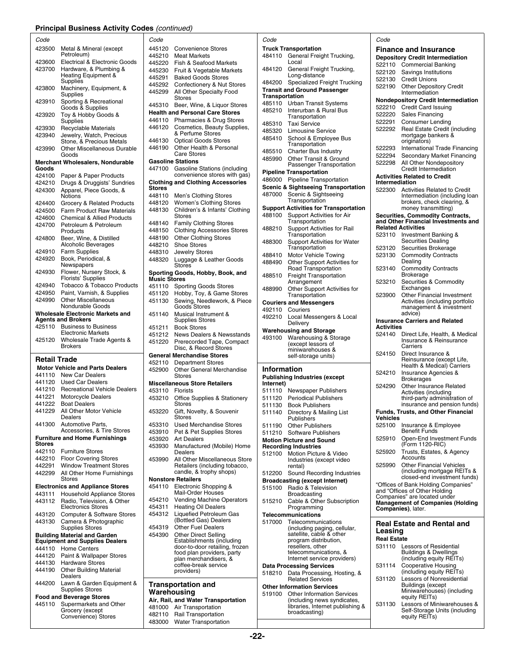### **Principal Business Activity Codes** *(continued)*

| Code                |                                                                              |                     |                                                                  |                    |                                                 |
|---------------------|------------------------------------------------------------------------------|---------------------|------------------------------------------------------------------|--------------------|-------------------------------------------------|
|                     |                                                                              | Code                |                                                                  | Code               |                                                 |
| 423500              | Metal & Mineral (except                                                      |                     | 445120 Convenience Stores                                        |                    | <b>Truck Transportation</b>                     |
|                     | Petroleum)                                                                   | 445210              | <b>Meat Markets</b>                                              | 484110             | <b>General Frei</b>                             |
| 423600              | Electrical & Electronic Goods                                                |                     | 445220 Fish & Seafood Markets                                    |                    | Local                                           |
| 423700              | Hardware, & Plumbing &<br>Heating Equipment &                                |                     | 445230 Fruit & Vegetable Markets                                 | 484120             | <b>General Frei</b><br>Long-distand             |
|                     | Supplies                                                                     | 445291<br>445292    | <b>Baked Goods Stores</b>                                        |                    | 484200 Specialized                              |
| 423800              | Machinery, Equipment, &                                                      | 445299              | Confectionery & Nut Stores<br>All Other Specialty Food           |                    | <b>Transit and Ground F</b>                     |
|                     | Supplies                                                                     |                     | <b>Stores</b>                                                    | Transportation     |                                                 |
| 423910              | Sporting & Recreational<br>Goods & Supplies                                  |                     | 445310 Beer, Wine, & Liquor Stores                               |                    | 485110 Urban Trans                              |
| 423920              | Toy & Hobby Goods &                                                          |                     | <b>Health and Personal Care Stores</b>                           | 485210             | Interurban &<br>Transportatio                   |
|                     | Supplies                                                                     |                     | 446110 Pharmacies & Drug Stores                                  | 485310             | <b>Taxi Service</b>                             |
| 423930<br>423940    | <b>Recyclable Materials</b>                                                  |                     | 446120 Cosmetics, Beauty Supplies,<br>& Perfume Stores           | 485320             | Limousine S                                     |
|                     | Jewelry, Watch, Precious<br>Stone, & Precious Metals                         | 446130              | <b>Optical Goods Stores</b>                                      | 485410             | School & Em                                     |
| 423990              | <b>Other Miscellaneous Durable</b>                                           |                     | 446190 Other Health & Personal                                   | 485510             | Transportatio<br><b>Charter Bus</b>             |
|                     | Goods                                                                        |                     | <b>Care Stores</b>                                               | 485990             | <b>Other Transi</b>                             |
| Goods               | <b>Merchant Wholesalers, Nondurable</b>                                      |                     | <b>Gasoline Stations</b><br>447100 Gasoline Stations (including  |                    | Passenger T                                     |
| 424100              | Paper & Paper Products                                                       |                     | convenience stores with gas)                                     |                    | <b>Pipeline Transportati</b>                    |
| 424210              | Drugs & Druggists' Sundries                                                  |                     | <b>Clothing and Clothing Accessories</b>                         |                    | 486000 Pipeline Tran                            |
| 424300              | Apparel, Piece Goods, &                                                      | Stores              |                                                                  | 487000             | <b>Scenic &amp; Sightseeing</b><br>Scenic & Sic |
|                     | Notions                                                                      | 448120              | 448110 Men's Clothing Stores                                     |                    | Transportatio                                   |
| 424400<br>424500    | Grocery & Related Products<br><b>Farm Product Raw Materials</b>              | 448130              | Women's Clothing Stores<br>Children's & Infants' Clothing        |                    | <b>Support Activities for</b>                   |
| 424600              | <b>Chemical &amp; Allied Products</b>                                        |                     | <b>Stores</b>                                                    | 488100             | Support Acti                                    |
| 424700              | Petroleum & Petroleum                                                        | 448140              | <b>Family Clothing Stores</b>                                    |                    | Transportatio                                   |
|                     | Products                                                                     | 448150              | <b>Clothing Accessories Stores</b>                               | 488210             | Support Acti<br>Transportatio                   |
| 424800              | Beer, Wine, & Distilled<br>Alcoholic Beverages                               | 448190              | <b>Other Clothing Stores</b>                                     | 488300             | Support Acti                                    |
| 424910              | <b>Farm Supplies</b>                                                         | 448210<br>448310    | <b>Shoe Stores</b><br><b>Jewelry Stores</b>                      |                    | Transportatio                                   |
| 424920              | Book, Periodical, &                                                          | 448320              | Luggage & Leather Goods                                          | 488410             | <b>Motor Vehicl</b>                             |
|                     | Newspapers                                                                   |                     | <b>Stores</b>                                                    | 488490             | Other Suppo<br><b>Road Transp</b>               |
| 424930              | Flower, Nursery Stock, &<br><b>Florists' Supplies</b>                        |                     | Sporting Goods, Hobby, Book, and                                 | 488510             | Freight Tran:                                   |
| 424940              | Tobacco & Tobacco Products                                                   | <b>Music Stores</b> | 451110 Sporting Goods Stores                                     |                    | Arrangemen                                      |
| 424950              | Paint, Varnish, & Supplies                                                   | 451120              | Hobby, Toy, & Game Stores                                        | 488990             | Other Suppo<br>Transportatio                    |
| 424990              | <b>Other Miscellaneous</b>                                                   | 451130              | Sewing, Needlework, & Piece                                      |                    | <b>Couriers and Messer</b>                      |
|                     | Nondurable Goods                                                             |                     | Goods Stores                                                     | 492110             | Couriers                                        |
|                     | <b>Wholesale Electronic Markets and</b><br><b>Agents and Brokers</b>         | 451140              | Musical Instrument &<br><b>Supplies Stores</b>                   | 492210             | <b>Local Messe</b>                              |
|                     | 425110 Business to Business                                                  | 451211              | <b>Book Stores</b>                                               |                    | Delivery<br><b>Warehousing and Sto</b>          |
|                     | <b>Electronic Markets</b>                                                    | 451212              | <b>News Dealers &amp; Newsstands</b>                             | 493100             | Warehousing                                     |
| 425120              | Wholesale Trade Agents &<br><b>Brokers</b>                                   | 451220              | Prerecorded Tape, Compact<br>Disc, & Record Stores               |                    | (except lesso                                   |
|                     |                                                                              |                     | General Merchandise Stores                                       |                    | miniwarehou<br>self-storage                     |
| <b>Retail Trade</b> |                                                                              | 452110              | <b>Department Stores</b>                                         |                    |                                                 |
|                     | <b>Motor Vehicle and Parts Dealers</b>                                       |                     |                                                                  |                    |                                                 |
|                     |                                                                              | 452900              | Other General Merchandise                                        | <b>Information</b> |                                                 |
|                     | 441110 New Car Dealers                                                       |                     | <b>Stores</b>                                                    |                    | <b>Publishing Industries</b>                    |
|                     | 441120 Used Car Dealers<br>441210 Recreational Vehicle Dealers               |                     | <b>Miscellaneous Store Retailers</b>                             | Internet)          |                                                 |
| 441221              | <b>Motorcycle Dealers</b>                                                    | 453110              | <b>Florists</b>                                                  | 511110             | Newspaper I<br>Periodical Pu                    |
| 441222              | <b>Boat Dealers</b>                                                          | 453210              | <b>Office Supplies &amp; Stationery</b><br>Stores                | 511120<br>511130   | <b>Book Publish</b>                             |
| 441229              | All Other Motor Vehicle                                                      | 453220              | Gift, Novelty, & Souvenir                                        | 511140             | Directory & N                                   |
|                     | Dealers                                                                      |                     | Stores                                                           |                    | <b>Publishers</b>                               |
| 441300              | Automotive Parts,<br>Accessories, & Tire Stores                              | 453910              | 453310 Used Merchandise Stores<br>Pet & Pet Supplies Stores      | 511190             | <b>Other Publis</b>                             |
|                     | <b>Furniture and Home Furnishings</b>                                        | 453920              | <b>Art Dealers</b>                                               | 511210             | Software Pul<br><b>Motion Picture and S</b>     |
| <b>Stores</b>       |                                                                              | 453930              | Manufactured (Mobile) Home                                       |                    | <b>Recording Industries</b>                     |
|                     | 442110 Furniture Stores                                                      |                     | Dealers                                                          | 512100             | <b>Motion Pictu</b>                             |
| 442210<br>442291    | <b>Floor Covering Stores</b><br><b>Window Treatment Stores</b>               | 453990              | All Other Miscellaneous Store<br>Retailers (including tobacco,   |                    | Industries (e)<br>rental)                       |
| 442299              | All Other Home Furnishings                                                   |                     | candle, & trophy shops)                                          |                    | 512200 Sound Reco                               |
|                     | <b>Stores</b>                                                                |                     | <b>Nonstore Retailers</b>                                        |                    | <b>Broadcasting (excep</b>                      |
|                     | <b>Electronics and Appliance Stores</b>                                      | 454110              | Electronic Shopping &                                            | 515100             | Radio & Tele                                    |
| 443111              | <b>Household Appliance Stores</b>                                            | 454210              | Mail-Order Houses<br><b>Vending Machine Operators</b>            |                    | Broadcasting                                    |
| 443112              | Radio, Television, & Other<br><b>Electronics Stores</b>                      | 454311              | <b>Heating Oil Dealers</b>                                       | 515210             | Cable & Oth<br>Programming                      |
| 443120              | <b>Computer &amp; Software Stores</b>                                        | 454312              | Liquefied Petroleum Gas                                          |                    | Telecommunications                              |
| 443130              | Camera & Photographic                                                        |                     | (Bottled Gas) Dealers                                            | 517000             | Telecommur                                      |
|                     | <b>Supplies Stores</b>                                                       | 454319              | <b>Other Fuel Dealers</b>                                        |                    | (including pa                                   |
|                     | <b>Building Material and Garden</b><br><b>Equipment and Supplies Dealers</b> | 454390              | <b>Other Direct Selling</b><br>Establishments (including         |                    | satellite, cab<br>program dist                  |
|                     | 444110 Home Centers                                                          |                     | door-to-door retailing, frozen                                   |                    | resellers, oth                                  |
| 444120              | Paint & Wallpaper Stores                                                     |                     | food plan providers, party<br>plan merchandisers, &              |                    | telecommuni<br>Internet serv                    |
|                     | 444130 Hardware Stores                                                       |                     | coffee-break service                                             |                    | Data Processing Ser                             |
| 444190              | <b>Other Building Material</b><br>Dealers                                    |                     | providers)                                                       | 518210             | Data Proces                                     |
| 444200              | Lawn & Garden Equipment &                                                    |                     | <b>Transportation and</b>                                        |                    | <b>Related Serv</b>                             |
|                     | <b>Supplies Stores</b>                                                       |                     | Warehousing                                                      | 519100             | <b>Other Information Se</b><br>Other Inform     |
|                     | <b>Food and Beverage Stores</b><br>445110 Supermarkets and Other             |                     | Air, Rail, and Water Transportation<br>481000 Air Transportation |                    | (including ne<br>libraries, Inte                |

| Ιe         |                                                                |  |
|------------|----------------------------------------------------------------|--|
| 120        | <b>Convenience Stores</b>                                      |  |
| 210        | <b>Meat Markets</b>                                            |  |
| 220        | Fish & Seafood Markets                                         |  |
| 230        | Fruit & Vegetable Markets                                      |  |
| 291<br>292 | <b>Baked Goods Stores</b><br>Confectionery & Nut Stores        |  |
| 299        | All Other Specialty Food                                       |  |
|            | <b>Stores</b>                                                  |  |
| 310        | Beer, Wine, & Liquor Stores                                    |  |
|            | Ith and Personal Care Stores                                   |  |
| 110<br>120 | Pharmacies & Drug Stores<br>Cosmetics, Beauty Supplies,        |  |
|            | & Perfume Stores                                               |  |
| 130        | <b>Optical Goods Stores</b>                                    |  |
| 190        | Other Health & Personal                                        |  |
|            | Care Stores                                                    |  |
| 100        | oline Stations<br>Gasoline Stations (including                 |  |
|            | convenience stores with gas)                                   |  |
|            | hing and Clothing Accessories                                  |  |
| es         |                                                                |  |
| 110<br>120 | Men's Clothing Stores<br>Women's Clothing Stores               |  |
| 130        | Children's & Infants' Clothing                                 |  |
|            | <b>Stores</b>                                                  |  |
| 140        | <b>Family Clothing Stores</b>                                  |  |
| 150        | <b>Clothing Accessories Stores</b>                             |  |
| 190        | <b>Other Clothing Stores</b>                                   |  |
| 210<br>310 | <b>Shoe Stores</b><br><b>Jewelry Stores</b>                    |  |
| 320        | Luggage & Leather Goods                                        |  |
|            | Stores                                                         |  |
|            | rting Goods, Hobby, Book, and<br>ic Stores                     |  |
| 110        | <b>Sporting Goods Stores</b>                                   |  |
| 120        | Hobby, Toy, & Game Stores                                      |  |
| 130        | Sewing, Needlework, & Piece                                    |  |
| 140        | Goods Stores<br>Musical Instrument &                           |  |
|            | <b>Supplies Stores</b>                                         |  |
| 211        | <b>Book Stores</b>                                             |  |
| 212        | News Dealers & Newsstands                                      |  |
| 220        | Prerecorded Tape, Compact<br>Disc, & Record Stores             |  |
|            | eral Merchandise Stores                                        |  |
| 110        | <b>Department Stores</b>                                       |  |
| 900        | <b>Other General Merchandise</b><br>Stores                     |  |
|            | cellaneous Store Retailers                                     |  |
| 110        | <b>Florists</b>                                                |  |
| 210        | <b>Office Supplies &amp; Stationery</b>                        |  |
| 220        | Stores<br>Gift, Novelty, & Souvenir                            |  |
|            | Stores                                                         |  |
| 310        | <b>Used Merchandise Stores</b>                                 |  |
| 910        | Pet & Pet Supplies Stores                                      |  |
| 920<br>930 | Art Dealers                                                    |  |
|            | Manufactured (Mobile) Home<br>Dealers                          |  |
| 990        | All Other Miscellaneous Store                                  |  |
|            | Retailers (including tobacco,<br>candle, & trophy shops)       |  |
|            | store Retailers                                                |  |
| 110        | Electronic Shopping &                                          |  |
|            | Mail-Order Houses                                              |  |
| 210<br>311 | <b>Vending Machine Operators</b><br><b>Heating Oil Dealers</b> |  |
| 312        | Liquefied Petroleum Gas                                        |  |
|            | (Bottled Gas) Dealers                                          |  |
| 319        | <b>Other Fuel Dealers</b>                                      |  |
| 390        | <b>Other Direct Selling</b>                                    |  |
|            | Establishments (including<br>door-to-door retailing, frozen    |  |
|            | food plan providers, party                                     |  |
|            | plan merchandisers, &<br>coffee-break service                  |  |
|            | providers)                                                     |  |
|            |                                                                |  |
|            | nsportation and<br>rehousing                                   |  |
|            | Rail, and Water Transportation                                 |  |
|            | 000 Air Transportation                                         |  |

| Code                                 |                                                                              | Code                |                                                        | Code               |                                                                 | Code               |                                                                      |
|--------------------------------------|------------------------------------------------------------------------------|---------------------|--------------------------------------------------------|--------------------|-----------------------------------------------------------------|--------------------|----------------------------------------------------------------------|
| 423500                               | Metal & Mineral (except                                                      | 445120              | <b>Convenience Stores</b>                              |                    | <b>Truck Transportation</b>                                     |                    | <b>Finance and Insurance</b>                                         |
|                                      | Petroleum)                                                                   | 445210              | <b>Meat Markets</b>                                    | 484110             | General Freight Trucking,                                       |                    | <b>Depository Credit Intermediation</b>                              |
| 423600                               | Electrical & Electronic Goods                                                | 445220              | Fish & Seafood Markets                                 |                    | Local                                                           |                    | 522110 Commercial Banking                                            |
| 423700                               | Hardware, & Plumbing &                                                       |                     | 445230 Fruit & Vegetable Markets                       | 484120             | General Freight Trucking,                                       |                    | 522120 Savings Institutions                                          |
|                                      | Heating Equipment &<br>Supplies                                              | 445291              | <b>Baked Goods Stores</b>                              |                    | Long-distance                                                   |                    | 522130 Credit Unions                                                 |
| 423800                               | Machinery, Equipment, &                                                      |                     | 445292 Confectionery & Nut Stores                      |                    | 484200 Specialized Freight Trucking                             | 522190             | <b>Other Depository Credit</b>                                       |
|                                      | Supplies                                                                     |                     | 445299 All Other Specialty Food                        | Transportation     | <b>Transit and Ground Passenger</b>                             |                    | Intermediation                                                       |
| 423910                               | Sporting & Recreational                                                      |                     | <b>Stores</b>                                          |                    | 485110 Urban Transit Systems                                    |                    | <b>Nondepository Credit Intermediation</b>                           |
|                                      | Goods & Supplies                                                             |                     | 445310 Beer, Wine, & Liquor Stores                     | 485210             | Interurban & Rural Bus                                          |                    | 522210 Credit Card Issuing                                           |
| 423920                               | Toy & Hobby Goods &                                                          |                     | <b>Health and Personal Care Stores</b>                 |                    | Transportation                                                  |                    | 522220 Sales Financing                                               |
|                                      | Supplies                                                                     |                     | 446110 Pharmacies & Drug Stores                        |                    | 485310 Taxi Service                                             | 522291             | <b>Consumer Lending</b>                                              |
| 423930                               | <b>Recyclable Materials</b>                                                  |                     | 446120 Cosmetics, Beauty Supplies,<br>& Perfume Stores | 485320             | <b>Limousine Service</b>                                        | 522292             | Real Estate Credit (including                                        |
| 423940                               | Jewelry, Watch, Precious<br>Stone, & Precious Metals                         | 446130              | <b>Optical Goods Stores</b>                            | 485410             | School & Employee Bus                                           |                    | mortgage bankers &<br>originators)                                   |
| 423990                               | <b>Other Miscellaneous Durable</b>                                           | 446190              | Other Health & Personal                                |                    | Transportation                                                  | 522293             | International Trade Financing                                        |
|                                      | Goods                                                                        |                     | <b>Care Stores</b>                                     | 485510             | <b>Charter Bus Industry</b>                                     | 522294             | Secondary Market Financing                                           |
|                                      | Merchant Wholesalers, Nondurable                                             |                     | <b>Gasoline Stations</b>                               | 485990             | Other Transit & Ground                                          | 522298             | All Other Nondepository                                              |
| Goods                                |                                                                              | 447100              | <b>Gasoline Stations (including</b>                    |                    | Passenger Transportation                                        |                    | Credit Intermediation                                                |
| 424100                               | Paper & Paper Products                                                       |                     | convenience stores with gas)                           |                    | <b>Pipeline Transportation</b>                                  |                    | <b>Activities Related to Credit</b>                                  |
| 424210                               | Drugs & Druggists' Sundries                                                  |                     | <b>Clothing and Clothing Accessories</b>               |                    | 486000 Pipeline Transportation                                  | Intermediation     |                                                                      |
| 424300                               | Apparel, Piece Goods, &                                                      | Stores              |                                                        |                    | <b>Scenic &amp; Sightseeing Transportation</b>                  | 522300             | <b>Activities Related to Credit</b>                                  |
|                                      | Notions                                                                      |                     | 448110 Men's Clothing Stores                           |                    | 487000 Scenic & Sightseeing<br>Transportation                   |                    | Intermediation (including loan                                       |
| 424400                               | Grocery & Related Products                                                   |                     | 448120 Women's Clothing Stores                         |                    | <b>Support Activities for Transportation</b>                    |                    | brokers, check clearing, &<br>money transmitting)                    |
| 424500                               | Farm Product Raw Materials                                                   | 448130              | Children's & Infants' Clothing                         | 488100             | Support Activities for Air                                      |                    | <b>Securities, Commodity Contracts,</b>                              |
| 424600                               | <b>Chemical &amp; Allied Products</b>                                        |                     | <b>Stores</b>                                          |                    | Transportation                                                  |                    | and Other Financial Investments and                                  |
| 424700                               | Petroleum & Petroleum                                                        |                     | 448140 Family Clothing Stores                          | 488210             | Support Activities for Rail                                     |                    | <b>Related Activities</b>                                            |
|                                      | Products                                                                     |                     | 448150 Clothing Accessories Stores                     |                    | Transportation                                                  |                    | 523110 Investment Banking &                                          |
| 424800                               | Beer, Wine, & Distilled                                                      |                     | 448190 Other Clothing Stores                           | 488300             | Support Activities for Water                                    |                    | <b>Securities Dealing</b>                                            |
|                                      | Alcoholic Beverages                                                          |                     | 448210 Shoe Stores                                     |                    | Transportation                                                  |                    | 523120 Securities Brokerage                                          |
| 424910                               | <b>Farm Supplies</b><br>Book, Periodical, &                                  | 448310              | <b>Jewelry Stores</b>                                  | 488410             | Motor Vehicle Towing                                            | 523130             | <b>Commodity Contracts</b>                                           |
| 424920                               | Newspapers                                                                   | 448320              | Luggage & Leather Goods<br><b>Stores</b>               | 488490             | Other Support Activities for                                    |                    | Dealing                                                              |
| 424930                               | Flower, Nursery Stock, &                                                     |                     | Sporting Goods, Hobby, Book, and                       |                    | Road Transportation                                             | 523140             | <b>Commodity Contracts</b>                                           |
|                                      | Florists' Supplies                                                           | <b>Music Stores</b> |                                                        | 488510             | <b>Freight Transportation</b>                                   |                    | <b>Brokerage</b>                                                     |
| 424940                               | Tobacco & Tobacco Products                                                   |                     | 451110 Sporting Goods Stores                           |                    | Arrangement                                                     | 523210             | Securities & Commodity                                               |
| 424950                               | Paint, Varnish, & Supplies                                                   |                     | 451120 Hobby, Toy, & Game Stores                       | 488990             | Other Support Activities for<br>Transportation                  |                    | Exchanges                                                            |
| 424990                               | <b>Other Miscellaneous</b>                                                   | 451130              | Sewing, Needlework, & Piece                            |                    |                                                                 | 523900             | Other Financial Investment<br>Activities (including portfolio        |
|                                      | Nondurable Goods                                                             |                     | Goods Stores                                           | 492110             | <b>Couriers and Messengers</b><br>Couriers                      |                    | management & investment                                              |
|                                      | Wholesale Electronic Markets and                                             | 451140              | Musical Instrument &                                   | 492210             | Local Messengers & Local                                        |                    | advice)                                                              |
|                                      | <b>Agents and Brokers</b>                                                    |                     | <b>Supplies Stores</b>                                 |                    | Delivery                                                        |                    | <b>Insurance Carriers and Related</b>                                |
|                                      |                                                                              |                     |                                                        |                    |                                                                 |                    |                                                                      |
|                                      | 425110 Business to Business                                                  | 451211              | <b>Book Stores</b>                                     |                    |                                                                 | <b>Activities</b>  |                                                                      |
|                                      | <b>Electronic Markets</b>                                                    | 451212              | <b>News Dealers &amp; Newsstands</b>                   |                    | <b>Warehousing and Storage</b>                                  | 524140             | Direct Life, Health, & Medical                                       |
|                                      | 425120 Wholesale Trade Agents &                                              | 451220              | Prerecorded Tape, Compact                              | 493100             | Warehousing & Storage                                           |                    | Insurance & Reinsurance                                              |
|                                      | <b>Brokers</b>                                                               |                     | Disc, & Record Stores                                  |                    | (except lessors of<br>miniwarehouses &                          |                    | Carriers                                                             |
|                                      |                                                                              |                     | <b>General Merchandise Stores</b>                      |                    | self-storage units)                                             | 524150             | Direct Insurance &                                                   |
| Retail Trade                         |                                                                              | 452110              | <b>Department Stores</b>                               |                    |                                                                 |                    | Reinsurance (except Life,<br>Health & Medical) Carriers              |
|                                      | <b>Motor Vehicle and Parts Dealers</b>                                       | 452900              | <b>Other General Merchandise</b>                       | <b>Information</b> |                                                                 | 524210             | <b>Insurance Agencies &amp;</b>                                      |
|                                      | 441110 New Car Dealers                                                       |                     | <b>Stores</b>                                          |                    | <b>Publishing Industries (except</b>                            |                    | <b>Brokerages</b>                                                    |
| 441120                               | <b>Used Car Dealers</b>                                                      |                     | <b>Miscellaneous Store Retailers</b>                   | Internet)          |                                                                 | 524290             | Other Insurance Related                                              |
| 441210                               | <b>Recreational Vehicle Dealers</b>                                          | 453110 Florists     |                                                        |                    | 511110 Newspaper Publishers                                     |                    | Activities (including                                                |
|                                      | 441221 Motorcycle Dealers                                                    | 453210              | Office Supplies & Stationery                           |                    | 511120 Periodical Publishers                                    |                    | third-party administration of                                        |
|                                      | 441222 Boat Dealers                                                          |                     | <b>Stores</b>                                          |                    | 511130 Book Publishers                                          |                    | insurance and pension funds)                                         |
| 441229                               | All Other Motor Vehicle<br>Dealers                                           |                     | 453220 Gift, Novelty, & Souvenir<br>Stores             |                    | 511140 Directory & Mailing List                                 |                    | <b>Funds. Trusts, and Other Financial</b>                            |
| 441300                               | Automotive Parts,                                                            | 453310              | Used Merchandise Stores                                |                    | Publishers                                                      | <b>Vehicles</b>    |                                                                      |
|                                      | Accessories, & Tire Stores                                                   |                     | 453910 Pet & Pet Supplies Stores                       |                    | 511190 Other Publishers                                         |                    | 525100 Insurance & Employee<br><b>Benefit Funds</b>                  |
|                                      | <b>Furniture and Home Furnishings</b>                                        |                     | 453920 Art Dealers                                     | 511210             | Software Publishers<br><b>Motion Picture and Sound</b>          | 525910             | Open-End Investment Funds                                            |
| Stores                               |                                                                              | 453930              | Manufactured (Mobile) Home                             |                    | <b>Recording Industries</b>                                     |                    | (Form 1120-RIC)                                                      |
| 442110                               | <b>Furniture Stores</b>                                                      |                     | Dealers                                                | 512100             | Motion Picture & Video                                          | 525920             | Trusts, Estates, & Agency                                            |
| 442210                               | <b>Floor Covering Stores</b>                                                 | 453990              | All Other Miscellaneous Store                          |                    | Industries (except video                                        |                    | Accounts                                                             |
| 442291                               | <b>Window Treatment Stores</b>                                               |                     | Retailers (including tobacco,                          |                    | rental)                                                         | 525990             | <b>Other Financial Vehicles</b>                                      |
| 442299                               | All Other Home Furnishings                                                   |                     | candle, & trophy shops)                                |                    | 512200 Sound Recording Industries                               |                    | (including mortgage REITs &                                          |
|                                      | Stores                                                                       |                     | <b>Nonstore Retailers</b>                              |                    | <b>Broadcasting (except Internet)</b>                           |                    | closed-end investment funds)                                         |
|                                      | <b>Electronics and Appliance Stores</b>                                      |                     | 454110 Electronic Shopping &                           |                    | 515100 Radio & Television                                       |                    | "Offices of Bank Holding Companies"<br>and "Offices of Other Holding |
|                                      | 443111 Household Appliance Stores                                            |                     | <b>Mail-Order Houses</b>                               |                    | Broadcasting                                                    |                    | Companies" are located under                                         |
|                                      | 443112 Radio, Television, & Other                                            |                     | 454210 Vending Machine Operators                       | 515210             | Cable & Other Subscription                                      |                    | <b>Management of Companies (Holding</b>                              |
|                                      | <b>Electronics Stores</b>                                                    |                     | 454311 Heating Oil Dealers                             |                    | Programming                                                     |                    | Companies), later.                                                   |
| 443120                               | Computer & Software Stores                                                   |                     | 454312 Liquefied Petroleum Gas                         |                    | Telecommunications                                              |                    |                                                                      |
| 443130                               | Camera & Photographic                                                        |                     | (Bottled Gas) Dealers<br>454319 Other Fuel Dealers     | 517000             | Telecommunications                                              |                    | <b>Real Estate and Rental and</b>                                    |
|                                      | <b>Supplies Stores</b>                                                       | 454390              | <b>Other Direct Selling</b>                            |                    | (including paging, cellular,<br>satellite, cable & other        | Leasing            |                                                                      |
|                                      | <b>Building Material and Garden</b><br><b>Equipment and Supplies Dealers</b> |                     | Establishments (including                              |                    | program distribution,                                           | <b>Real Estate</b> |                                                                      |
|                                      | 444110 Home Centers                                                          |                     | door-to-door retailing, frozen                         |                    | resellers, other                                                |                    | 531110 Lessors of Residential                                        |
|                                      | Paint & Wallpaper Stores                                                     |                     | food plan providers, party                             |                    | telecommunications, &                                           |                    | <b>Buildings &amp; Dwellings</b>                                     |
|                                      | <b>Hardware Stores</b>                                                       |                     | plan merchandisers, &                                  |                    | Internet service providers)                                     |                    | (including equity REITs)                                             |
|                                      | <b>Other Building Material</b>                                               |                     | coffee-break service<br>providers)                     |                    | <b>Data Processing Services</b>                                 | 531114             | <b>Cooperative Housing</b>                                           |
|                                      | Dealers                                                                      |                     |                                                        |                    | 518210 Data Processing, Hosting, &                              |                    | (including equity REITs)                                             |
| 444120<br>444130<br>444190<br>444200 | Lawn & Garden Equipment &                                                    |                     | <b>Transportation and</b>                              |                    | <b>Related Services</b>                                         | 531120             | Lessors of Nonresidential<br><b>Buildings (except</b>                |
|                                      | <b>Supplies Stores</b>                                                       |                     | Warehousing                                            |                    | <b>Other Information Services</b>                               |                    | Miniwarehouses) (including                                           |
|                                      | <b>Food and Beverage Stores</b>                                              |                     | Air, Rail, and Water Transportation                    | 519100             | <b>Other Information Services</b>                               |                    | equity REITs)                                                        |
|                                      | 445110 Supermarkets and Other                                                |                     | 481000 Air Transportation                              |                    | (including news syndicates,<br>libraries, Internet publishing & | 531130             | Lessors of Miniwarehouses &                                          |
|                                      | Grocery (except<br>Convenience) Stores                                       |                     | 482110 Rail Transportation                             |                    | broadcasting)                                                   |                    | Self-Storage Units (including<br>equity REITs)                       |

| coae                          |                                                                                |
|-------------------------------|--------------------------------------------------------------------------------|
|                               | Finance and Insurance                                                          |
|                               | <b>Depository Credit Intermediation</b>                                        |
| 522110                        | <b>Commercial Banking</b>                                                      |
| 522120                        | Savings Institutions                                                           |
| 522130                        | <b>Credit Unions</b>                                                           |
| 522190                        | <b>Other Depository Credit</b><br>Intermediation                               |
|                               | <b>Nondepository Credit Intermediation</b>                                     |
| 522210                        | Credit Card Issuing                                                            |
| 522220                        | Sales Financing                                                                |
| 522291                        | <b>Consumer Lending</b>                                                        |
| 522292                        | Real Estate Credit (including                                                  |
|                               | mortgage bankers &<br>originators)                                             |
| 522293                        | International Trade Financing                                                  |
| 522294                        | Secondary Market Financing                                                     |
| 522298                        | All Other Nondepository                                                        |
|                               | Credit Intermediation                                                          |
|                               | <b>Activities Related to Credit</b>                                            |
| Intermediation<br>522300      | <b>Activities Related to Credit</b>                                            |
|                               | Intermediation (including loan                                                 |
|                               | brokers, check clearing, &                                                     |
|                               | money transmitting)                                                            |
|                               | <b>Securities, Commodity Contracts,</b><br>and Other Financial Investments and |
|                               | <b>Related Activities</b>                                                      |
| 523110                        | Investment Banking &                                                           |
|                               | <b>Securities Dealing</b>                                                      |
| 523120                        | Securities Brokerage                                                           |
| 523130                        | <b>Commodity Contracts</b>                                                     |
| 523140                        | Dealing<br><b>Commodity Contracts</b>                                          |
|                               | <b>Brokerage</b>                                                               |
| 523210                        | Securities & Commodity                                                         |
| 523900                        | Exchanges<br><b>Other Financial Investment</b>                                 |
|                               | Activities (including portfolio                                                |
|                               | management & investment                                                        |
|                               | advice)                                                                        |
| <b>Activities</b>             | <b>Insurance Carriers and Related</b>                                          |
| 524140                        | Direct Life, Health, & Medical                                                 |
|                               | Insurance & Reinsurance                                                        |
|                               | Carriers                                                                       |
| 524150                        | Direct Insurance &<br>Reinsurance (except Life,                                |
|                               | Health & Medical) Carriers                                                     |
| 524210                        | Insurance Agencies &                                                           |
|                               | <b>Brokerages</b>                                                              |
| 524290                        | Other Insurance Related<br>Activities (including                               |
|                               |                                                                                |
|                               | third-party administration of<br>insurance and pension funds)                  |
|                               | Funds, Trusts, and Other Financial                                             |
| vehicles                      |                                                                                |
| 525100                        | Insurance & Employee<br>Benefit Funds                                          |
| 525910                        | Open-End Investment Funds                                                      |
|                               | (Form 1120-RIC)                                                                |
| 525920                        | Trusts, Estates, & Agency<br>Accounts                                          |
| 525990                        | <b>Other Financial Vehicles</b>                                                |
|                               | (including mortgage REITs &                                                    |
|                               | closed-end investment funds)                                                   |
|                               | "Offices of Bank Holding Companies"<br>and "Offices of Other Holding           |
|                               | Companies" are located under                                                   |
|                               | <b>Management of Companies (Holding</b>                                        |
|                               | <b>Companies)</b> , later.                                                     |
|                               | <b>Real Estate and Rental and</b>                                              |
|                               |                                                                                |
| Leasing<br><b>Real Estate</b> |                                                                                |
| 531110                        | Lessors of Residential                                                         |
|                               | Buildings & Dwellings                                                          |
|                               | (including equity REITs)                                                       |
| 531114                        | <b>Cooperative Housing</b>                                                     |
| 531120                        | (including equity REITs)<br>Lessors of Nonresidential                          |
|                               | Buildings (except                                                              |
|                               | Miniwarehouses) (including                                                     |
| 531130                        | equity REITs)                                                                  |
|                               | Lessors of Miniwarehouses &                                                    |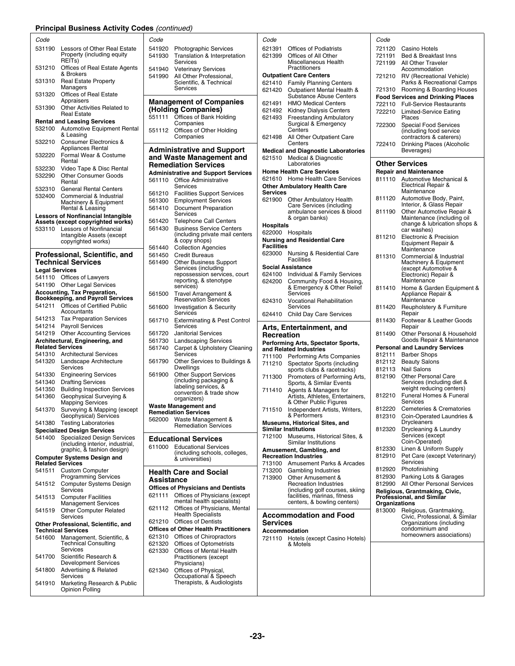### **Principal Business Activity Codes** *(continued)*

|                       | $r$ incipal business Activity Cours $(1000)$                     |                   |                                                            |                   |                                                                  |          |
|-----------------------|------------------------------------------------------------------|-------------------|------------------------------------------------------------|-------------------|------------------------------------------------------------------|----------|
| Code                  |                                                                  | Code              |                                                            | Code              |                                                                  | Code     |
| 531190                |                                                                  | 541920            |                                                            | 621391            |                                                                  | 72112    |
|                       | Lessors of Other Real Estate<br>Property (including equity)      | 541930            | <b>Photographic Services</b>                               |                   | <b>Offices of Podiatrists</b><br>621399 Offices of All Other     | 72119    |
|                       | REIT <sub>s</sub> )                                              |                   | Translation & Interpretation<br>Services                   |                   | Miscellaneous Health                                             | 72119    |
|                       | 531210 Offices of Real Estate Agents                             | 541940            | <b>Veterinary Services</b>                                 |                   | Practitioners                                                    |          |
|                       | & Brokers                                                        | 541990            | All Other Professional,                                    |                   | <b>Outpatient Care Centers</b>                                   | 7212     |
|                       | 531310 Real Estate Property                                      |                   | Scientific, & Technical                                    |                   | 621410 Family Planning Centers                                   |          |
|                       | Managers                                                         |                   | Services                                                   |                   | 621420 Outpatient Mental Health &                                | 7213     |
| 531320                | Offices of Real Estate                                           |                   |                                                            |                   | <b>Substance Abuse Centers</b>                                   | Food     |
|                       | Appraisers                                                       |                   | <b>Management of Companies</b>                             |                   | 621491 HMO Medical Centers                                       | 7221     |
|                       | 531390 Other Activities Related to<br><b>Real Estate</b>         |                   | (Holding Companies)                                        |                   | 621492 Kidney Dialysis Centers                                   | 7222     |
|                       | <b>Rental and Leasing Services</b>                               |                   | 551111 Offices of Bank Holding                             |                   | 621493 Freestanding Ambulatory                                   |          |
|                       | 532100 Automotive Equipment Rental                               |                   | Companies                                                  |                   | Surgical & Emergency                                             | 72230    |
|                       | & Leasing                                                        |                   | 551112 Offices of Other Holding<br>Companies               |                   | Centers                                                          |          |
|                       | 532210 Consumer Electronics &                                    |                   |                                                            |                   | 621498 All Other Outpatient Care<br>Centers                      |          |
|                       | Appliances Rental                                                |                   | <b>Administrative and Support</b>                          |                   | <b>Medical and Diagnostic Laboratories</b>                       | 7224     |
|                       | 532220 Formal Wear & Costume                                     |                   | and Waste Management and                                   |                   | 621510 Medical & Diagnostic                                      |          |
|                       | Rental                                                           |                   | <b>Remediation Services</b>                                |                   | Laboratories                                                     | Othe     |
|                       | 532230 Video Tape & Disc Rental                                  |                   | <b>Administrative and Support Services</b>                 |                   | <b>Home Health Care Services</b>                                 | Repa     |
| 532290                | <b>Other Consumer Goods</b>                                      |                   | 561110 Office Administrative                               |                   | 621610 Home Health Care Services                                 | 8111'    |
|                       | Rental                                                           |                   | Services                                                   |                   | <b>Other Ambulatory Health Care</b>                              |          |
| 532310                | <b>General Rental Centers</b><br>Commercial & Industrial         |                   | 561210 Facilities Support Services                         | <b>Services</b>   |                                                                  |          |
| 532400                | Machinery & Equipment                                            |                   | 561300 Employment Services                                 |                   | 621900 Other Ambulatory Health                                   | 81112    |
|                       | Rental & Leasing                                                 |                   | 561410 Document Preparation                                |                   | Care Services (including                                         |          |
|                       | <b>Lessors of Nonfinancial Intangible</b>                        |                   | Services                                                   |                   | ambulance services & blood<br>& organ banks)                     | 81119    |
|                       | Assets (except copyrighted works)                                | 561420            | <b>Telephone Call Centers</b>                              | <b>Hospitals</b>  |                                                                  |          |
|                       | 533110 Lessors of Nonfinancial                                   | 561430            | <b>Business Service Centers</b>                            |                   | 622000 Hospitals                                                 |          |
|                       | Intangible Assets (except                                        |                   | (including private mail centers                            |                   | <b>Nursing and Residential Care</b>                              | 8112     |
|                       | copyrighted works)                                               | 561440            | & copy shops)<br><b>Collection Agencies</b>                | <b>Facilities</b> |                                                                  |          |
|                       | Professional, Scientific, and                                    | 561450            | <b>Credit Bureaus</b>                                      |                   | 623000 Nursing & Residential Care                                |          |
|                       | <b>Technical Services</b>                                        | 561490            | <b>Other Business Support</b>                              |                   | <b>Facilities</b>                                                | 8113     |
|                       |                                                                  |                   | Services (including                                        |                   | <b>Social Assistance</b>                                         |          |
| <b>Legal Services</b> |                                                                  |                   | repossession services, court                               |                   | 624100 Individual & Family Services                              |          |
|                       | 541110 Offices of Lawyers<br>541190 Other Legal Services         |                   | reporting, & stenotype                                     |                   | 624200 Community Food & Housing,                                 |          |
|                       | <b>Accounting, Tax Preparation,</b>                              |                   | services)                                                  |                   | & Emergency & Other Relief                                       | 8114     |
|                       | <b>Bookkeeping, and Payroll Services</b>                         | 561500            | Travel Arrangement &<br><b>Reservation Services</b>        |                   | Services                                                         |          |
|                       | 541211 Offices of Certified Public                               | 561600            | <b>Investigation &amp; Security</b>                        |                   | 624310 Vocational Rehabilitation<br>Services                     | 81142    |
|                       | Accountants                                                      |                   | Services                                                   |                   | 624410 Child Day Care Services                                   |          |
|                       | 541213 Tax Preparation Services                                  | 561710            | <b>Exterminating &amp; Pest Control</b>                    |                   |                                                                  | 81143    |
|                       | 541214 Payroll Services                                          |                   | Services                                                   |                   | Arts, Entertainment, and                                         |          |
|                       | 541219 Other Accounting Services                                 | 561720            | <b>Janitorial Services</b>                                 | <b>Recreation</b> |                                                                  | 81149    |
|                       | Architectural, Engineering, and                                  | 561730            | <b>Landscaping Services</b>                                |                   | Performing Arts, Spectator Sports,                               |          |
|                       | <b>Related Services</b>                                          | 561740            | Carpet & Upholstery Cleaning                               |                   | and Related Industries                                           | Perso    |
|                       | 541310 Architectural Services                                    |                   | Services                                                   |                   | 711100 Performing Arts Companies                                 | $8121 -$ |
|                       | 541320 Landscape Architecture                                    | 561790            | Other Services to Buildings &                              |                   | 711210 Spectator Sports (including                               | $8121 -$ |
|                       | Services<br>541330 Engineering Services                          | 561900            | <b>Dwellings</b><br><b>Other Support Services</b>          |                   | sports clubs & racetracks)                                       | 8121     |
| 541340                | <b>Drafting Services</b>                                         |                   | (including packaging &                                     |                   | 711300 Promoters of Performing Arts,                             | 81219    |
| 541350                | <b>Building Inspection Services</b>                              |                   | labeling services, &                                       |                   | Sports, & Similar Events                                         |          |
| 541360                | Geophysical Surveying &                                          |                   | convention & trade show                                    |                   | 711410 Agents & Managers for<br>Artists, Athletes, Entertainers, | $8122 -$ |
|                       | <b>Mapping Services</b>                                          |                   | organizers)                                                |                   | & Other Public Figures                                           |          |
|                       | 541370 Surveying & Mapping (except                               |                   | <b>Waste Management and</b>                                |                   | 711510 Independent Artists, Writers,                             | 81222    |
|                       | Geophysical) Services                                            |                   | <b>Remediation Services</b><br>562000 Waste Management &   |                   | & Performers                                                     |          |
|                       | 541380 Testing Laboratories                                      |                   |                                                            |                   |                                                                  | 8123     |
|                       |                                                                  |                   |                                                            |                   | Museums, Historical Sites, and                                   |          |
|                       | <b>Specialized Design Services</b>                               |                   | <b>Remediation Services</b>                                |                   | <b>Similar Institutions</b>                                      | 81232    |
|                       | 541400 Specialized Design Services                               |                   | <b>Educational Services</b>                                |                   | 712100 Museums, Historical Sites, &                              |          |
|                       | (including interior, industrial,                                 |                   | 611000 Educational Services                                |                   | Similar Institutions                                             |          |
|                       | graphic, & fashion design)                                       |                   | (including schools, colleges,                              |                   | Amusement, Gambling, and                                         | 8123     |
|                       | <b>Computer Systems Design and</b>                               |                   | & universities)                                            |                   | <b>Recreation Industries</b>                                     | $8129 -$ |
|                       | <b>Related Services</b>                                          |                   |                                                            |                   | 713100 Amusement Parks & Arcades                                 | 81292    |
|                       | 541511 Custom Computer<br><b>Programming Services</b>            |                   | <b>Health Care and Social</b>                              | 713900            | 713200 Gambling Industries<br>Other Amusement &                  | 81293    |
|                       | 541512 Computer Systems Design                                   | <b>Assistance</b> |                                                            |                   | <b>Recreation Industries</b>                                     | 8129     |
|                       | Services                                                         |                   | <b>Offices of Physicians and Dentists</b>                  |                   | (including golf courses, skiing                                  | Relig    |
| 541513                | <b>Computer Facilities</b>                                       |                   | 621111 Offices of Physicians (except                       |                   | facilities, marinas, fitness                                     | Profe    |
|                       | <b>Management Services</b>                                       |                   | mental health specialists)                                 |                   | centers, & bowling centers)                                      | Orga     |
| 541519                | <b>Other Computer Related</b>                                    | 621112            | Offices of Physicians, Mental<br><b>Health Specialists</b> |                   |                                                                  | 81300    |
|                       | Services                                                         |                   | 621210 Offices of Dentists                                 |                   | <b>Accommodation and Food</b>                                    |          |
|                       | Other Professional, Scientific, and<br><b>Technical Services</b> |                   | <b>Offices of Other Health Practitioners</b>               | <b>Services</b>   |                                                                  |          |
| 541600                | Management, Scientific, &                                        |                   | 621310 Offices of Chiropractors                            |                   | Accommodation                                                    |          |
|                       | <b>Technical Consulting</b>                                      |                   | 621320 Offices of Optometrists                             |                   | 721110 Hotels (except Casino Hotels)<br>& Motels                 |          |
|                       | Services                                                         | 621330            | Offices of Mental Health                                   |                   |                                                                  |          |
| 541700                | Scientific Research &                                            |                   | Practitioners (except                                      |                   |                                                                  |          |
|                       | <b>Development Services</b>                                      |                   | Physicians)                                                |                   |                                                                  |          |
| 541800                | <b>Advertising &amp; Related</b>                                 | 621340            | Offices of Physical,                                       |                   |                                                                  |          |
| 541910                | Services<br>Marketing Research & Public                          |                   | Occupational & Speech<br>Therapists, & Audiologists        |                   |                                                                  |          |

|                                  |                                                                    | Co                    |
|----------------------------------|--------------------------------------------------------------------|-----------------------|
| 41920                            | <b>Photographic Services</b>                                       | $62^{\circ}$          |
| 41930                            | Translation & Interpretation<br>Services                           | $62^{\circ}$          |
| 41940                            | <b>Veterinary Services</b>                                         |                       |
| 41990                            | All Other Professional,<br>Scientific, & Technical                 | Oυ<br>$62^{\circ}$    |
|                                  | Services                                                           | $62^{\circ}$          |
|                                  | <b>Aanagement of Companies</b>                                     | 62 <sup>.</sup>       |
|                                  | <b>Holding Companies)</b>                                          | $62^{\circ}$          |
| 51111                            | Offices of Bank Holding                                            | 62                    |
| 51112                            | Companies<br>Offices of Other Holding                              |                       |
|                                  | Companies                                                          | $62^{\circ}$          |
|                                  | <b>Administrative and Support</b>                                  | Мe                    |
|                                  | <b>nd Waste Management and</b>                                     | $62^{\circ}$          |
|                                  | <b>Remediation Services</b>                                        |                       |
| 61110                            | dministrative and Support Services<br><b>Office Administrative</b> | Ho<br>62 <sup>.</sup> |
|                                  | Services                                                           | Otl                   |
| 61210                            | <b>Facilities Support Services</b>                                 | Se                    |
| 61300                            | <b>Employment Services</b>                                         | $62^{\circ}$          |
| 61410                            | Document Preparation<br>Services                                   |                       |
| 61420                            | <b>Telephone Call Centers</b>                                      | Ho                    |
| 61430                            | <b>Business Service Centers</b>                                    | 622                   |
|                                  | (including private mail centers<br>& copy shops)                   | Nu                    |
| 61440                            | <b>Collection Agencies</b>                                         | Fa                    |
| 61450                            | <b>Credit Bureaus</b>                                              | 62:                   |
| 61490                            | Other Business Support<br>Services (including                      | So                    |
|                                  | repossession services, court                                       | 62 <sub>6</sub>       |
|                                  | reporting, & stenotype<br>services)                                | 62 <sub>4</sub>       |
| 61500                            | Travel Arrangement &<br>Reservation Services                       |                       |
| 61600                            | <b>Investigation &amp; Security</b>                                | 62                    |
|                                  | Services                                                           | 62                    |
| 61710                            | <b>Exterminating &amp; Pest Control</b><br>Services                | Ar                    |
| 61720                            | Janitorial Services                                                | Re                    |
| 61730<br>61740                   | <b>Landscaping Services</b><br>Carpet & Upholstery Cleaning        | Pe                    |
|                                  | Services                                                           | an<br>71.             |
| 61790                            | Other Services to Buildings &<br>Dwellings                         | $71^{\circ}$          |
| 61900                            | <b>Other Support Services</b>                                      |                       |
|                                  | (including packaging &                                             |                       |
|                                  |                                                                    | 71.                   |
|                                  | labeling services, &<br>convention & trade show                    | 71 <sup>°</sup>       |
|                                  | organizers)                                                        |                       |
| emediation                       | Vaste Management and<br><b>Arv</b>                                 | $71^{\circ}$          |
| 62000                            | Waste Management &                                                 |                       |
|                                  | <b>Remediation Services</b>                                        | Mu<br>Sir             |
|                                  | ducational Services:                                               | 712                   |
| 11000                            | <b>Educational Services</b>                                        | Αn                    |
|                                  | (including schools, colleges,<br>& universities)                   | Re                    |
|                                  |                                                                    | 71:                   |
|                                  | lealth Care and Social                                             | 71:<br>71:            |
| <b>\ssistance</b>                | <b>Mfices of Physicians and Dentists</b>                           |                       |
| 21111                            | Offices of Physicians (except                                      |                       |
|                                  | mental health specialists)                                         |                       |
|                                  | Offices of Physicians, Mental<br><b>Health Specialists</b>         | Ac                    |
|                                  | <b>Offices of Dentists</b>                                         | Se                    |
|                                  | <b>Offices of Other Health Practitioners</b>                       | Ac                    |
| 21112<br>21210<br>21310<br>21320 | Offices of Chiropractors<br>Offices of Optometrists                | $72^{\circ}$          |
| 21330                            | Offices of Mental Health                                           |                       |
|                                  | Practitioners (except                                              |                       |
| 21340                            | Physicians)<br>Offices of Physical,                                |                       |
|                                  | Occupational & Speech<br>Therapists, & Audiologists                |                       |

| Code                  |                                                                                   | Code             |                                                                            | Code              |                                                                               | Code             |                                                                              |
|-----------------------|-----------------------------------------------------------------------------------|------------------|----------------------------------------------------------------------------|-------------------|-------------------------------------------------------------------------------|------------------|------------------------------------------------------------------------------|
| 531190                | Lessors of Other Real Estate<br>Property (including equity<br>REIT <sub>s</sub> ) | 541920<br>541930 | <b>Photographic Services</b><br>Translation & Interpretation<br>Services   | 621391<br>621399  | <b>Offices of Podiatrists</b><br>Offices of All Other<br>Miscellaneous Health | 721120<br>721191 | Casino Hotels<br>Bed & Breakfast Inns                                        |
|                       | 531210 Offices of Real Estate Agents<br>& Brokers                                 | 541940           | <b>Veterinary Services</b>                                                 |                   | Practitioners<br><b>Outpatient Care Centers</b>                               | 721199           | All Other Traveler<br>Accommodation                                          |
| 531310                | <b>Real Estate Property</b><br>Managers                                           | 541990           | All Other Professional,<br>Scientific, & Technical<br>Services             | 621410            | <b>Family Planning Centers</b>                                                | 721210           | RV (Recreational Vehicle)<br>Parks & Recreational Camps                      |
| 531320                | <b>Offices of Real Estate</b>                                                     |                  |                                                                            | 621420            | Outpatient Mental Health &<br>Substance Abuse Centers                         |                  | 721310 Rooming & Boarding Houses<br><b>Food Services and Drinking Places</b> |
|                       | Appraisers                                                                        |                  | <b>Management of Companies</b>                                             | 621491            | <b>HMO Medical Centers</b>                                                    |                  | 722110 Full-Service Restaurants                                              |
| 531390                | Other Activities Related to<br><b>Real Estate</b>                                 |                  | (Holding Companies)                                                        | 621492            | <b>Kidney Dialysis Centers</b>                                                |                  | 722210 Limited-Service Eating                                                |
|                       | Rental and Leasing Services                                                       |                  | 551111 Offices of Bank Holding                                             | 621493            | <b>Freestanding Ambulatory</b>                                                |                  | Places                                                                       |
|                       | 532100 Automotive Equipment Rental                                                |                  | Companies<br>551112 Offices of Other Holding                               |                   | Surgical & Emergency<br>Centers                                               | 722300           | <b>Special Food Services</b><br>(including food service                      |
|                       | & Leasing                                                                         |                  | Companies                                                                  | 621498            | All Other Outpatient Care                                                     |                  | contractors & caterers)                                                      |
|                       | 532210 Consumer Electronics &                                                     |                  |                                                                            |                   | Centers                                                                       | 722410           | Drinking Places (Alcoholic                                                   |
| 532220                | Appliances Rental<br>Formal Wear & Costume                                        |                  | <b>Administrative and Support</b>                                          |                   | <b>Medical and Diagnostic Laboratories</b>                                    |                  | Beverages)                                                                   |
|                       | Rental                                                                            |                  | and Waste Management and                                                   | 621510            | Medical & Diagnostic<br>Laboratories                                          |                  | <b>Other Services</b>                                                        |
| 532230                | Video Tape & Disc Rental                                                          |                  | <b>Remediation Services</b>                                                |                   | <b>Home Health Care Services</b>                                              |                  | <b>Repair and Maintenance</b>                                                |
| 532290                | <b>Other Consumer Goods</b>                                                       |                  | <b>Administrative and Support Services</b><br>561110 Office Administrative |                   | 621610 Home Health Care Services                                              |                  | 811110 Automotive Mechanical &                                               |
| 532310                | Rental<br><b>General Rental Centers</b>                                           |                  | Services                                                                   |                   | <b>Other Ambulatory Health Care</b>                                           |                  | Electrical Repair &                                                          |
| 532400                | Commercial & Industrial                                                           |                  | 561210 Facilities Support Services                                         | <b>Services</b>   |                                                                               |                  | Maintenance                                                                  |
|                       | Machinery & Equipment                                                             | 561300           | <b>Employment Services</b>                                                 | 621900            | <b>Other Ambulatory Health</b><br>Care Services (including                    | 811120           | Automotive Body, Paint,<br>Interior, & Glass Repair                          |
|                       | Rental & Leasing                                                                  | 561410           | <b>Document Preparation</b><br>Services                                    |                   | ambulance services & blood                                                    | 811190           | Other Automotive Repair &                                                    |
|                       | <b>Lessors of Nonfinancial Intangible</b><br>Assets (except copyrighted works)    |                  | 561420 Telephone Call Centers                                              |                   | & organ banks)                                                                |                  | Maintenance (including oil                                                   |
|                       | 533110 Lessors of Nonfinancial                                                    | 561430           | <b>Business Service Centers</b>                                            | <b>Hospitals</b>  |                                                                               |                  | change & lubrication shops &<br>car washes)                                  |
|                       | Intangible Assets (except                                                         |                  | (including private mail centers                                            |                   | 622000 Hospitals                                                              | 811210           | Electronic & Precision                                                       |
|                       | copyrighted works)                                                                |                  | & copy shops)<br>561440 Collection Agencies                                | <b>Facilities</b> | <b>Nursing and Residential Care</b>                                           |                  | Equipment Repair &                                                           |
|                       | Professional, Scientific, and                                                     | 561450           | <b>Credit Bureaus</b>                                                      |                   | 623000 Nursing & Residential Care                                             |                  | Maintenance                                                                  |
|                       | <b>Technical Services</b>                                                         | 561490           | <b>Other Business Support</b>                                              |                   | <b>Facilities</b>                                                             | 811310           | Commercial & Industrial<br>Machinery & Equipment                             |
| <b>Legal Services</b> |                                                                                   |                  | Services (including                                                        |                   | <b>Social Assistance</b>                                                      |                  | (except Automotive &                                                         |
|                       | 541110 Offices of Lawyers                                                         |                  | repossession services, court<br>reporting, & stenotype                     | 624200            | 624100 Individual & Family Services<br>Community Food & Housing,              |                  | Electronic) Repair &<br>Maintenance                                          |
|                       | 541190 Other Legal Services                                                       |                  | services)                                                                  |                   | & Emergency & Other Relief                                                    | 811410           | Home & Garden Equipment &                                                    |
|                       | <b>Accounting, Tax Preparation,</b>                                               | 561500           | Travel Arrangement &                                                       |                   | Services                                                                      |                  | Appliance Repair &                                                           |
|                       | <b>Bookkeeping, and Payroll Services</b><br>541211 Offices of Certified Public    |                  | <b>Reservation Services</b>                                                | 624310            | <b>Vocational Rehabilitation</b>                                              |                  | Maintenance                                                                  |
|                       | Accountants                                                                       | 561600           | Investigation & Security<br>Services                                       | 624410            | Services<br>Child Day Care Services                                           | 811420           | Reupholstery & Furniture<br>Repair                                           |
|                       | 541213 Tax Preparation Services                                                   | 561710           | <b>Exterminating &amp; Pest Control</b>                                    |                   |                                                                               | 811430           | Footwear & Leather Goods                                                     |
| 541214                | <b>Payroll Services</b>                                                           |                  | Services                                                                   |                   | Arts, Entertainment, and                                                      |                  | Repair                                                                       |
|                       | 541219 Other Accounting Services                                                  | 561720           | <b>Janitorial Services</b>                                                 | <b>Recreation</b> |                                                                               | 811490           | Other Personal & Household<br>Goods Repair & Maintenance                     |
|                       | Architectural, Engineering, and<br><b>Related Services</b>                        | 561730<br>561740 | <b>Landscaping Services</b><br>Carpet & Upholstery Cleaning                |                   | Performing Arts, Spectator Sports,                                            |                  | <b>Personal and Laundry Services</b>                                         |
|                       | 541310 Architectural Services                                                     |                  | Services                                                                   |                   | and Related Industries<br>711100 Performing Arts Companies                    | 812111           | <b>Barber Shops</b>                                                          |
|                       | 541320 Landscape Architecture                                                     | 561790           | Other Services to Buildings &                                              | 711210            | Spectator Sports (including                                                   | 812112           | <b>Beauty Salons</b>                                                         |
|                       | Services                                                                          |                  | <b>Dwellings</b>                                                           |                   | sports clubs & racetracks)                                                    | 812113           | <b>Nail Salons</b>                                                           |
| 541330<br>541340      | <b>Engineering Services</b><br><b>Drafting Services</b>                           | 561900           | <b>Other Support Services</b><br>(including packaging &                    | 711300            | Promoters of Performing Arts,                                                 | 812190           | Other Personal Care<br>Services (including diet &                            |
| 541350                | <b>Building Inspection Services</b>                                               |                  | labeling services, &                                                       | 711410            | Sports, & Similar Events<br>Agents & Managers for                             |                  | weight reducing centers)                                                     |
| 541360                | Geophysical Surveying &                                                           |                  | convention & trade show<br>organizers)                                     |                   | Artists, Athletes, Entertainers,                                              | 812210           | Funeral Homes & Funeral                                                      |
|                       | <b>Mapping Services</b>                                                           |                  | <b>Waste Management and</b>                                                |                   | & Other Public Figures                                                        |                  | Services                                                                     |
| 541370                | Surveying & Mapping (except<br>Geophysical) Services                              |                  | <b>Remediation Services</b>                                                |                   | 711510 Independent Artists, Writers,<br>& Performers                          | 812220           | <b>Cemeteries &amp; Crematories</b><br>812310 Coin-Operated Laundries &      |
|                       | 541380 Testing Laboratories                                                       |                  | 562000 Waste Management &                                                  |                   | Museums, Historical Sites, and                                                |                  | <b>Drycleaners</b>                                                           |
|                       | <b>Specialized Design Services</b>                                                |                  | <b>Remediation Services</b>                                                |                   | <b>Similar Institutions</b>                                                   | 812320           | Drycleaning & Laundry                                                        |
|                       | 541400 Specialized Design Services                                                |                  | <b>Educational Services</b>                                                |                   | 712100 Museums, Historical Sites, &                                           |                  | Services (except<br>Coin-Operated)                                           |
|                       | (including interior, industrial,<br>graphic, & fashion design)                    |                  | 611000 Educational Services                                                |                   | Similar Institutions<br>Amusement, Gambling, and                              | 812330           | Linen & Uniform Supply                                                       |
|                       | <b>Computer Systems Design and</b>                                                |                  | (including schools, colleges,<br>& universities)                           |                   | <b>Recreation Industries</b>                                                  | 812910           | Pet Care (except Veterinary)                                                 |
|                       | <b>Related Services</b>                                                           |                  |                                                                            |                   | 713100 Amusement Parks & Arcades                                              |                  | Services                                                                     |
|                       | 541511 Custom Computer                                                            |                  | <b>Health Care and Social</b>                                              | 713200            | <b>Gambling Industries</b>                                                    | 812920           | Photofinishing                                                               |
|                       | <b>Programming Services</b><br>541512 Computer Systems Design                     | Assistance       |                                                                            | 713900            | Other Amusement &<br><b>Recreation Industries</b>                             | 812930<br>812990 | Parking Lots & Garages<br>All Other Personal Services                        |
|                       | Services                                                                          |                  | <b>Offices of Physicians and Dentists</b>                                  |                   | (including golf courses, skiing                                               |                  | Religious, Grantmaking, Civic,                                               |
|                       | 541513 Computer Facilities                                                        |                  | 621111 Offices of Physicians (except                                       |                   | facilities, marinas, fitness                                                  |                  | <b>Professional, and Similar</b>                                             |
|                       | <b>Management Services</b>                                                        | 621112           | mental health specialists)<br>Offices of Physicians, Mental                |                   | centers, & bowling centers)                                                   | Organizations    |                                                                              |
| 541519                | <b>Other Computer Related</b><br>Services                                         |                  | <b>Health Specialists</b>                                                  |                   | <b>Accommodation and Food</b>                                                 | 813000           | Religious, Grantmaking,<br>Civic, Professional, & Similar                    |
|                       | Other Professional, Scientific, and                                               |                  | 621210 Offices of Dentists                                                 | <b>Services</b>   |                                                                               |                  | Organizations (including                                                     |
|                       | <b>Technical Services</b>                                                         |                  | <b>Offices of Other Health Practitioners</b>                               |                   | Accommodation                                                                 |                  | condominium and                                                              |
|                       | 541600 Management, Scientific, &                                                  |                  | 621310 Offices of Chiropractors                                            | 721110            | Hotels (except Casino Hotels)                                                 |                  | homeowners associations)                                                     |
|                       | <b>Technical Consulting</b><br>Services                                           | 621330           | 621320 Offices of Optometrists<br>Offices of Mental Health                 |                   | & Motels                                                                      |                  |                                                                              |
| 541700                | Scientific Research &                                                             |                  | <b>Practitioners</b> (except                                               |                   |                                                                               |                  |                                                                              |
|                       | <b>Development Services</b>                                                       |                  | Physicians)                                                                |                   |                                                                               |                  |                                                                              |
| 541800                | Advertising & Related<br>Services                                                 | 621340           | Offices of Physical,                                                       |                   |                                                                               |                  |                                                                              |
|                       |                                                                                   |                  | Occupational & Speech                                                      |                   |                                                                               |                  |                                                                              |